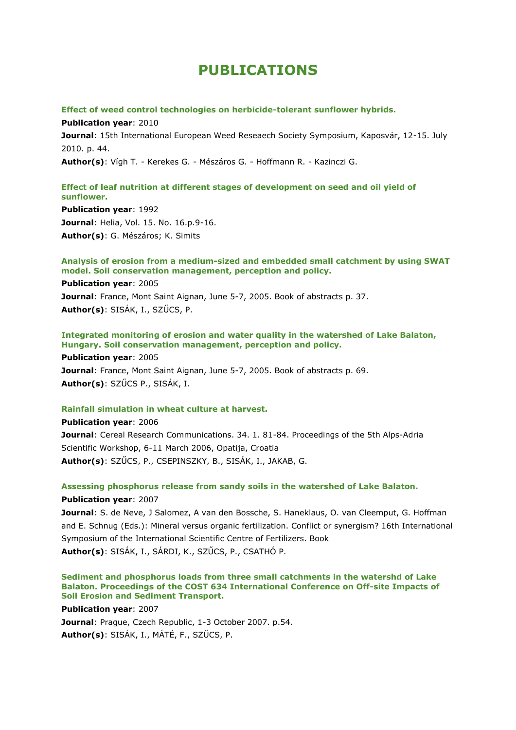# **PUBLICATIONS**

### **Effect of weed control technologies on herbicide-tolerant sunflower hybrids.**

**Publication year**: 2010 **Journal**: 15th International European Weed Reseaech Society Symposium, Kaposvár, 12-15. July 2010. p. 44. **Author(s)**: Vígh T. - Kerekes G. - Mészáros G. - Hoffmann R. - Kazinczi G.

# **Effect of leaf nutrition at different stages of development on seed and oil yield of sunflower.**

**Publication year**: 1992 **Journal**: Helia, Vol. 15. No. 16.p.9-16. **Author(s)**: G. Mészáros; K. Simits

# **Analysis of erosion from a medium-sized and embedded small catchment by using SWAT model. Soil conservation management, perception and policy.**

**Publication year**: 2005 **Journal**: France, Mont Saint Aignan, June 5-7, 2005. Book of abstracts p. 37. **Author(s)**: SISÁK, I., SZŰCS, P.

**Integrated monitoring of erosion and water quality in the watershed of Lake Balaton, Hungary. Soil conservation management, perception and policy.**

**Publication year**: 2005 **Journal**: France, Mont Saint Aignan, June 5-7, 2005. Book of abstracts p. 69. **Author(s)**: SZŰCS P., SISÁK, I.

# **Rainfall simulation in wheat culture at harvest.**

**Publication year**: 2006 **Journal**: Cereal Research Communications. 34. 1. 81-84. Proceedings of the 5th Alps-Adria Scientific Workshop, 6-11 March 2006, Opatija, Croatia **Author(s)**: SZŰCS, P., CSEPINSZKY, B., SISÁK, I., JAKAB, G.

**Assessing phosphorus release from sandy soils in the watershed of Lake Balaton. Publication year**: 2007

**Journal**: S. de Neve, J Salomez, A van den Bossche, S. Haneklaus, O. van Cleemput, G. Hoffman and E. Schnug (Eds.): Mineral versus organic fertilization. Conflict or synergism? 16th International Symposium of the International Scientific Centre of Fertilizers. Book **Author(s)**: SISÁK, I., SÁRDI, K., SZŰCS, P., CSATHÓ P.

**Sediment and phosphorus loads from three small catchments in the watershd of Lake Balaton. Proceedings of the COST 634 International Conference on Off-site Impacts of Soil Erosion and Sediment Transport.**

**Publication year**: 2007 **Journal**: Prague, Czech Republic, 1-3 October 2007. p.54. **Author(s)**: SISÁK, I., MÁTÉ, F., SZŰCS, P.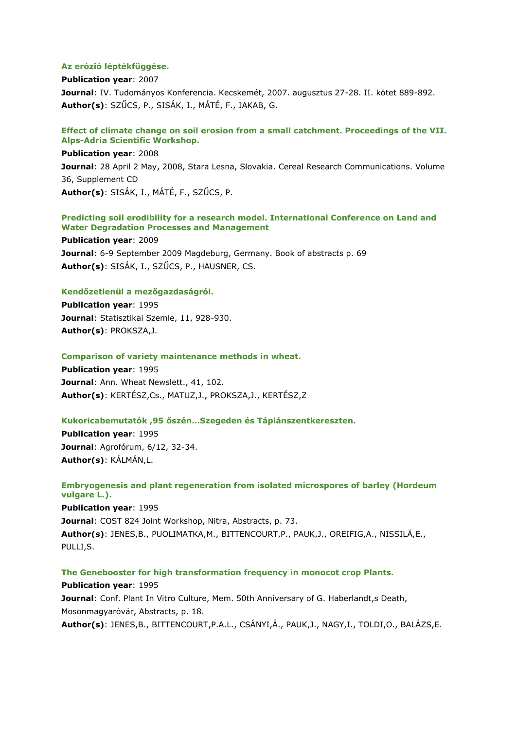### **Az erózió léptékfüggése.**

**Publication year**: 2007 **Journal**: IV. Tudományos Konferencia. Kecskemét, 2007. augusztus 27-28. II. kötet 889-892. **Author(s)**: SZŰCS, P., SISÁK, I., MÁTÉ, F., JAKAB, G.

## **Effect of climate change on soil erosion from a small catchment. Proceedings of the VII. Alps-Adria Scientific Workshop.**

**Publication year**: 2008 **Journal**: 28 April 2 May, 2008, Stara Lesna, Slovakia. Cereal Research Communications. Volume 36, Supplement CD **Author(s)**: SISÁK, I., MÁTÉ, F., SZŰCS, P.

### **Predicting soil erodibility for a research model. International Conference on Land and Water Degradation Processes and Management**

**Publication year**: 2009 **Journal**: 6-9 September 2009 Magdeburg, Germany. Book of abstracts p. 69 **Author(s)**: SISÁK, I., SZŰCS, P., HAUSNER, CS.

# **Kendőzetlenül a mezőgazdaságról.**

**Publication year**: 1995 **Journal**: Statisztikai Szemle, 11, 928-930. **Author(s)**: PROKSZA,J.

#### **Comparison of variety maintenance methods in wheat.**

**Publication year**: 1995 Journal: Ann. Wheat Newslett., 41, 102. **Author(s)**: KERTÉSZ,Cs., MATUZ,J., PROKSZA,J., KERTÉSZ,Z

# **Kukoricabemutatók ,95 őszén…Szegeden és Táplánszentkereszten.**

**Publication year**: 1995 **Journal**: Agrofórum, 6/12, 32-34. **Author(s)**: KÁLMÁN,L.

# **Embryogenesis and plant regeneration from isolated microspores of barley (Hordeum vulgare L.).**

**Publication year**: 1995 **Journal**: COST 824 Joint Workshop, Nitra, Abstracts, p. 73. **Author(s)**: JENES,B., PUOLIMATKA,M., BITTENCOURT,P., PAUK,J., OREIFIG,A., NISSILÄ,E., PULLI,S.

**The Genebooster for high transformation frequency in monocot crop Plants.**

# **Publication year**: 1995 **Journal**: Conf. Plant In Vitro Culture, Mem. 50th Anniversary of G. Haberlandt,s Death, Mosonmagyaróvár, Abstracts, p. 18. **Author(s)**: JENES,B., BITTENCOURT,P.A.L., CSÁNYI,Á., PAUK,J., NAGY,I., TOLDI,O., BALÁZS,E.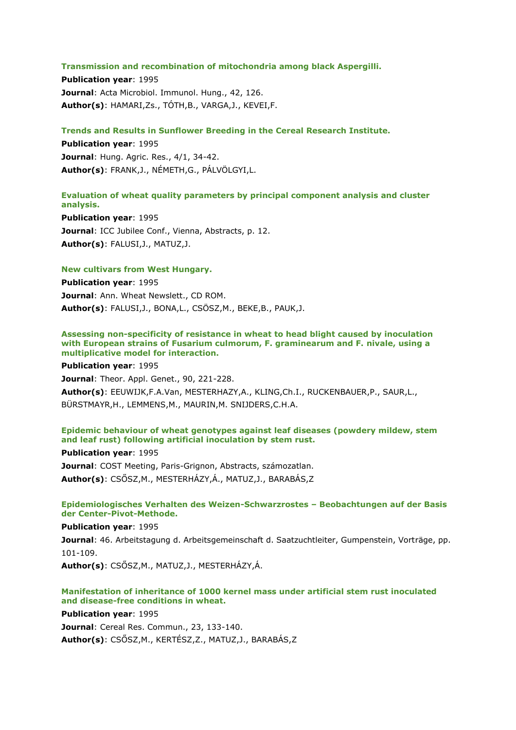#### **Transmission and recombination of mitochondria among black Aspergilli.**

**Publication year**: 1995 **Journal**: Acta Microbiol. Immunol. Hung., 42, 126. **Author(s)**: HAMARI,Zs., TÓTH,B., VARGA,J., KEVEI,F.

### **Trends and Results in Sunflower Breeding in the Cereal Research Institute.**

**Publication year**: 1995 **Journal**: Hung. Agric. Res., 4/1, 34-42. **Author(s)**: FRANK,J., NÉMETH,G., PÁLVÖLGYI,L.

# **Evaluation of wheat quality parameters by principal component analysis and cluster analysis.**

**Publication year**: 1995 **Journal**: ICC Jubilee Conf., Vienna, Abstracts, p. 12. **Author(s)**: FALUSI,J., MATUZ,J.

### **New cultivars from West Hungary.**

**Publication year**: 1995 **Journal**: Ann. Wheat Newslett., CD ROM. **Author(s)**: FALUSI,J., BONA,L., CSÖSZ,M., BEKE,B., PAUK,J.

# **Assessing non-specificity of resistance in wheat to head blight caused by inoculation with European strains of Fusarium culmorum, F. graminearum and F. nivale, using a multiplicative model for interaction.**

**Publication year**: 1995 **Journal**: Theor. Appl. Genet., 90, 221-228. **Author(s)**: EEUWIJK,F.A.Van, MESTERHAZY,A., KLING,Ch.I., RUCKENBAUER,P., SAUR,L., BÜRSTMAYR,H., LEMMENS,M., MAURIN,M. SNIJDERS,C.H.A.

# **Epidemic behaviour of wheat genotypes against leaf diseases (powdery mildew, stem and leaf rust) following artificial inoculation by stem rust.**

### **Publication year**: 1995

**Journal**: COST Meeting, Paris-Grignon, Abstracts, számozatlan. **Author(s)**: CSŐSZ,M., MESTERHÁZY,Á., MATUZ,J., BARABÁS,Z

# **Epidemiologisches Verhalten des Weizen-Schwarzrostes – Beobachtungen auf der Basis der Center-Pivot-Methode.**

**Publication year**: 1995

**Journal**: 46. Arbeitstagung d. Arbeitsgemeinschaft d. Saatzuchtleiter, Gumpenstein, Vorträge, pp. 101-109.

**Author(s)**: CSŐSZ,M., MATUZ,J., MESTERHÁZY,Á.

# **Manifestation of inheritance of 1000 kernel mass under artificial stem rust inoculated and disease-free conditions in wheat.**

**Publication year**: 1995 **Journal**: Cereal Res. Commun., 23, 133-140. **Author(s)**: CSŐSZ,M., KERTÉSZ,Z., MATUZ,J., BARABÁS,Z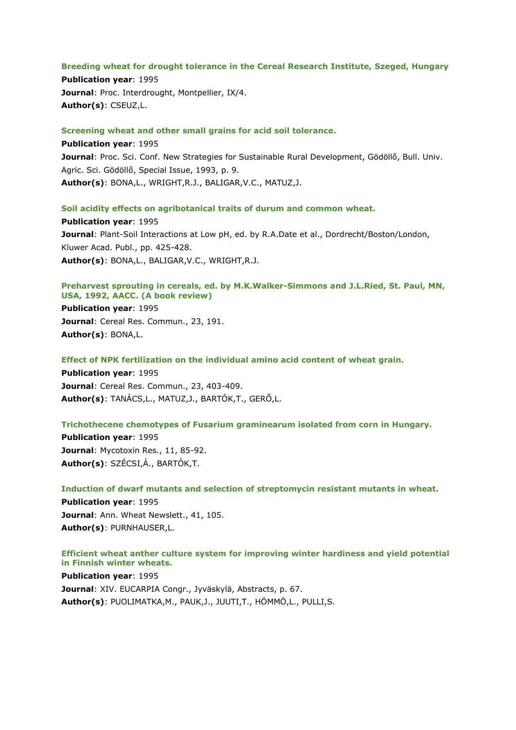### **Breeding wheat for drought tolerance in the Cereal Research Institute, Szeged, Hungary**

**Publication year**: 1995 **Journal**: Proc. Interdrought, Montpellier, IX/4. **Author(s)**: CSEUZ,L.

# **Screening wheat and other small grains for acid soil tolerance.**

**Publication year**: 1995 **Journal**: Proc. Sci. Conf. New Strategies for Sustainable Rural Development, Gödöllő, Bull. Univ. Agric. Sci. Gödöllő, Special Issue, 1993, p. 9. **Author(s)**: BONA,L., WRIGHT,R.J., BALIGAR,V.C., MATUZ,J.

# **Soil acidity effects on agribotanical traits of durum and common wheat.**

**Publication year**: 1995 **Journal**: Plant-Soil Interactions at Low pH, ed. by R.A.Date et al., Dordrecht/Boston/London, Kluwer Acad. Publ., pp. 425-428. **Author(s)**: BONA,L., BALIGAR,V.C., WRIGHT,R.J.

# **Preharvest sprouting in cereals, ed. by M.K.Walker-Simmons and J.L.Ried, St. Paul, MN, USA, 1992, AACC. (A book review)**

**Publication year**: 1995 **Journal**: Cereal Res. Commun., 23, 191. **Author(s)**: BONA,L.

**Effect of NPK fertilization on the individual amino acid content of wheat grain.**

**Publication year**: 1995 **Journal**: Cereal Res. Commun., 23, 403-409. **Author(s)**: TANÁCS,L., MATUZ,J., BARTÓK,T., GERŐ,L.

# **Trichothecene chemotypes of Fusarium graminearum isolated from corn in Hungary.**

**Publication year**: 1995 **Journal**: Mycotoxin Res., 11, 85-92. **Author(s)**: SZÉCSI,Á., BARTÓK,T.

**Induction of dwarf mutants and selection of streptomycin resistant mutants in wheat. Publication year**: 1995 Journal: Ann. Wheat Newslett., 41, 105. **Author(s)**: PURNHAUSER,L.

# **Efficient wheat anther culture system for improving winter hardiness and yield potential in Finnish winter wheats.**

**Publication year**: 1995 **Journal**: XIV. EUCARPIA Congr., Jyväskylä, Abstracts, p. 67. **Author(s)**: PUOLIMATKA,M., PAUK,J., JUUTI,T., HÖMMÖ,L., PULLI,S.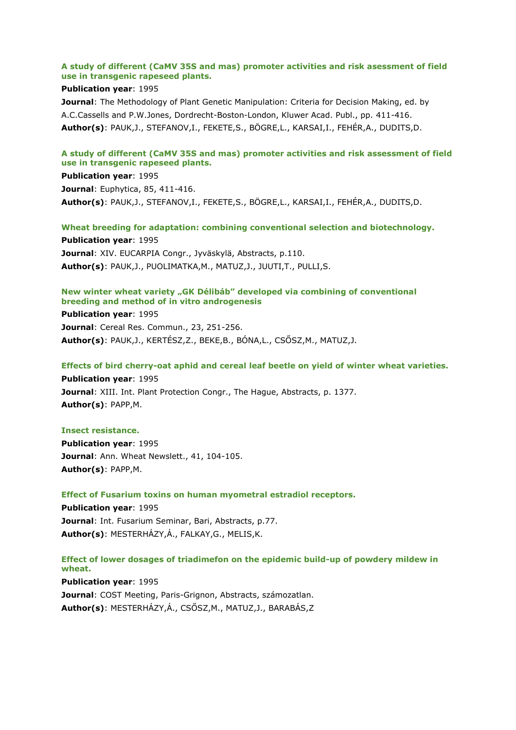# **A study of different (CaMV 35S and mas) promoter activities and risk asessment of field use in transgenic rapeseed plants.**

# **Publication year**: 1995

**Journal**: The Methodology of Plant Genetic Manipulation: Criteria for Decision Making, ed. by A.C.Cassells and P.W.Jones, Dordrecht-Boston-London, Kluwer Acad. Publ., pp. 411-416. **Author(s)**: PAUK,J., STEFANOV,I., FEKETE,S., BÖGRE,L., KARSAI,I., FEHÉR,A., DUDITS,D.

# **A study of different (CaMV 35S and mas) promoter activities and risk assessment of field use in transgenic rapeseed plants.**

**Publication year**: 1995 **Journal**: Euphytica, 85, 411-416. **Author(s)**: PAUK,J., STEFANOV,I., FEKETE,S., BÖGRE,L., KARSAI,I., FEHÉR,A., DUDITS,D.

**Wheat breeding for adaptation: combining conventional selection and biotechnology. Publication year**: 1995 **Journal**: XIV. EUCARPIA Congr., Jyväskylä, Abstracts, p.110. **Author(s)**: PAUK,J., PUOLIMATKA,M., MATUZ,J., JUUTI,T., PULLI,S.

### **New winter wheat variety "GK Délibáb" developed via combining of conventional breeding and method of in vitro androgenesis**

**Publication year**: 1995 **Journal**: Cereal Res. Commun., 23, 251-256. **Author(s)**: PAUK,J., KERTÉSZ,Z., BEKE,B., BÓNA,L., CSŐSZ,M., MATUZ,J.

# **Effects of bird cherry-oat aphid and cereal leaf beetle on yield of winter wheat varieties.**

**Publication year**: 1995 **Journal**: XIII. Int. Plant Protection Congr., The Hague, Abstracts, p. 1377. **Author(s)**: PAPP,M.

# **Insect resistance.**

**Publication year**: 1995 **Journal**: Ann. Wheat Newslett., 41, 104-105. **Author(s)**: PAPP,M.

**Effect of Fusarium toxins on human myometral estradiol receptors.**

**Publication year**: 1995 **Journal**: Int. Fusarium Seminar, Bari, Abstracts, p.77. **Author(s)**: MESTERHÁZY,Á., FALKAY,G., MELIS,K.

# **Effect of lower dosages of triadimefon on the epidemic build-up of powdery mildew in wheat.**

**Publication year**: 1995 **Journal**: COST Meeting, Paris-Grignon, Abstracts, számozatlan. **Author(s)**: MESTERHÁZY,Á., CSŐSZ,M., MATUZ,J., BARABÁS,Z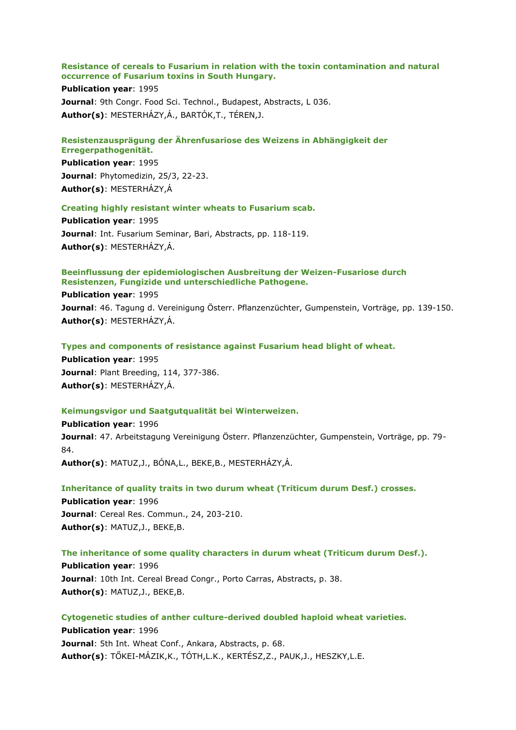### **Resistance of cereals to Fusarium in relation with the toxin contamination and natural occurrence of Fusarium toxins in South Hungary.**

#### **Publication year**: 1995

**Journal: 9th Congr. Food Sci. Technol., Budapest, Abstracts, L 036. Author(s)**: MESTERHÁZY,Á., BARTÓK,T., TÉREN,J.

#### **Resistenzausprägung der Ährenfusariose des Weizens in Abhängigkeit der Erregerpathogenität.**

**Publication year**: 1995 **Journal**: Phytomedizin, 25/3, 22-23. **Author(s)**: MESTERHÁZY,Á

### **Creating highly resistant winter wheats to Fusarium scab.**

**Publication year**: 1995 **Journal**: Int. Fusarium Seminar, Bari, Abstracts, pp. 118-119. **Author(s)**: MESTERHÁZY,Á.

### **Beeinflussung der epidemiologischen Ausbreitung der Weizen-Fusariose durch Resistenzen, Fungizide und unterschiedliche Pathogene.**

**Publication year**: 1995 **Journal**: 46. Tagung d. Vereinigung Österr. Pflanzenzüchter, Gumpenstein, Vorträge, pp. 139-150. **Author(s)**: MESTERHÁZY,Á.

**Types and components of resistance against Fusarium head blight of wheat.**

**Publication year**: 1995 **Journal**: Plant Breeding, 114, 377-386. **Author(s)**: MESTERHÁZY,Á.

#### **Keimungsvigor und Saatgutqualität bei Winterweizen.**

**Publication year**: 1996 **Journal**: 47. Arbeitstagung Vereinigung Österr. Pflanzenzüchter, Gumpenstein, Vorträge, pp. 79- 84. **Author(s)**: MATUZ,J., BÓNA,L., BEKE,B., MESTERHÁZY,Á.

**Inheritance of quality traits in two durum wheat (Triticum durum Desf.) crosses. Publication year**: 1996 **Journal**: Cereal Res. Commun., 24, 203-210. **Author(s)**: MATUZ,J., BEKE,B.

**The inheritance of some quality characters in durum wheat (Triticum durum Desf.). Publication year**: 1996 **Journal**: 10th Int. Cereal Bread Congr., Porto Carras, Abstracts, p. 38. **Author(s)**: MATUZ,J., BEKE,B.

**Cytogenetic studies of anther culture-derived doubled haploid wheat varieties. Publication year**: 1996 **Journal**: 5th Int. Wheat Conf., Ankara, Abstracts, p. 68. **Author(s)**: TŐKEI-MÁZIK,K., TÓTH,L.K., KERTÉSZ,Z., PAUK,J., HESZKY,L.E.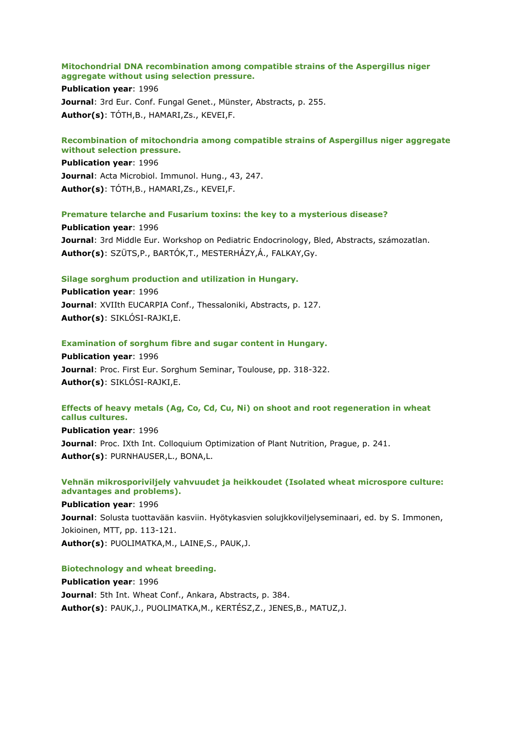# **Mitochondrial DNA recombination among compatible strains of the Aspergillus niger aggregate without using selection pressure.**

**Publication year**: 1996 **Journal**: 3rd Eur. Conf. Fungal Genet., Münster, Abstracts, p. 255. **Author(s)**: TÓTH,B., HAMARI,Zs., KEVEI,F.

# **Recombination of mitochondria among compatible strains of Aspergillus niger aggregate without selection pressure.**

**Publication year**: 1996 **Journal**: Acta Microbiol. Immunol. Hung., 43, 247. **Author(s)**: TÓTH,B., HAMARI,Zs., KEVEI,F.

**Premature telarche and Fusarium toxins: the key to a mysterious disease?**

**Publication year**: 1996 **Journal**: 3rd Middle Eur. Workshop on Pediatric Endocrinology, Bled, Abstracts, számozatlan. **Author(s)**: SZÜTS,P., BARTÓK,T., MESTERHÁZY,Á., FALKAY,Gy.

# **Silage sorghum production and utilization in Hungary.**

**Publication year**: 1996 **Journal**: XVIIth EUCARPIA Conf., Thessaloniki, Abstracts, p. 127. **Author(s)**: SIKLÓSI-RAJKI,E.

# **Examination of sorghum fibre and sugar content in Hungary.**

**Publication year**: 1996 **Journal**: Proc. First Eur. Sorghum Seminar, Toulouse, pp. 318-322. **Author(s)**: SIKLÓSI-RAJKI,E.

# **Effects of heavy metals (Ag, Co, Cd, Cu, Ni) on shoot and root regeneration in wheat callus cultures.**

**Publication year**: 1996 **Journal**: Proc. IXth Int. Colloquium Optimization of Plant Nutrition, Prague, p. 241. **Author(s)**: PURNHAUSER,L., BONA,L.

# **Vehnän mikrosporiviljely vahvuudet ja heikkoudet (Isolated wheat microspore culture: advantages and problems).**

**Publication year**: 1996 **Journal**: Solusta tuottavään kasviin. Hyötykasvien solujkkoviljelyseminaari, ed. by S. Immonen, Jokioinen, MTT, pp. 113-121. **Author(s)**: PUOLIMATKA,M., LAINE,S., PAUK,J.

# **Biotechnology and wheat breeding.**

**Publication year**: 1996 **Journal**: 5th Int. Wheat Conf., Ankara, Abstracts, p. 384. **Author(s)**: PAUK,J., PUOLIMATKA,M., KERTÉSZ,Z., JENES,B., MATUZ,J.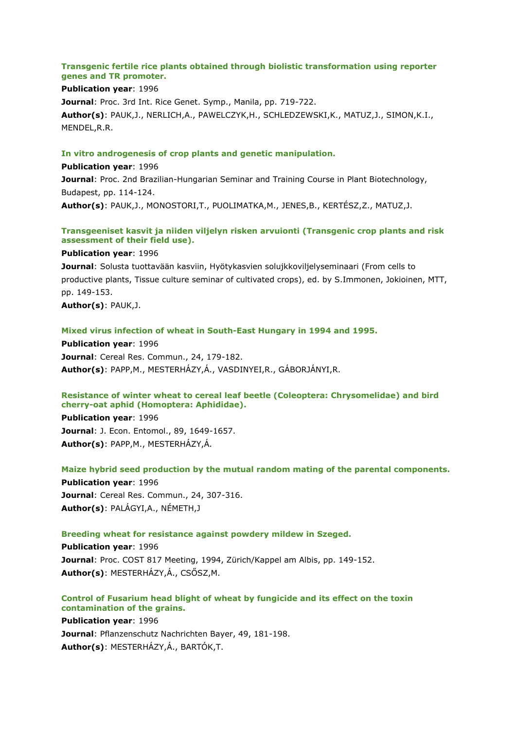# **Transgenic fertile rice plants obtained through biolistic transformation using reporter genes and TR promoter.**

# **Publication year**: 1996

**Journal**: Proc. 3rd Int. Rice Genet. Symp., Manila, pp. 719-722. **Author(s)**: PAUK,J., NERLICH,A., PAWELCZYK,H., SCHLEDZEWSKI,K., MATUZ,J., SIMON,K.I., MENDEL,R.R.

# **In vitro androgenesis of crop plants and genetic manipulation.**

**Publication year**: 1996 **Journal**: Proc. 2nd Brazilian-Hungarian Seminar and Training Course in Plant Biotechnology, Budapest, pp. 114-124. **Author(s)**: PAUK,J., MONOSTORI,T., PUOLIMATKA,M., JENES,B., KERTÉSZ,Z., MATUZ,J.

# **Transgeeniset kasvit ja niiden viljelyn risken arvuionti (Transgenic crop plants and risk assessment of their field use).**

#### **Publication year**: 1996

**Journal**: Solusta tuottavään kasviin, Hyötykasvien solujkkoviljelyseminaari (From cells to productive plants, Tissue culture seminar of cultivated crops), ed. by S.Immonen, Jokioinen, MTT, pp. 149-153.

**Author(s)**: PAUK,J.

#### **Mixed virus infection of wheat in South-East Hungary in 1994 and 1995.**

**Publication year**: 1996 **Journal**: Cereal Res. Commun., 24, 179-182. **Author(s)**: PAPP,M., MESTERHÁZY,Á., VASDINYEI,R., GÁBORJÁNYI,R.

# **Resistance of winter wheat to cereal leaf beetle (Coleoptera: Chrysomelidae) and bird cherry-oat aphid (Homoptera: Aphididae).**

**Publication year**: 1996 **Journal**: J. Econ. Entomol., 89, 1649-1657. **Author(s)**: PAPP,M., MESTERHÁZY,Á.

#### **Maize hybrid seed production by the mutual random mating of the parental components.**

**Publication year**: 1996 **Journal**: Cereal Res. Commun., 24, 307-316. **Author(s)**: PALÁGYI,A., NÉMETH,J

#### **Breeding wheat for resistance against powdery mildew in Szeged.**

**Publication year**: 1996 **Journal**: Proc. COST 817 Meeting, 1994, Zürich/Kappel am Albis, pp. 149-152. **Author(s)**: MESTERHÁZY,Á., CSŐSZ,M.

# **Control of Fusarium head blight of wheat by fungicide and its effect on the toxin contamination of the grains.**

# **Publication year**: 1996

**Journal**: Pflanzenschutz Nachrichten Bayer, 49, 181-198. **Author(s)**: MESTERHÁZY,Á., BARTÓK,T.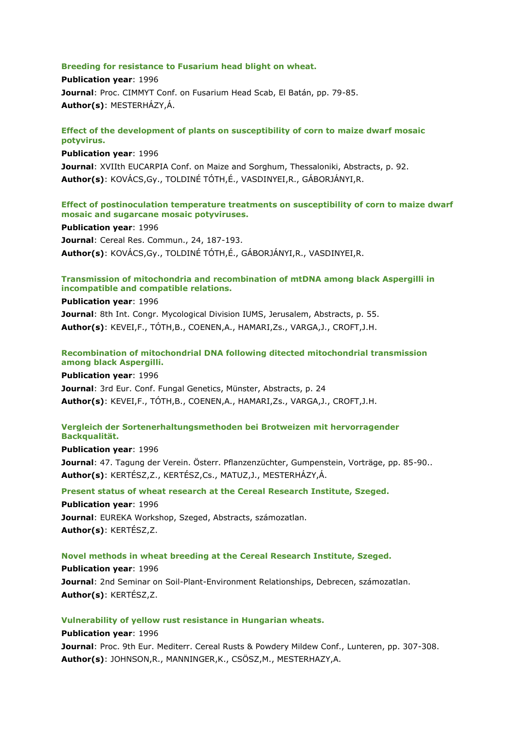### **Breeding for resistance to Fusarium head blight on wheat.**

**Publication year**: 1996 **Journal**: Proc. CIMMYT Conf. on Fusarium Head Scab, El Batán, pp. 79-85. **Author(s)**: MESTERHÁZY,Á.

# **Effect of the development of plants on susceptibility of corn to maize dwarf mosaic potyvirus.**

**Publication year**: 1996 **Journal**: XVIIth EUCARPIA Conf. on Maize and Sorghum, Thessaloniki, Abstracts, p. 92. **Author(s)**: KOVÁCS,Gy., TOLDINÉ TÓTH,É., VASDINYEI,R., GÁBORJÁNYI,R.

# **Effect of postinoculation temperature treatments on susceptibility of corn to maize dwarf mosaic and sugarcane mosaic potyviruses.**

**Publication year**: 1996 **Journal**: Cereal Res. Commun., 24, 187-193. **Author(s)**: KOVÁCS,Gy., TOLDINÉ TÓTH,É., GÁBORJÁNYI,R., VASDINYEI,R.

# **Transmission of mitochondria and recombination of mtDNA among black Aspergilli in incompatible and compatible relations.**

**Publication year**: 1996 **Journal**: 8th Int. Congr. Mycological Division IUMS, Jerusalem, Abstracts, p. 55. **Author(s)**: KEVEI,F., TÓTH,B., COENEN,A., HAMARI,Zs., VARGA,J., CROFT,J.H.

# **Recombination of mitochondrial DNA following ditected mitochondrial transmission among black Aspergilli.**

**Publication year**: 1996

**Journal**: 3rd Eur. Conf. Fungal Genetics, Münster, Abstracts, p. 24 **Author(s)**: KEVEI,F., TÓTH,B., COENEN,A., HAMARI,Zs., VARGA,J., CROFT,J.H.

# **Vergleich der Sortenerhaltungsmethoden bei Brotweizen mit hervorragender Backqualität.**

**Publication year**: 1996

**Journal**: 47. Tagung der Verein. Österr. Pflanzenzüchter, Gumpenstein, Vorträge, pp. 85-90.. **Author(s)**: KERTÉSZ,Z., KERTÉSZ,Cs., MATUZ,J., MESTERHÁZY,Á.

# **Present status of wheat research at the Cereal Research Institute, Szeged.**

**Publication year**: 1996 **Journal**: EUREKA Workshop, Szeged, Abstracts, számozatlan. **Author(s)**: KERTÉSZ,Z.

# **Novel methods in wheat breeding at the Cereal Research Institute, Szeged.**

**Publication year**: 1996 **Journal**: 2nd Seminar on Soil-Plant-Environment Relationships, Debrecen, számozatlan. **Author(s)**: KERTÉSZ,Z.

# **Vulnerability of yellow rust resistance in Hungarian wheats.**

**Publication year**: 1996 **Journal**: Proc. 9th Eur. Mediterr. Cereal Rusts & Powdery Mildew Conf., Lunteren, pp. 307-308. **Author(s)**: JOHNSON,R., MANNINGER,K., CSÖSZ,M., MESTERHAZY,A.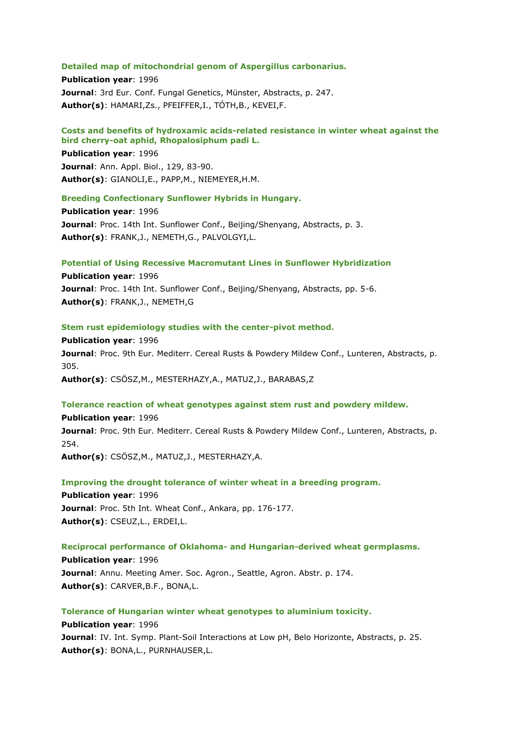#### **Detailed map of mitochondrial genom of Aspergillus carbonarius.**

**Publication year**: 1996 **Journal**: 3rd Eur. Conf. Fungal Genetics, Münster, Abstracts, p. 247. **Author(s)**: HAMARI,Zs., PFEIFFER,I., TÓTH,B., KEVEI,F.

# **Costs and benefits of hydroxamic acids-related resistance in winter wheat against the bird cherry-oat aphid, Rhopalosiphum padi L.**

**Publication year**: 1996 **Journal**: Ann. Appl. Biol., 129, 83-90. **Author(s)**: GIANOLI,E., PAPP,M., NIEMEYER,H.M.

#### **Breeding Confectionary Sunflower Hybrids in Hungary.**

**Publication year**: 1996 **Journal**: Proc. 14th Int. Sunflower Conf., Beijing/Shenyang, Abstracts, p. 3. **Author(s)**: FRANK,J., NEMETH,G., PALVOLGYI,L.

#### **Potential of Using Recessive Macromutant Lines in Sunflower Hybridization**

**Publication year**: 1996 **Journal**: Proc. 14th Int. Sunflower Conf., Beijing/Shenyang, Abstracts, pp. 5-6. **Author(s)**: FRANK,J., NEMETH,G

#### **Stem rust epidemiology studies with the center-pivot method.**

**Publication year**: 1996 **Journal**: Proc. 9th Eur. Mediterr. Cereal Rusts & Powdery Mildew Conf., Lunteren, Abstracts, p. 305. **Author(s)**: CSÖSZ,M., MESTERHAZY,A., MATUZ,J., BARABAS,Z

### **Tolerance reaction of wheat genotypes against stem rust and powdery mildew.**

**Publication year**: 1996 **Journal**: Proc. 9th Eur. Mediterr. Cereal Rusts & Powdery Mildew Conf., Lunteren, Abstracts, p. 254.

**Author(s)**: CSÖSZ,M., MATUZ,J., MESTERHAZY,A.

### **Improving the drought tolerance of winter wheat in a breeding program.**

**Publication year**: 1996 **Journal**: Proc. 5th Int. Wheat Conf., Ankara, pp. 176-177. **Author(s)**: CSEUZ,L., ERDEI,L.

# **Reciprocal performance of Oklahoma- and Hungarian-derived wheat germplasms.**

**Publication year**: 1996 **Journal**: Annu. Meeting Amer. Soc. Agron., Seattle, Agron. Abstr. p. 174. **Author(s)**: CARVER,B.F., BONA,L.

### **Tolerance of Hungarian winter wheat genotypes to aluminium toxicity.**

**Publication year**: 1996 **Journal**: IV. Int. Symp. Plant-Soil Interactions at Low pH, Belo Horizonte, Abstracts, p. 25. **Author(s)**: BONA,L., PURNHAUSER,L.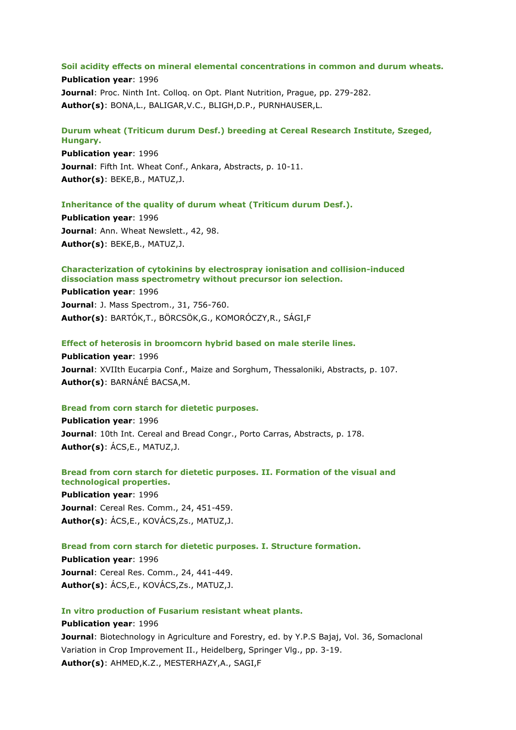#### **Soil acidity effects on mineral elemental concentrations in common and durum wheats.**

**Publication year**: 1996 **Journal**: Proc. Ninth Int. Colloq. on Opt. Plant Nutrition, Prague, pp. 279-282. **Author(s)**: BONA,L., BALIGAR,V.C., BLIGH,D.P., PURNHAUSER,L.

# **Durum wheat (Triticum durum Desf.) breeding at Cereal Research Institute, Szeged, Hungary.**

**Publication year**: 1996 **Journal**: Fifth Int. Wheat Conf., Ankara, Abstracts, p. 10-11. **Author(s)**: BEKE,B., MATUZ,J.

### **Inheritance of the quality of durum wheat (Triticum durum Desf.).**

**Publication year**: 1996 **Journal**: Ann. Wheat Newslett., 42, 98. **Author(s)**: BEKE,B., MATUZ,J.

### **Characterization of cytokinins by electrospray ionisation and collision-induced dissociation mass spectrometry without precursor ion selection.**

**Publication year**: 1996 **Journal**: J. Mass Spectrom., 31, 756-760. **Author(s)**: BARTÓK,T., BÖRCSÖK,G., KOMORÓCZY,R., SÁGI,F

#### **Effect of heterosis in broomcorn hybrid based on male sterile lines.**

**Publication year**: 1996 **Journal**: XVIIth Eucarpia Conf., Maize and Sorghum, Thessaloniki, Abstracts, p. 107. **Author(s)**: BARNÁNÉ BACSA,M.

#### **Bread from corn starch for dietetic purposes.**

**Publication year**: 1996 **Journal**: 10th Int. Cereal and Bread Congr., Porto Carras, Abstracts, p. 178. **Author(s)**: ÁCS,E., MATUZ,J.

# **Bread from corn starch for dietetic purposes. II. Formation of the visual and technological properties.**

**Publication year**: 1996 **Journal**: Cereal Res. Comm., 24, 451-459. **Author(s)**: ÁCS,E., KOVÁCS,Zs., MATUZ,J.

### **Bread from corn starch for dietetic purposes. I. Structure formation.**

**Publication year**: 1996 **Journal**: Cereal Res. Comm., 24, 441-449. **Author(s)**: ÁCS,E., KOVÁCS,Zs., MATUZ,J.

# **In vitro production of Fusarium resistant wheat plants.**

### **Publication year**: 1996

**Journal**: Biotechnology in Agriculture and Forestry, ed. by Y.P.S Bajaj, Vol. 36, Somaclonal Variation in Crop Improvement II., Heidelberg, Springer Vlg., pp. 3-19. **Author(s)**: AHMED,K.Z., MESTERHAZY,A., SAGI,F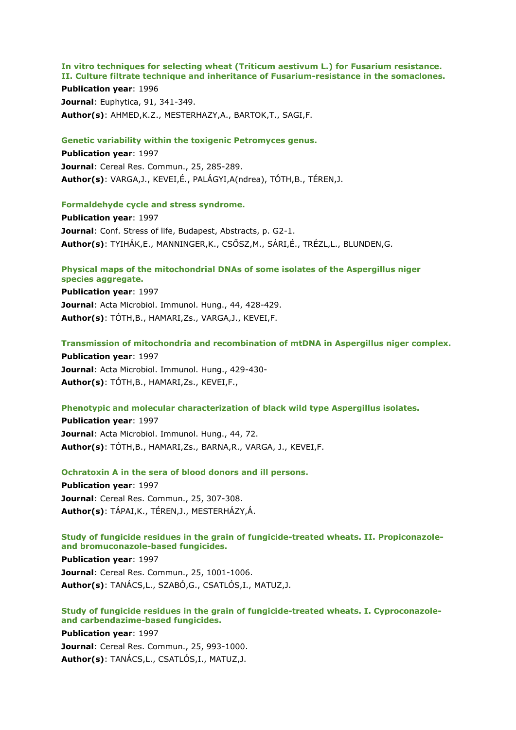# **In vitro techniques for selecting wheat (Triticum aestivum L.) for Fusarium resistance. II. Culture filtrate technique and inheritance of Fusarium-resistance in the somaclones.**

**Publication year**: 1996 **Journal**: Euphytica, 91, 341-349. **Author(s)**: AHMED,K.Z., MESTERHAZY,A., BARTOK,T., SAGI,F.

### **Genetic variability within the toxigenic Petromyces genus.**

**Publication year**: 1997 **Journal**: Cereal Res. Commun., 25, 285-289. **Author(s)**: VARGA,J., KEVEI,É., PALÁGYI,A(ndrea), TÓTH,B., TÉREN,J.

### **Formaldehyde cycle and stress syndrome.**

**Publication year**: 1997 **Journal**: Conf. Stress of life, Budapest, Abstracts, p. G2-1. **Author(s)**: TYIHÁK,E., MANNINGER,K., CSŐSZ,M., SÁRI,É., TRÉZL,L., BLUNDEN,G.

### **Physical maps of the mitochondrial DNAs of some isolates of the Aspergillus niger species aggregate.**

**Publication year**: 1997 **Journal**: Acta Microbiol. Immunol. Hung., 44, 428-429. **Author(s)**: TÓTH,B., HAMARI,Zs., VARGA,J., KEVEI,F.

**Transmission of mitochondria and recombination of mtDNA in Aspergillus niger complex.**

**Publication year**: 1997 **Journal**: Acta Microbiol. Immunol. Hung., 429-430- **Author(s)**: TÓTH,B., HAMARI,Zs., KEVEI,F.,

#### **Phenotypic and molecular characterization of black wild type Aspergillus isolates.**

**Publication year**: 1997 **Journal**: Acta Microbiol. Immunol. Hung., 44, 72. **Author(s)**: TÓTH,B., HAMARI,Zs., BARNA,R., VARGA, J., KEVEI,F.

### **Ochratoxin A in the sera of blood donors and ill persons.**

**Publication year**: 1997 **Journal**: Cereal Res. Commun., 25, 307-308. **Author(s)**: TÁPAI,K., TÉREN,J., MESTERHÁZY,Á.

# **Study of fungicide residues in the grain of fungicide-treated wheats. II. Propiconazoleand bromuconazole-based fungicides.**

**Publication year**: 1997 **Journal**: Cereal Res. Commun., 25, 1001-1006. **Author(s)**: TANÁCS,L., SZABÓ,G., CSATLÓS,I., MATUZ,J.

# **Study of fungicide residues in the grain of fungicide-treated wheats. I. Cyproconazoleand carbendazime-based fungicides.**

**Publication year**: 1997 **Journal**: Cereal Res. Commun., 25, 993-1000. **Author(s)**: TANÁCS,L., CSATLÓS,I., MATUZ,J.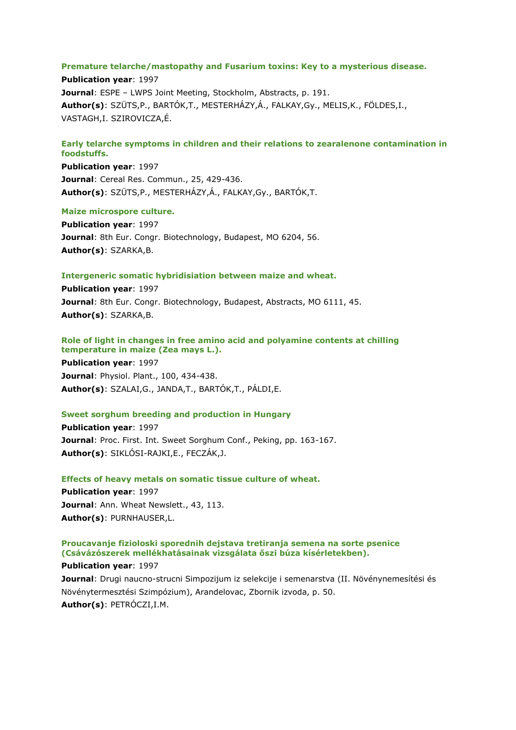### **Premature telarche/mastopathy and Fusarium toxins: Key to a mysterious disease.**

**Publication year**: 1997 **Journal**: ESPE – LWPS Joint Meeting, Stockholm, Abstracts, p. 191. **Author(s)**: SZÜTS,P., BARTÓK,T., MESTERHÁZY,Á., FALKAY,Gy., MELIS,K., FÖLDES,I., VASTAGH,I. SZIROVICZA,É.

## **Early telarche symptoms in children and their relations to zearalenone contamination in foodstuffs.**

**Publication year**: 1997 **Journal**: Cereal Res. Commun., 25, 429-436. **Author(s)**: SZÜTS,P., MESTERHÁZY,Á., FALKAY,Gy., BARTÓK,T.

### **Maize microspore culture.**

**Publication year**: 1997 **Journal**: 8th Eur. Congr. Biotechnology, Budapest, MO 6204, 56. **Author(s)**: SZARKA,B.

#### **Intergeneric somatic hybridisiation between maize and wheat.**

**Publication year**: 1997 **Journal**: 8th Eur. Congr. Biotechnology, Budapest, Abstracts, MO 6111, 45. **Author(s)**: SZARKA,B.

# **Role of light in changes in free amino acid and polyamine contents at chilling temperature in maize (Zea mays L.).**

**Publication year**: 1997 **Journal**: Physiol. Plant., 100, 434-438. **Author(s)**: SZALAI,G., JANDA,T., BARTÓK,T., PÁLDI,E.

# **Sweet sorghum breeding and production in Hungary**

**Publication year**: 1997 **Journal**: Proc. First. Int. Sweet Sorghum Conf., Peking, pp. 163-167. **Author(s)**: SIKLÓSI-RAJKI,E., FECZÁK,J.

# **Effects of heavy metals on somatic tissue culture of wheat.**

**Publication year**: 1997 **Journal**: Ann. Wheat Newslett., 43, 113. **Author(s)**: PURNHAUSER,L.

# **Proucavanje fizioloski sporednih dejstava tretiranja semena na sorte psenice (Csávázószerek mellékhatásainak vizsgálata őszi búza kísérletekben).**

**Publication year**: 1997 **Journal**: Drugi naucno-strucni Simpozijum iz selekcije i semenarstva (II. Növénynemesítési és Növénytermesztési Szimpózium), Arandelovac, Zbornik izvoda, p. 50. **Author(s)**: PETRÓCZI,I.M.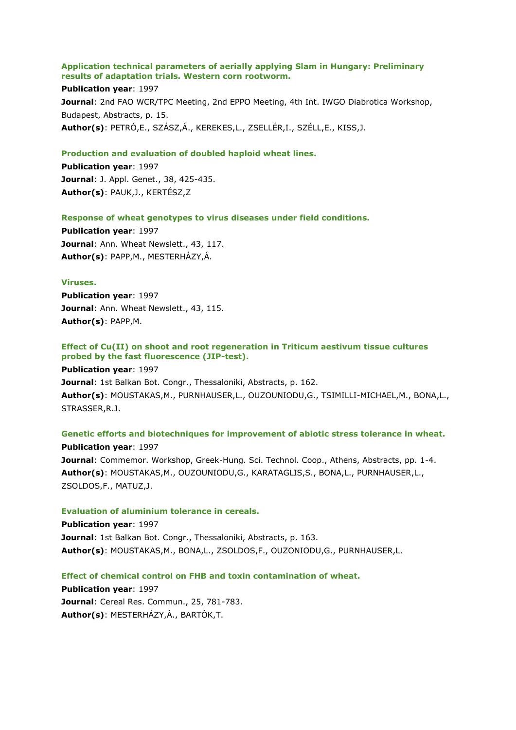### **Application technical parameters of aerially applying Slam in Hungary: Preliminary results of adaptation trials. Western corn rootworm.**

#### **Publication year**: 1997

**Journal**: 2nd FAO WCR/TPC Meeting, 2nd EPPO Meeting, 4th Int. IWGO Diabrotica Workshop, Budapest, Abstracts, p. 15. **Author(s)**: PETRÓ,E., SZÁSZ,Á., KEREKES,L., ZSELLÉR,I., SZÉLL,E., KISS,J.

#### **Production and evaluation of doubled haploid wheat lines.**

**Publication year**: 1997 **Journal**: J. Appl. Genet., 38, 425-435. **Author(s)**: PAUK,J., KERTÉSZ,Z

#### **Response of wheat genotypes to virus diseases under field conditions.**

**Publication year**: 1997 Journal: Ann. Wheat Newslett., 43, 117. **Author(s)**: PAPP,M., MESTERHÁZY,Á.

### **Viruses.**

**Publication year**: 1997 Journal: Ann. Wheat Newslett., 43, 115. **Author(s)**: PAPP,M.

# **Effect of Cu(II) on shoot and root regeneration in Triticum aestivum tissue cultures probed by the fast fluorescence (JIP-test).**

**Publication year**: 1997 **Journal**: 1st Balkan Bot. Congr., Thessaloniki, Abstracts, p. 162. **Author(s)**: MOUSTAKAS,M., PURNHAUSER,L., OUZOUNIODU,G., TSIMILLI-MICHAEL,M., BONA,L., STRASSER,R.J.

# **Genetic efforts and biotechniques for improvement of abiotic stress tolerance in wheat. Publication year**: 1997 **Journal**: Commemor. Workshop, Greek-Hung. Sci. Technol. Coop., Athens, Abstracts, pp. 1-4. **Author(s)**: MOUSTAKAS,M., OUZOUNIODU,G., KARATAGLIS,S., BONA,L., PURNHAUSER,L.,

#### **Evaluation of aluminium tolerance in cereals.**

ZSOLDOS,F., MATUZ,J.

**Publication year**: 1997 **Journal**: 1st Balkan Bot. Congr., Thessaloniki, Abstracts, p. 163. **Author(s)**: MOUSTAKAS,M., BONA,L., ZSOLDOS,F., OUZONIODU,G., PURNHAUSER,L.

# **Effect of chemical control on FHB and toxin contamination of wheat.**

**Publication year**: 1997 **Journal**: Cereal Res. Commun., 25, 781-783. **Author(s)**: MESTERHÁZY,Á., BARTÓK,T.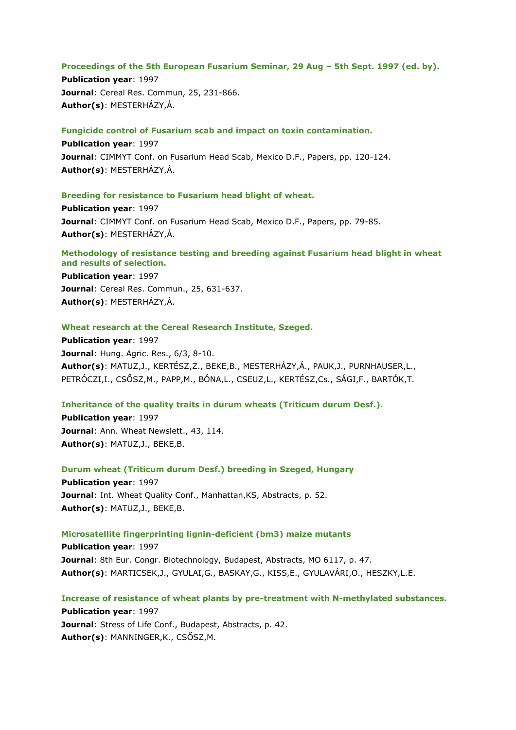#### **Proceedings of the 5th European Fusarium Seminar, 29 Aug – 5th Sept. 1997 (ed. by).**

**Publication year**: 1997 **Journal**: Cereal Res. Commun, 25, 231-866. **Author(s)**: MESTERHÁZY,Á.

**Fungicide control of Fusarium scab and impact on toxin contamination.**

**Publication year**: 1997 **Journal**: CIMMYT Conf. on Fusarium Head Scab, Mexico D.F., Papers, pp. 120-124. **Author(s)**: MESTERHÁZY,Á.

# **Breeding for resistance to Fusarium head blight of wheat.**

**Publication year**: 1997 **Journal**: CIMMYT Conf. on Fusarium Head Scab, Mexico D.F., Papers, pp. 79-85. **Author(s)**: MESTERHÁZY,Á.

# **Methodology of resistance testing and breeding against Fusarium head blight in wheat and results of selection.**

**Publication year**: 1997 **Journal**: Cereal Res. Commun., 25, 631-637. **Author(s)**: MESTERHÁZY,Á.

#### **Wheat research at the Cereal Research Institute, Szeged.**

**Publication year**: 1997 **Journal**: Hung. Agric. Res., 6/3, 8-10. **Author(s)**: MATUZ,J., KERTÉSZ,Z., BEKE,B., MESTERHÁZY,Á., PAUK,J., PURNHAUSER,L., PETRÓCZI,I., CSŐSZ,M., PAPP,M., BÓNA,L., CSEUZ,L., KERTÉSZ,Cs., SÁGI,F., BARTÓK,T.

**Inheritance of the quality traits in durum wheats (Triticum durum Desf.).**

**Publication year**: 1997 Journal: Ann. Wheat Newslett., 43, 114. **Author(s)**: MATUZ,J., BEKE,B.

**Durum wheat (Triticum durum Desf.) breeding in Szeged, Hungary Publication year**: 1997 Journal: Int. Wheat Quality Conf., Manhattan, KS, Abstracts, p. 52. **Author(s)**: MATUZ,J., BEKE,B.

### **Microsatellite fingerprinting lignin-deficient (bm3) maize mutants**

**Publication year**: 1997 **Journal**: 8th Eur. Congr. Biotechnology, Budapest, Abstracts, MO 6117, p. 47. **Author(s)**: MARTICSEK,J., GYULAI,G., BASKAY,G., KISS,E., GYULAVÁRI,O., HESZKY,L.E.

**Increase of resistance of wheat plants by pre-treatment with N-methylated substances. Publication year**: 1997 **Journal**: Stress of Life Conf., Budapest, Abstracts, p. 42. **Author(s)**: MANNINGER,K., CSŐSZ,M.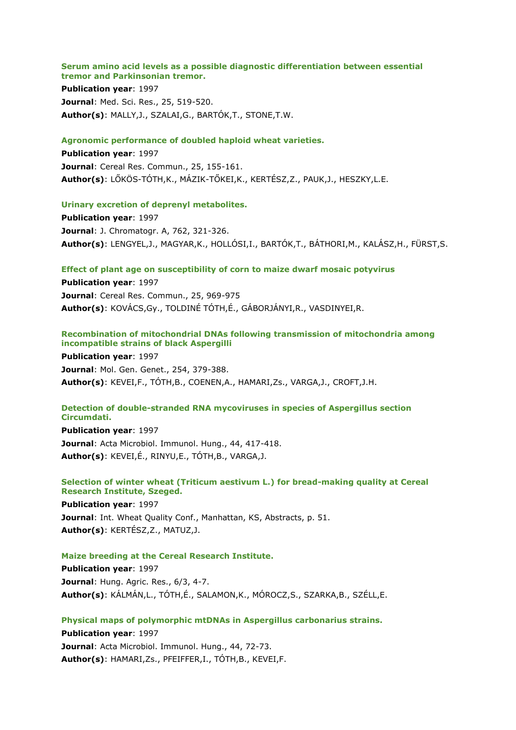# **Serum amino acid levels as a possible diagnostic differentiation between essential tremor and Parkinsonian tremor.**

**Publication year**: 1997 **Journal**: Med. Sci. Res., 25, 519-520. **Author(s)**: MALLY,J., SZALAI,G., BARTÓK,T., STONE,T.W.

### **Agronomic performance of doubled haploid wheat varieties.**

**Publication year**: 1997 **Journal**: Cereal Res. Commun., 25, 155-161. **Author(s)**: LŐKÖS-TÓTH,K., MÁZIK-TŐKEI,K., KERTÉSZ,Z., PAUK,J., HESZKY,L.E.

### **Urinary excretion of deprenyl metabolites.**

**Publication year**: 1997 **Journal**: J. Chromatogr. A, 762, 321-326. **Author(s)**: LENGYEL,J., MAGYAR,K., HOLLÓSI,I., BARTÓK,T., BÁTHORI,M., KALÁSZ,H., FÜRST,S.

# **Effect of plant age on susceptibility of corn to maize dwarf mosaic potyvirus**

**Publication year**: 1997 **Journal**: Cereal Res. Commun., 25, 969-975 **Author(s)**: KOVÁCS,Gy., TOLDINÉ TÓTH,É., GÁBORJÁNYI,R., VASDINYEI,R.

# **Recombination of mitochondrial DNAs following transmission of mitochondria among incompatible strains of black Aspergilli**

**Publication year**: 1997 **Journal**: Mol. Gen. Genet., 254, 379-388. **Author(s)**: KEVEI,F., TÓTH,B., COENEN,A., HAMARI,Zs., VARGA,J., CROFT,J.H.

# **Detection of double-stranded RNA mycoviruses in species of Aspergillus section Circumdati.**

**Publication year**: 1997 **Journal**: Acta Microbiol. Immunol. Hung., 44, 417-418. **Author(s)**: KEVEI,É., RINYU,E., TÓTH,B., VARGA,J.

# **Selection of winter wheat (Triticum aestivum L.) for bread-making quality at Cereal Research Institute, Szeged.**

**Publication year**: 1997 **Journal**: Int. Wheat Quality Conf., Manhattan, KS, Abstracts, p. 51. **Author(s)**: KERTÉSZ,Z., MATUZ,J.

#### **Maize breeding at the Cereal Research Institute.**

**Publication year**: 1997 **Journal**: Hung. Agric. Res., 6/3, 4-7. **Author(s)**: KÁLMÁN,L., TÓTH,É., SALAMON,K., MÓROCZ,S., SZARKA,B., SZÉLL,E.

# **Physical maps of polymorphic mtDNAs in Aspergillus carbonarius strains.**

**Publication year**: 1997 **Journal**: Acta Microbiol. Immunol. Hung., 44, 72-73. **Author(s)**: HAMARI,Zs., PFEIFFER,I., TÓTH,B., KEVEI,F.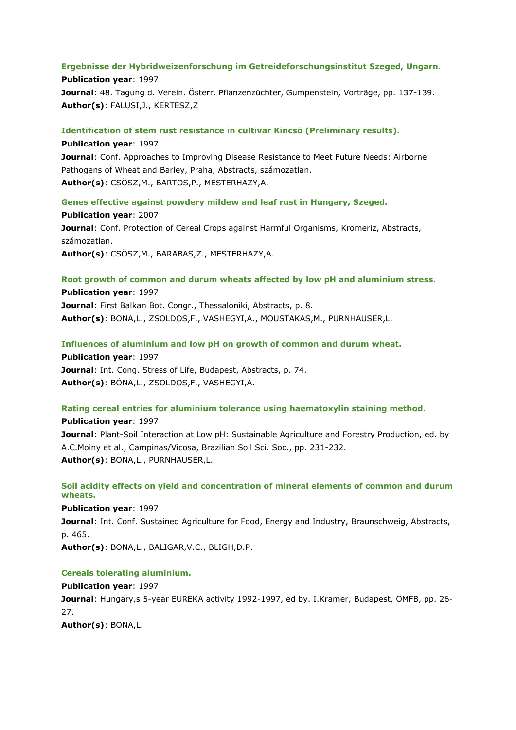### **Ergebnisse der Hybridweizenforschung im Getreideforschungsinstitut Szeged, Ungarn.**

**Publication year**: 1997 **Journal**: 48. Tagung d. Verein. Österr. Pflanzenzüchter, Gumpenstein, Vorträge, pp. 137-139. **Author(s)**: FALUSI,J., KERTESZ,Z

### **Identification of stem rust resistance in cultivar Kincsö (Preliminary results).**

**Publication year**: 1997 **Journal**: Conf. Approaches to Improving Disease Resistance to Meet Future Needs: Airborne Pathogens of Wheat and Barley, Praha, Abstracts, számozatlan. **Author(s)**: CSÖSZ,M., BARTOS,P., MESTERHAZY,A.

**Genes effective against powdery mildew and leaf rust in Hungary, Szeged. Publication year**: 2007 **Journal**: Conf. Protection of Cereal Crops against Harmful Organisms, Kromeriz, Abstracts, számozatlan. **Author(s)**: CSÖSZ,M., BARABAS,Z., MESTERHAZY,A.

**Root growth of common and durum wheats affected by low pH and aluminium stress. Publication year**: 1997

**Journal**: First Balkan Bot. Congr., Thessaloniki, Abstracts, p. 8. **Author(s)**: BONA,L., ZSOLDOS,F., VASHEGYI,A., MOUSTAKAS,M., PURNHAUSER,L.

**Influences of aluminium and low pH on growth of common and durum wheat.**

**Publication year**: 1997 **Journal**: Int. Cong. Stress of Life, Budapest, Abstracts, p. 74. **Author(s)**: BÓNA,L., ZSOLDOS,F., VASHEGYI,A.

# **Rating cereal entries for aluminium tolerance using haematoxylin staining method.**

**Publication year**: 1997 **Journal**: Plant-Soil Interaction at Low pH: Sustainable Agriculture and Forestry Production, ed. by A.C.Moiny et al., Campinas/Vicosa, Brazilian Soil Sci. Soc., pp. 231-232. **Author(s)**: BONA,L., PURNHAUSER,L.

**Soil acidity effects on yield and concentration of mineral elements of common and durum wheats.**

**Publication year**: 1997 **Journal**: Int. Conf. Sustained Agriculture for Food, Energy and Industry, Braunschweig, Abstracts, p. 465. **Author(s)**: BONA,L., BALIGAR,V.C., BLIGH,D.P.

#### **Cereals tolerating aluminium.**

**Publication year**: 1997 **Journal**: Hungary,s 5-year EUREKA activity 1992-1997, ed by. I.Kramer, Budapest, OMFB, pp. 26- 27. **Author(s)**: BONA,L.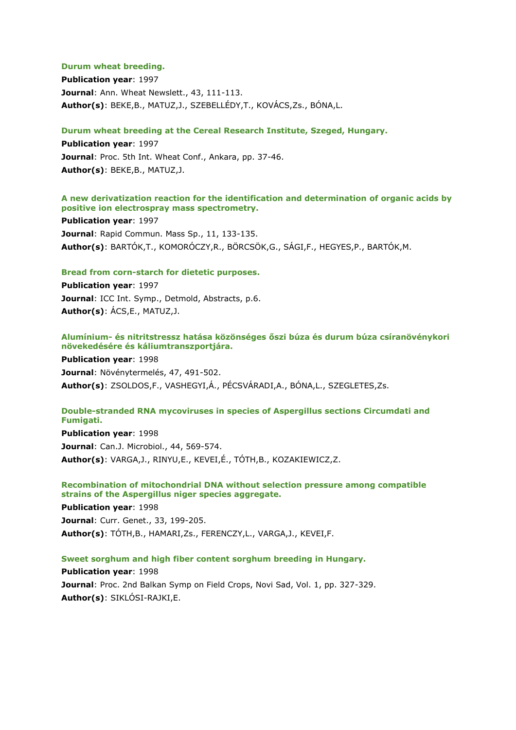### **Durum wheat breeding.**

**Publication year**: 1997 **Journal**: Ann. Wheat Newslett., 43, 111-113. **Author(s)**: BEKE,B., MATUZ,J., SZEBELLÉDY,T., KOVÁCS,Zs., BÓNA,L.

### **Durum wheat breeding at the Cereal Research Institute, Szeged, Hungary.**

**Publication year**: 1997 **Journal**: Proc. 5th Int. Wheat Conf., Ankara, pp. 37-46. **Author(s)**: BEKE,B., MATUZ,J.

### **A new derivatization reaction for the identification and determination of organic acids by positive ion electrospray mass spectrometry.**

**Publication year**: 1997 **Journal**: Rapid Commun. Mass Sp., 11, 133-135. **Author(s)**: BARTÓK,T., KOMORÓCZY,R., BÖRCSÖK,G., SÁGI,F., HEGYES,P., BARTÓK,M.

# **Bread from corn-starch for dietetic purposes.**

**Publication year**: 1997 **Journal**: ICC Int. Symp., Detmold, Abstracts, p.6. **Author(s)**: ÁCS,E., MATUZ,J.

### **Alumínium- és nitritstressz hatása közönséges őszi búza és durum búza csíranövénykori növekedésére és káliumtranszportjára.**

**Publication year**: 1998 **Journal**: Növénytermelés, 47, 491-502. **Author(s)**: ZSOLDOS,F., VASHEGYI,Á., PÉCSVÁRADI,A., BÓNA,L., SZEGLETES,Zs.

# **Double-stranded RNA mycoviruses in species of Aspergillus sections Circumdati and Fumigati.**

**Publication year**: 1998 **Journal**: Can.J. Microbiol., 44, 569-574. **Author(s)**: VARGA,J., RINYU,E., KEVEI,É., TÓTH,B., KOZAKIEWICZ,Z.

# **Recombination of mitochondrial DNA without selection pressure among compatible strains of the Aspergillus niger species aggregate.**

**Publication year**: 1998 **Journal**: Curr. Genet., 33, 199-205. **Author(s)**: TÓTH,B., HAMARI,Zs., FERENCZY,L., VARGA,J., KEVEI,F.

# **Sweet sorghum and high fiber content sorghum breeding in Hungary.**

**Publication year**: 1998 **Journal**: Proc. 2nd Balkan Symp on Field Crops, Novi Sad, Vol. 1, pp. 327-329. **Author(s)**: SIKLÓSI-RAJKI,E.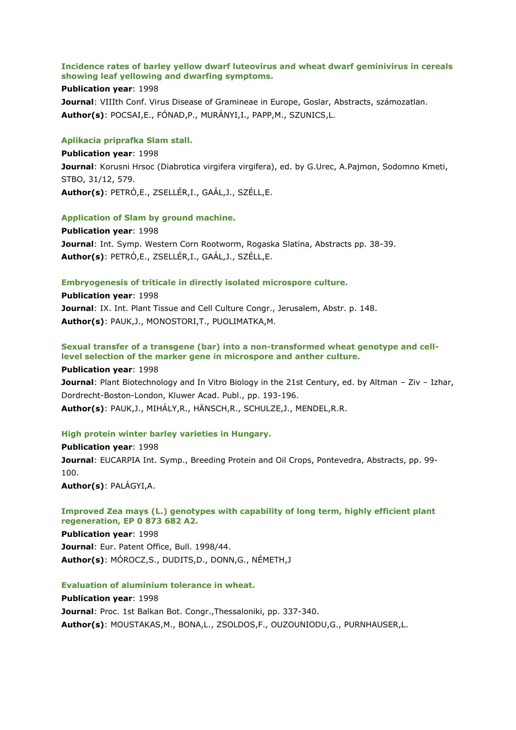# **Incidence rates of barley yellow dwarf luteovirus and wheat dwarf geminivirus in cereals showing leaf yellowing and dwarfing symptoms.**

# **Publication year**: 1998

**Journal**: VIIIth Conf. Virus Disease of Gramineae in Europe, Goslar, Abstracts, számozatlan. **Author(s)**: POCSAI,E., FÓNAD,P., MURÁNYI,I., PAPP,M., SZUNICS,L.

### **Aplikacia priprafka Slam stall.**

**Publication year**: 1998 **Journal**: Korusni Hrsoc (Diabrotica virgifera virgifera), ed. by G.Urec, A.Pajmon, Sodomno Kmeti, STBO, 31/12, 579. **Author(s)**: PETRÓ,E., ZSELLÉR,I., GAÁL,J., SZÉLL,E.

### **Application of Slam by ground machine.**

**Publication year**: 1998 **Journal**: Int. Symp. Western Corn Rootworm, Rogaska Slatina, Abstracts pp. 38-39. **Author(s)**: PETRÓ,E., ZSELLÉR,I., GAÁL,J., SZÉLL,E.

### **Embryogenesis of triticale in directly isolated microspore culture.**

**Publication year**: 1998 **Journal**: IX. Int. Plant Tissue and Cell Culture Congr., Jerusalem, Abstr. p. 148. **Author(s)**: PAUK,J., MONOSTORI,T., PUOLIMATKA,M.

# **Sexual transfer of a transgene (bar) into a non-transformed wheat genotype and celllevel selection of the marker gene in microspore and anther culture.**

**Publication year**: 1998

**Journal**: Plant Biotechnology and In Vitro Biology in the 21st Century, ed. by Altman – Ziv – Izhar, Dordrecht-Boston-London, Kluwer Acad. Publ., pp. 193-196. **Author(s)**: PAUK,J., MIHÁLY,R., HÄNSCH,R., SCHULZE,J., MENDEL,R.R.

# **High protein winter barley varieties in Hungary.**

**Publication year**: 1998 **Journal**: EUCARPIA Int. Symp., Breeding Protein and Oil Crops, Pontevedra, Abstracts, pp. 99- 100.

**Author(s)**: PALÁGYI,A.

# **Improved Zea mays (L.) genotypes with capability of long term, highly efficient plant regeneration, EP 0 873 682 A2.**

**Publication year**: 1998 **Journal**: Eur. Patent Office, Bull. 1998/44. **Author(s)**: MÓROCZ,S., DUDITS,D., DONN,G., NÉMETH,J

# **Evaluation of aluminium tolerance in wheat.**

**Publication year**: 1998 **Journal**: Proc. 1st Balkan Bot. Congr.,Thessaloniki, pp. 337-340. **Author(s)**: MOUSTAKAS,M., BONA,L., ZSOLDOS,F., OUZOUNIODU,G., PURNHAUSER,L.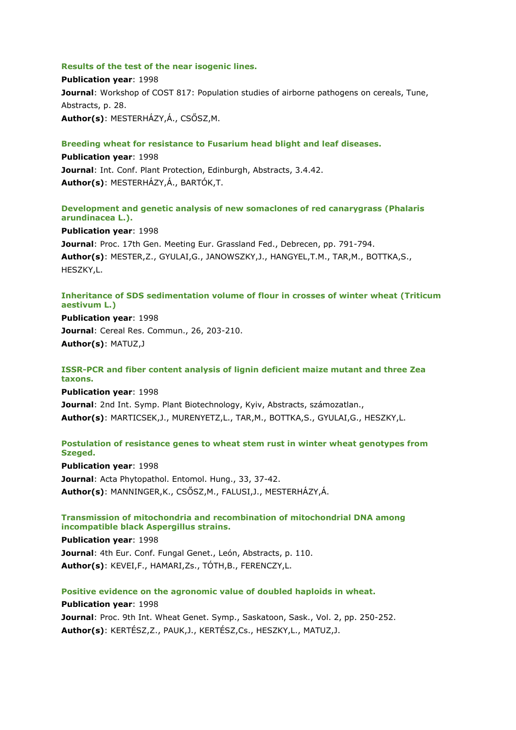# **Results of the test of the near isogenic lines.**

**Publication year**: 1998 **Journal**: Workshop of COST 817: Population studies of airborne pathogens on cereals, Tune, Abstracts, p. 28. **Author(s)**: MESTERHÁZY,Á., CSŐSZ,M.

# **Breeding wheat for resistance to Fusarium head blight and leaf diseases.**

**Publication year**: 1998 **Journal**: Int. Conf. Plant Protection, Edinburgh, Abstracts, 3.4.42. **Author(s)**: MESTERHÁZY,Á., BARTÓK,T.

# **Development and genetic analysis of new somaclones of red canarygrass (Phalaris arundinacea L.).**

**Publication year**: 1998 **Journal**: Proc. 17th Gen. Meeting Eur. Grassland Fed., Debrecen, pp. 791-794. **Author(s)**: MESTER,Z., GYULAI,G., JANOWSZKY,J., HANGYEL,T.M., TAR,M., BOTTKA,S., HESZKY,L.

# **Inheritance of SDS sedimentation volume of flour in crosses of winter wheat (Triticum aestivum L.)**

**Publication year**: 1998 **Journal**: Cereal Res. Commun., 26, 203-210. **Author(s)**: MATUZ,J

# **ISSR-PCR and fiber content analysis of lignin deficient maize mutant and three Zea taxons.**

**Publication year**: 1998 **Journal**: 2nd Int. Symp. Plant Biotechnology, Kyiv, Abstracts, számozatlan., **Author(s)**: MARTICSEK,J., MURENYETZ,L., TAR,M., BOTTKA,S., GYULAI,G., HESZKY,L.

# **Postulation of resistance genes to wheat stem rust in winter wheat genotypes from Szeged.**

**Publication year**: 1998 **Journal**: Acta Phytopathol. Entomol. Hung., 33, 37-42. **Author(s)**: MANNINGER,K., CSŐSZ,M., FALUSI,J., MESTERHÁZY,Á.

# **Transmission of mitochondria and recombination of mitochondrial DNA among incompatible black Aspergillus strains.**

**Publication year**: 1998 **Journal**: 4th Eur. Conf. Fungal Genet., León, Abstracts, p. 110. **Author(s)**: KEVEI,F., HAMARI,Zs., TÓTH,B., FERENCZY,L.

# **Positive evidence on the agronomic value of doubled haploids in wheat.**

**Publication year**: 1998 **Journal**: Proc. 9th Int. Wheat Genet. Symp., Saskatoon, Sask., Vol. 2, pp. 250-252. **Author(s)**: KERTÉSZ,Z., PAUK,J., KERTÉSZ,Cs., HESZKY,L., MATUZ,J.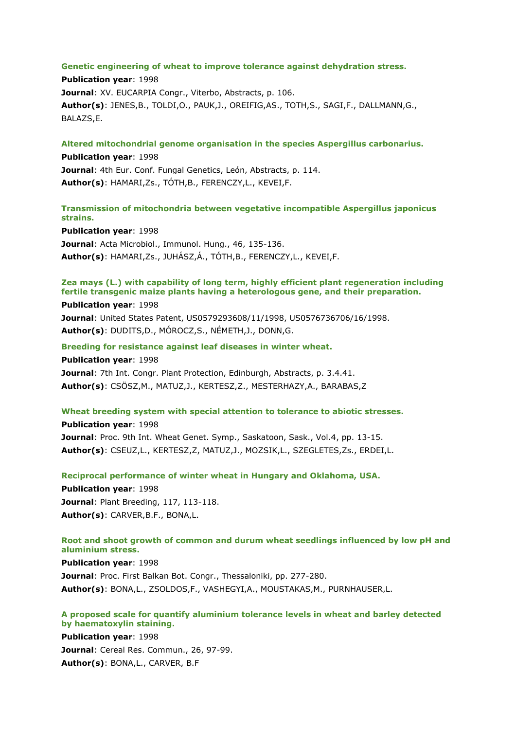#### **Genetic engineering of wheat to improve tolerance against dehydration stress.**

**Publication year**: 1998 **Journal**: XV. EUCARPIA Congr., Viterbo, Abstracts, p. 106. **Author(s)**: JENES,B., TOLDI,O., PAUK,J., OREIFIG,AS., TOTH,S., SAGI,F., DALLMANN,G., BALAZS,E.

**Altered mitochondrial genome organisation in the species Aspergillus carbonarius. Publication year**: 1998 **Journal**: 4th Eur. Conf. Fungal Genetics, León, Abstracts, p. 114. **Author(s)**: HAMARI,Zs., TÓTH,B., FERENCZY,L., KEVEI,F.

**Transmission of mitochondria between vegetative incompatible Aspergillus japonicus strains.**

**Publication year**: 1998 **Journal**: Acta Microbiol., Immunol. Hung., 46, 135-136. **Author(s)**: HAMARI,Zs., JUHÁSZ,Á., TÓTH,B., FERENCZY,L., KEVEI,F.

# **Zea mays (L.) with capability of long term, highly efficient plant regeneration including fertile transgenic maize plants having a heterologous gene, and their preparation.**

#### **Publication year**: 1998

**Journal**: United States Patent, US0579293608/11/1998, US0576736706/16/1998. **Author(s)**: DUDITS,D., MÓROCZ,S., NÉMETH,J., DONN,G.

**Breeding for resistance against leaf diseases in winter wheat.**

**Publication year**: 1998 **Journal**: 7th Int. Congr. Plant Protection, Edinburgh, Abstracts, p. 3.4.41. **Author(s)**: CSÖSZ,M., MATUZ,J., KERTESZ,Z., MESTERHAZY,A., BARABAS,Z

### **Wheat breeding system with special attention to tolerance to abiotic stresses.**

**Publication year**: 1998 **Journal**: Proc. 9th Int. Wheat Genet. Symp., Saskatoon, Sask., Vol.4, pp. 13-15. **Author(s)**: CSEUZ,L., KERTESZ,Z, MATUZ,J., MOZSIK,L., SZEGLETES,Zs., ERDEI,L.

**Reciprocal performance of winter wheat in Hungary and Oklahoma, USA. Publication year**: 1998 **Journal**: Plant Breeding, 117, 113-118. **Author(s)**: CARVER,B.F., BONA,L.

# **Root and shoot growth of common and durum wheat seedlings influenced by low pH and aluminium stress.**

#### **Publication year**: 1998

**Journal**: Proc. First Balkan Bot. Congr., Thessaloniki, pp. 277-280. **Author(s)**: BONA,L., ZSOLDOS,F., VASHEGYI,A., MOUSTAKAS,M., PURNHAUSER,L.

# **A proposed scale for quantify aluminium tolerance levels in wheat and barley detected by haematoxylin staining.**

**Publication year**: 1998 **Journal**: Cereal Res. Commun., 26, 97-99. **Author(s)**: BONA,L., CARVER, B.F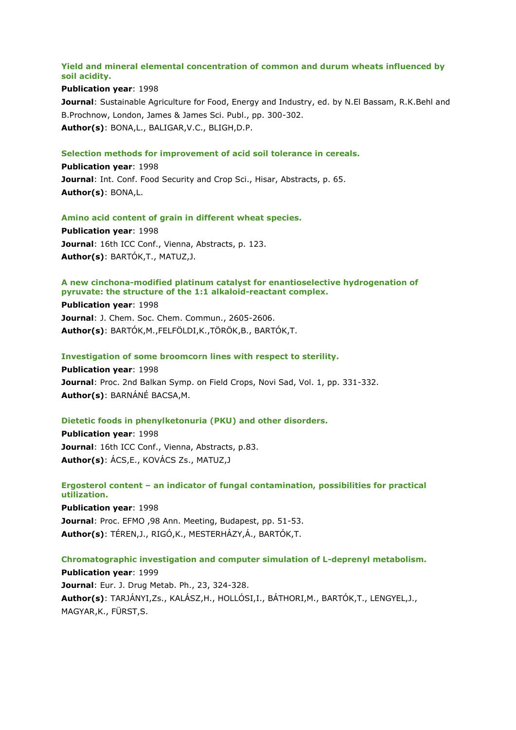# **Yield and mineral elemental concentration of common and durum wheats influenced by soil acidity.**

## **Publication year**: 1998

**Journal**: Sustainable Agriculture for Food, Energy and Industry, ed. by N.El Bassam, R.K.Behl and B.Prochnow, London, James & James Sci. Publ., pp. 300-302. **Author(s)**: BONA,L., BALIGAR,V.C., BLIGH,D.P.

### **Selection methods for improvement of acid soil tolerance in cereals.**

**Publication year**: 1998 **Journal**: Int. Conf. Food Security and Crop Sci., Hisar, Abstracts, p. 65. **Author(s)**: BONA,L.

### **Amino acid content of grain in different wheat species.**

**Publication year**: 1998 **Journal**: 16th ICC Conf., Vienna, Abstracts, p. 123. **Author(s)**: BARTÓK,T., MATUZ,J.

# **A new cinchona-modified platinum catalyst for enantioselective hydrogenation of pyruvate: the structure of the 1:1 alkaloid-reactant complex.**

**Publication year**: 1998 **Journal**: J. Chem. Soc. Chem. Commun., 2605-2606. **Author(s)**: BARTÓK,M.,FELFÖLDI,K.,TÖRÖK,B., BARTÓK,T.

#### **Investigation of some broomcorn lines with respect to sterility.**

**Publication year**: 1998 **Journal**: Proc. 2nd Balkan Symp. on Field Crops, Novi Sad, Vol. 1, pp. 331-332. **Author(s)**: BARNÁNÉ BACSA,M.

# **Dietetic foods in phenylketonuria (PKU) and other disorders.**

**Publication year**: 1998 **Journal**: 16th ICC Conf., Vienna, Abstracts, p.83. **Author(s)**: ÁCS,E., KOVÁCS Zs., MATUZ,J

# **Ergosterol content – an indicator of fungal contamination, possibilities for practical utilization.**

**Publication year**: 1998 **Journal**: Proc. EFMO ,98 Ann. Meeting, Budapest, pp. 51-53. **Author(s)**: TÉREN,J., RIGÓ,K., MESTERHÁZY,Á., BARTÓK,T.

# **Chromatographic investigation and computer simulation of L-deprenyl metabolism.**

**Publication year**: 1999 **Journal**: Eur. J. Drug Metab. Ph., 23, 324-328. **Author(s)**: TARJÁNYI,Zs., KALÁSZ,H., HOLLÓSI,I., BÁTHORI,M., BARTÓK,T., LENGYEL,J., MAGYAR,K., FÜRST,S.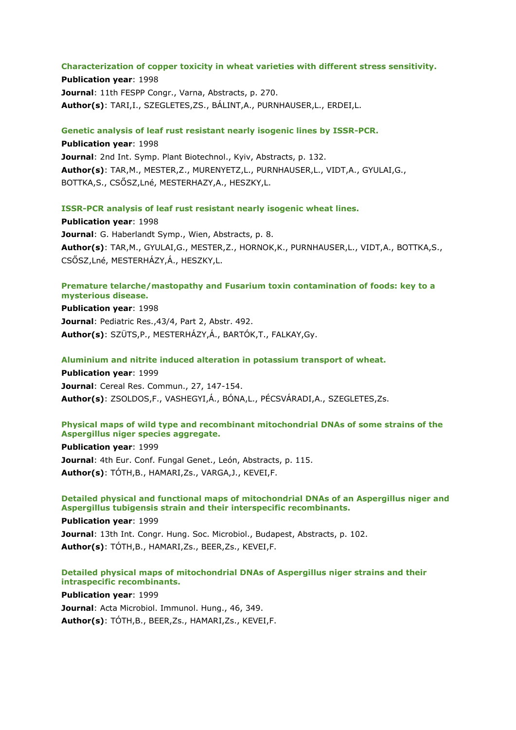### **Characterization of copper toxicity in wheat varieties with different stress sensitivity.**

**Publication year**: 1998 **Journal**: 11th FESPP Congr., Varna, Abstracts, p. 270. **Author(s)**: TARI,I., SZEGLETES,ZS., BÁLINT,A., PURNHAUSER,L., ERDEI,L.

**Genetic analysis of leaf rust resistant nearly isogenic lines by ISSR-PCR.**

**Publication year**: 1998 **Journal**: 2nd Int. Symp. Plant Biotechnol., Kyiv, Abstracts, p. 132. **Author(s)**: TAR,M., MESTER,Z., MURENYETZ,L., PURNHAUSER,L., VIDT,A., GYULAI,G., BOTTKA,S., CSŐSZ,Lné, MESTERHAZY,A., HESZKY,L.

**ISSR-PCR analysis of leaf rust resistant nearly isogenic wheat lines.**

**Publication year**: 1998 **Journal**: G. Haberlandt Symp., Wien, Abstracts, p. 8. **Author(s)**: TAR,M., GYULAI,G., MESTER,Z., HORNOK,K., PURNHAUSER,L., VIDT,A., BOTTKA,S., CSŐSZ,Lné, MESTERHÁZY,Á., HESZKY,L.

# **Premature telarche/mastopathy and Fusarium toxin contamination of foods: key to a mysterious disease.**

**Publication year**: 1998 **Journal**: Pediatric Res.,43/4, Part 2, Abstr. 492. **Author(s)**: SZÜTS,P., MESTERHÁZY,Á., BARTÓK,T., FALKAY,Gy.

**Aluminium and nitrite induced alteration in potassium transport of wheat.**

**Publication year**: 1999 **Journal**: Cereal Res. Commun., 27, 147-154. **Author(s)**: ZSOLDOS,F., VASHEGYI,Á., BÓNA,L., PÉCSVÁRADI,A., SZEGLETES,Zs.

# **Physical maps of wild type and recombinant mitochondrial DNAs of some strains of the Aspergillus niger species aggregate.**

**Publication year**: 1999 **Journal**: 4th Eur. Conf. Fungal Genet., León, Abstracts, p. 115. **Author(s)**: TÓTH,B., HAMARI,Zs., VARGA,J., KEVEI,F.

# **Detailed physical and functional maps of mitochondrial DNAs of an Aspergillus niger and Aspergillus tubigensis strain and their interspecific recombinants.**

**Publication year**: 1999 **Journal**: 13th Int. Congr. Hung. Soc. Microbiol., Budapest, Abstracts, p. 102. **Author(s)**: TÓTH,B., HAMARI,Zs., BEER,Zs., KEVEI,F.

# **Detailed physical maps of mitochondrial DNAs of Aspergillus niger strains and their intraspecific recombinants.**

**Publication year**: 1999 **Journal**: Acta Microbiol. Immunol. Hung., 46, 349. **Author(s)**: TÓTH,B., BEER,Zs., HAMARI,Zs., KEVEI,F.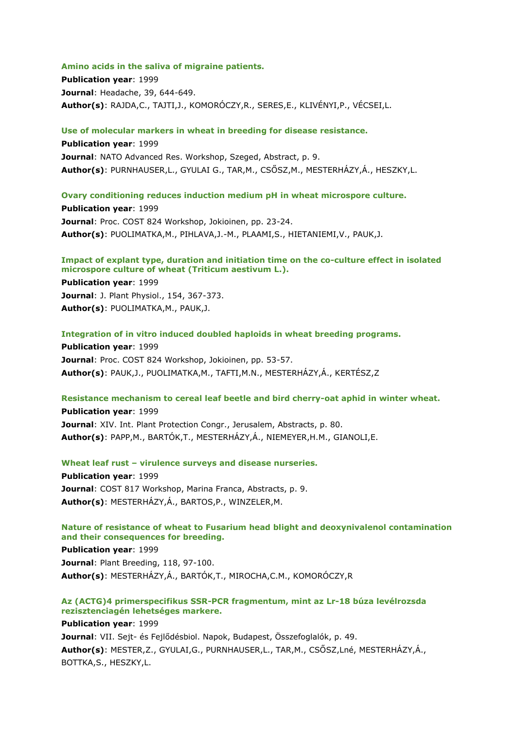#### **Amino acids in the saliva of migraine patients.**

**Publication year**: 1999 **Journal**: Headache, 39, 644-649. **Author(s)**: RAJDA,C., TAJTI,J., KOMORÓCZY,R., SERES,E., KLIVÉNYI,P., VÉCSEI,L.

**Use of molecular markers in wheat in breeding for disease resistance.**

**Publication year**: 1999 **Journal**: NATO Advanced Res. Workshop, Szeged, Abstract, p. 9. **Author(s)**: PURNHAUSER,L., GYULAI G., TAR,M., CSŐSZ,M., MESTERHÁZY,Á., HESZKY,L.

### **Ovary conditioning reduces induction medium pH in wheat microspore culture.**

**Publication year**: 1999 **Journal**: Proc. COST 824 Workshop, Jokioinen, pp. 23-24. **Author(s)**: PUOLIMATKA,M., PIHLAVA,J.-M., PLAAMI,S., HIETANIEMI,V., PAUK,J.

# **Impact of explant type, duration and initiation time on the co-culture effect in isolated microspore culture of wheat (Triticum aestivum L.).**

**Publication year**: 1999 **Journal**: J. Plant Physiol., 154, 367-373. **Author(s)**: PUOLIMATKA,M., PAUK,J.

**Integration of in vitro induced doubled haploids in wheat breeding programs.**

**Publication year**: 1999 **Journal**: Proc. COST 824 Workshop, Jokioinen, pp. 53-57. **Author(s)**: PAUK,J., PUOLIMATKA,M., TAFTI,M.N., MESTERHÁZY,Á., KERTÉSZ,Z

#### **Resistance mechanism to cereal leaf beetle and bird cherry-oat aphid in winter wheat.**

**Publication year**: 1999 **Journal**: XIV. Int. Plant Protection Congr., Jerusalem, Abstracts, p. 80. **Author(s)**: PAPP,M., BARTÓK,T., MESTERHÁZY,Á., NIEMEYER,H.M., GIANOLI,E.

**Wheat leaf rust – virulence surveys and disease nurseries.**

**Publication year**: 1999 **Journal**: COST 817 Workshop, Marina Franca, Abstracts, p. 9. **Author(s)**: MESTERHÁZY,Á., BARTOS,P., WINZELER,M.

### **Nature of resistance of wheat to Fusarium head blight and deoxynivalenol contamination and their consequences for breeding.**

**Publication year**: 1999 **Journal**: Plant Breeding, 118, 97-100. **Author(s)**: MESTERHÁZY,Á., BARTÓK,T., MIROCHA,C.M., KOMORÓCZY,R

# **Az (ACTG)4 primerspecifikus SSR-PCR fragmentum, mint az Lr-18 búza levélrozsda rezisztenciagén lehetséges markere.**

**Publication year**: 1999 **Journal**: VII. Sejt- és Fejlődésbiol. Napok, Budapest, Összefoglalók, p. 49. **Author(s)**: MESTER,Z., GYULAI,G., PURNHAUSER,L., TAR,M., CSŐSZ,Lné, MESTERHÁZY,Á., BOTTKA,S., HESZKY,L.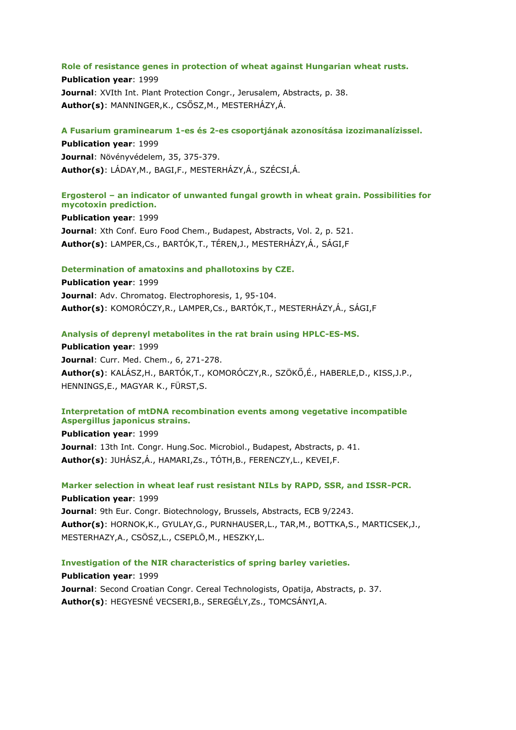#### **Role of resistance genes in protection of wheat against Hungarian wheat rusts.**

**Publication year**: 1999 **Journal: XVIth Int. Plant Protection Congr., Jerusalem, Abstracts, p. 38. Author(s)**: MANNINGER,K., CSŐSZ,M., MESTERHÁZY,Á.

#### **A Fusarium graminearum 1-es és 2-es csoportjának azonosítása izozimanalízissel.**

**Publication year**: 1999 **Journal**: Növényvédelem, 35, 375-379. **Author(s)**: LÁDAY,M., BAGI,F., MESTERHÁZY,Á., SZÉCSI,Á.

# **Ergosterol – an indicator of unwanted fungal growth in wheat grain. Possibilities for mycotoxin prediction.**

**Publication year**: 1999 **Journal**: Xth Conf. Euro Food Chem., Budapest, Abstracts, Vol. 2, p. 521. **Author(s)**: LAMPER,Cs., BARTÓK,T., TÉREN,J., MESTERHÁZY,Á., SÁGI,F

#### **Determination of amatoxins and phallotoxins by CZE.**

**Publication year**: 1999 **Journal**: Adv. Chromatog. Electrophoresis, 1, 95-104. **Author(s)**: KOMORÓCZY,R., LAMPER,Cs., BARTÓK,T., MESTERHÁZY,Á., SÁGI,F

#### **Analysis of deprenyl metabolites in the rat brain using HPLC-ES-MS.**

**Publication year**: 1999 **Journal**: Curr. Med. Chem., 6, 271-278. **Author(s)**: KALÁSZ,H., BARTÓK,T., KOMORÓCZY,R., SZÖKŐ,É., HABERLE,D., KISS,J.P., HENNINGS,E., MAGYAR K., FÜRST,S.

# **Interpretation of mtDNA recombination events among vegetative incompatible Aspergillus japonicus strains.**

**Publication year**: 1999 **Journal**: 13th Int. Congr. Hung.Soc. Microbiol., Budapest, Abstracts, p. 41. **Author(s)**: JUHÁSZ,Á., HAMARI,Zs., TÓTH,B., FERENCZY,L., KEVEI,F.

**Marker selection in wheat leaf rust resistant NILs by RAPD, SSR, and ISSR-PCR. Publication year**: 1999

**Journal**: 9th Eur. Congr. Biotechnology, Brussels, Abstracts, ECB 9/2243. **Author(s)**: HORNOK,K., GYULAY,G., PURNHAUSER,L., TAR,M., BOTTKA,S., MARTICSEK,J., MESTERHAZY,A., CSÖSZ,L., CSEPLÖ,M., HESZKY,L.

#### **Investigation of the NIR characteristics of spring barley varieties.**

**Publication year**: 1999 **Journal**: Second Croatian Congr. Cereal Technologists, Opatija, Abstracts, p. 37. **Author(s)**: HEGYESNÉ VECSERI,B., SEREGÉLY,Zs., TOMCSÁNYI,A.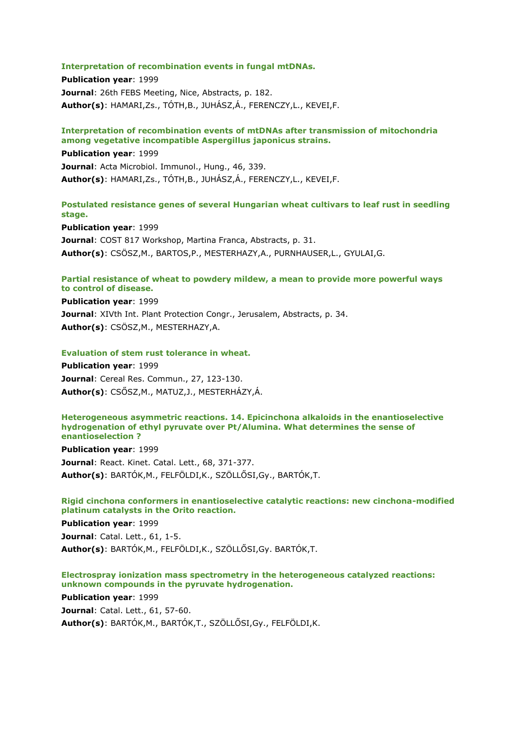#### **Interpretation of recombination events in fungal mtDNAs.**

**Publication year**: 1999 **Journal**: 26th FEBS Meeting, Nice, Abstracts, p. 182. **Author(s)**: HAMARI,Zs., TÓTH,B., JUHÁSZ,Á., FERENCZY,L., KEVEI,F.

## **Interpretation of recombination events of mtDNAs after transmission of mitochondria among vegetative incompatible Aspergillus japonicus strains.**

**Publication year**: 1999 **Journal**: Acta Microbiol. Immunol., Hung., 46, 339. **Author(s)**: HAMARI,Zs., TÓTH,B., JUHÁSZ,Á., FERENCZY,L., KEVEI,F.

# **Postulated resistance genes of several Hungarian wheat cultivars to leaf rust in seedling stage.**

**Publication year**: 1999 **Journal**: COST 817 Workshop, Martina Franca, Abstracts, p. 31. **Author(s)**: CSÖSZ,M., BARTOS,P., MESTERHAZY,A., PURNHAUSER,L., GYULAI,G.

# **Partial resistance of wheat to powdery mildew, a mean to provide more powerful ways to control of disease.**

**Publication year**: 1999 **Journal**: XIVth Int. Plant Protection Congr., Jerusalem, Abstracts, p. 34. **Author(s)**: CSÖSZ,M., MESTERHAZY,A.

### **Evaluation of stem rust tolerance in wheat.**

**Publication year**: 1999 **Journal**: Cereal Res. Commun., 27, 123-130. **Author(s)**: CSŐSZ,M., MATUZ,J., MESTERHÁZY,Á.

#### **Heterogeneous asymmetric reactions. 14. Epicinchona alkaloids in the enantioselective hydrogenation of ethyl pyruvate over Pt/Alumina. What determines the sense of enantioselection ?**

**Publication year**: 1999

**Journal**: React. Kinet. Catal. Lett., 68, 371-377. **Author(s)**: BARTÓK,M., FELFÖLDI,K., SZÖLLŐSI,Gy., BARTÓK,T.

# **Rigid cinchona conformers in enantioselective catalytic reactions: new cinchona-modified platinum catalysts in the Orito reaction.**

**Publication year**: 1999

**Journal**: Catal. Lett., 61, 1-5. **Author(s)**: BARTÓK,M., FELFÖLDI,K., SZÖLLŐSI,Gy. BARTÓK,T.

# **Electrospray ionization mass spectrometry in the heterogeneous catalyzed reactions: unknown compounds in the pyruvate hydrogenation.**

**Publication year**: 1999

**Journal**: Catal. Lett., 61, 57-60.

**Author(s)**: BARTÓK,M., BARTÓK,T., SZÖLLŐSI,Gy., FELFÖLDI,K.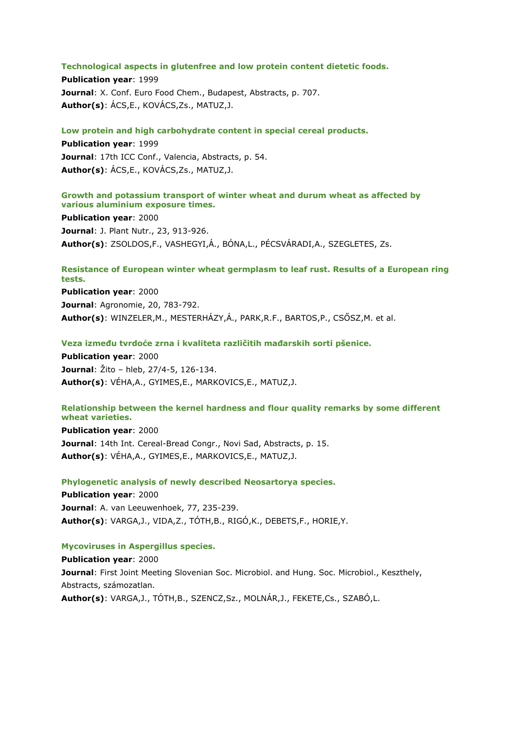#### **Technological aspects in glutenfree and low protein content dietetic foods.**

**Publication year**: 1999 **Journal**: X. Conf. Euro Food Chem., Budapest, Abstracts, p. 707. **Author(s)**: ÁCS,E., KOVÁCS,Zs., MATUZ,J.

### **Low protein and high carbohydrate content in special cereal products.**

**Publication year**: 1999 **Journal**: 17th ICC Conf., Valencia, Abstracts, p. 54. **Author(s)**: ÁCS,E., KOVÁCS,Zs., MATUZ,J.

# **Growth and potassium transport of winter wheat and durum wheat as affected by various aluminium exposure times.**

**Publication year**: 2000 **Journal**: J. Plant Nutr., 23, 913-926. **Author(s)**: ZSOLDOS,F., VASHEGYI,Á., BÓNA,L., PÉCSVÁRADI,A., SZEGLETES, Zs.

# **Resistance of European winter wheat germplasm to leaf rust. Results of a European ring tests.**

**Publication year**: 2000 **Journal**: Agronomie, 20, 783-792. **Author(s)**: WINZELER,M., MESTERHÁZY,Á., PARK,R.F., BARTOS,P., CSŐSZ,M. et al.

### **Veza između tvrdoće zrna i kvaliteta različitih mađarskih sorti pšenice.**

**Publication year**: 2000 **Journal**: Žito – hleb, 27/4-5, 126-134. **Author(s)**: VÉHA,A., GYIMES,E., MARKOVICS,E., MATUZ,J.

# **Relationship between the kernel hardness and flour quality remarks by some different wheat varieties.**

**Publication year**: 2000 **Journal**: 14th Int. Cereal-Bread Congr., Novi Sad, Abstracts, p. 15. **Author(s)**: VÉHA,A., GYIMES,E., MARKOVICS,E., MATUZ,J.

#### **Phylogenetic analysis of newly described Neosartorya species.**

**Publication year**: 2000 **Journal**: A. van Leeuwenhoek, 77, 235-239. **Author(s)**: VARGA,J., VIDA,Z., TÓTH,B., RIGÓ,K., DEBETS,F., HORIE,Y.

#### **Mycoviruses in Aspergillus species.**

**Publication year**: 2000 **Journal**: First Joint Meeting Slovenian Soc. Microbiol. and Hung. Soc. Microbiol., Keszthely, Abstracts, számozatlan. **Author(s)**: VARGA,J., TÓTH,B., SZENCZ,Sz., MOLNÁR,J., FEKETE,Cs., SZABÓ,L.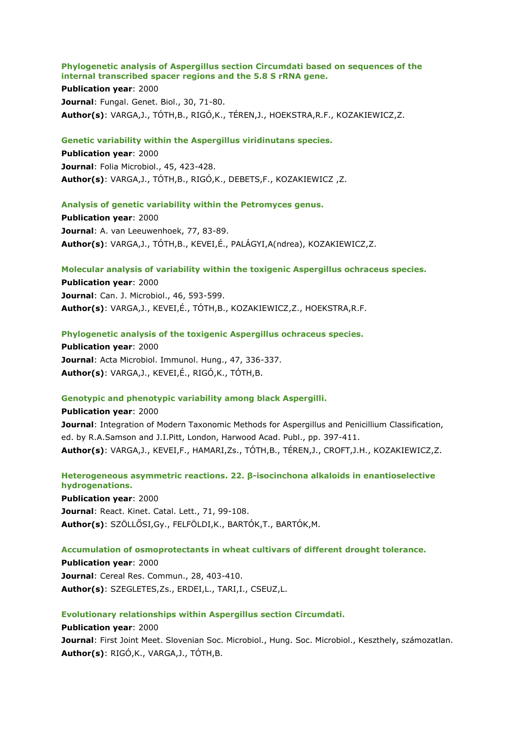# **Phylogenetic analysis of Aspergillus section Circumdati based on sequences of the internal transcribed spacer regions and the 5.8 S rRNA gene.**

**Publication year**: 2000 **Journal**: Fungal. Genet. Biol., 30, 71-80. **Author(s)**: VARGA,J., TÓTH,B., RIGÓ,K., TÉREN,J., HOEKSTRA,R.F., KOZAKIEWICZ,Z.

# **Genetic variability within the Aspergillus viridinutans species.**

**Publication year**: 2000 **Journal**: Folia Microbiol., 45, 423-428. **Author(s)**: VARGA,J., TÓTH,B., RIGÓ,K., DEBETS,F., KOZAKIEWICZ ,Z.

# **Analysis of genetic variability within the Petromyces genus.**

**Publication year**: 2000 **Journal**: A. van Leeuwenhoek, 77, 83-89. **Author(s)**: VARGA,J., TÓTH,B., KEVEI,É., PALÁGYI,A(ndrea), KOZAKIEWICZ,Z.

# **Molecular analysis of variability within the toxigenic Aspergillus ochraceus species.**

**Publication year**: 2000 **Journal**: Can. J. Microbiol., 46, 593-599. **Author(s)**: VARGA,J., KEVEI,É., TÓTH,B., KOZAKIEWICZ,Z., HOEKSTRA,R.F.

# **Phylogenetic analysis of the toxigenic Aspergillus ochraceus species.**

**Publication year**: 2000 **Journal**: Acta Microbiol. Immunol. Hung., 47, 336-337. **Author(s)**: VARGA,J., KEVEI,É., RIGÓ,K., TÓTH,B.

# **Genotypic and phenotypic variability among black Aspergilli.**

**Publication year**: 2000 **Journal:** Integration of Modern Taxonomic Methods for Aspergillus and Penicillium Classification, ed. by R.A.Samson and J.I.Pitt, London, Harwood Acad. Publ., pp. 397-411. **Author(s)**: VARGA,J., KEVEI,F., HAMARI,Zs., TÓTH,B., TÉREN,J., CROFT,J.H., KOZAKIEWICZ,Z.

# **Heterogeneous asymmetric reactions. 22. β-isocinchona alkaloids in enantioselective hydrogenations.**

**Publication year**: 2000 **Journal**: React. Kinet. Catal. Lett., 71, 99-108. **Author(s)**: SZÖLLŐSI,Gy., FELFÖLDI,K., BARTÓK,T., BARTÓK,M.

# **Accumulation of osmoprotectants in wheat cultivars of different drought tolerance.**

**Publication year**: 2000 **Journal**: Cereal Res. Commun., 28, 403-410. **Author(s)**: SZEGLETES,Zs., ERDEI,L., TARI,I., CSEUZ,L.

# **Evolutionary relationships within Aspergillus section Circumdati.**

**Publication year**: 2000 **Journal**: First Joint Meet. Slovenian Soc. Microbiol., Hung. Soc. Microbiol., Keszthely, számozatlan. **Author(s)**: RIGÓ,K., VARGA,J., TÓTH,B.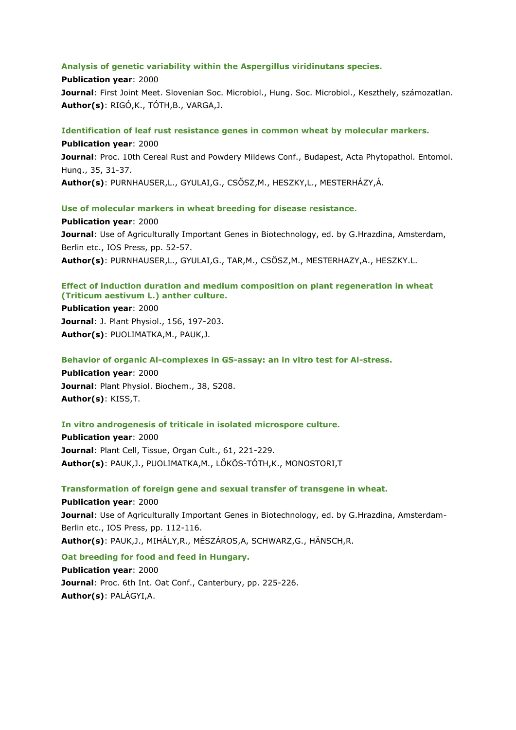### **Analysis of genetic variability within the Aspergillus viridinutans species.**

**Publication year**: 2000 **Journal**: First Joint Meet. Slovenian Soc. Microbiol., Hung. Soc. Microbiol., Keszthely, számozatlan. **Author(s)**: RIGÓ,K., TÓTH,B., VARGA,J.

### **Identification of leaf rust resistance genes in common wheat by molecular markers.**

**Publication year**: 2000 **Journal**: Proc. 10th Cereal Rust and Powdery Mildews Conf., Budapest, Acta Phytopathol. Entomol. Hung., 35, 31-37. **Author(s)**: PURNHAUSER,L., GYULAI,G., CSŐSZ,M., HESZKY,L., MESTERHÁZY,Á.

#### **Use of molecular markers in wheat breeding for disease resistance.**

**Publication year**: 2000 **Journal**: Use of Agriculturally Important Genes in Biotechnology, ed. by G.Hrazdina, Amsterdam, Berlin etc., IOS Press, pp. 52-57. **Author(s)**: PURNHAUSER,L., GYULAI,G., TAR,M., CSÖSZ,M., MESTERHAZY,A., HESZKY.L.

# **Effect of induction duration and medium composition on plant regeneration in wheat (Triticum aestivum L.) anther culture.**

**Publication year**: 2000 **Journal**: J. Plant Physiol., 156, 197-203. **Author(s)**: PUOLIMATKA,M., PAUK,J.

### **Behavior of organic Al-complexes in GS-assay: an in vitro test for Al-stress.**

**Publication year**: 2000 **Journal**: Plant Physiol. Biochem., 38, S208. **Author(s)**: KISS,T.

## **In vitro androgenesis of triticale in isolated microspore culture.**

**Publication year**: 2000 **Journal**: Plant Cell, Tissue, Organ Cult., 61, 221-229. **Author(s)**: PAUK,J., PUOLIMATKA,M., LŐKÖS-TÓTH,K., MONOSTORI,T

# **Transformation of foreign gene and sexual transfer of transgene in wheat.**

**Publication year**: 2000 **Journal**: Use of Agriculturally Important Genes in Biotechnology, ed. by G.Hrazdina, Amsterdam-Berlin etc., IOS Press, pp. 112-116. **Author(s)**: PAUK,J., MIHÁLY,R., MÉSZÁROS,A, SCHWARZ,G., HÄNSCH,R.

**Oat breeding for food and feed in Hungary. Publication year**: 2000 **Journal**: Proc. 6th Int. Oat Conf., Canterbury, pp. 225-226. **Author(s)**: PALÁGYI,A.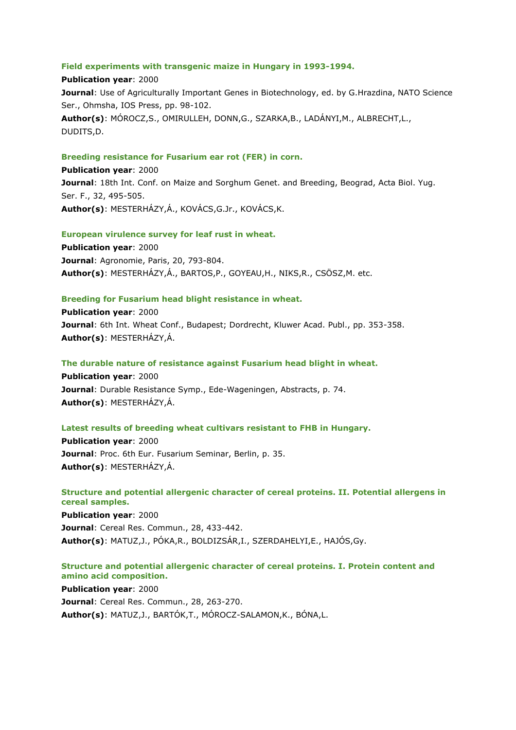### **Field experiments with transgenic maize in Hungary in 1993-1994.**

**Publication year**: 2000 **Journal**: Use of Agriculturally Important Genes in Biotechnology, ed. by G.Hrazdina, NATO Science Ser., Ohmsha, IOS Press, pp. 98-102. **Author(s)**: MÓROCZ,S., OMIRULLEH, DONN,G., SZARKA,B., LADÁNYI,M., ALBRECHT,L., DUDITS,D.

### **Breeding resistance for Fusarium ear rot (FER) in corn.**

**Publication year**: 2000 **Journal**: 18th Int. Conf. on Maize and Sorghum Genet. and Breeding, Beograd, Acta Biol. Yug. Ser. F., 32, 495-505. **Author(s)**: MESTERHÁZY,Á., KOVÁCS,G.Jr., KOVÁCS,K.

# **European virulence survey for leaf rust in wheat.**

**Publication year**: 2000 **Journal**: Agronomie, Paris, 20, 793-804. **Author(s)**: MESTERHÁZY,Á., BARTOS,P., GOYEAU,H., NIKS,R., CSÖSZ,M. etc.

### **Breeding for Fusarium head blight resistance in wheat.**

**Publication year**: 2000 **Journal**: 6th Int. Wheat Conf., Budapest; Dordrecht, Kluwer Acad. Publ., pp. 353-358. **Author(s)**: MESTERHÁZY,Á.

#### **The durable nature of resistance against Fusarium head blight in wheat.**

**Publication year**: 2000 **Journal**: Durable Resistance Symp., Ede-Wageningen, Abstracts, p. 74. **Author(s)**: MESTERHÁZY,Á.

#### **Latest results of breeding wheat cultivars resistant to FHB in Hungary.**

**Publication year**: 2000 **Journal**: Proc. 6th Eur. Fusarium Seminar, Berlin, p. 35. **Author(s)**: MESTERHÁZY,Á.

**Structure and potential allergenic character of cereal proteins. II. Potential allergens in cereal samples.**

**Publication year**: 2000 **Journal**: Cereal Res. Commun., 28, 433-442. **Author(s)**: MATUZ,J., PÓKA,R., BOLDIZSÁR,I., SZERDAHELYI,E., HAJÓS,Gy.

### **Structure and potential allergenic character of cereal proteins. I. Protein content and amino acid composition.**

**Publication year**: 2000 **Journal**: Cereal Res. Commun., 28, 263-270. **Author(s)**: MATUZ,J., BARTÓK,T., MÓROCZ-SALAMON,K., BÓNA,L.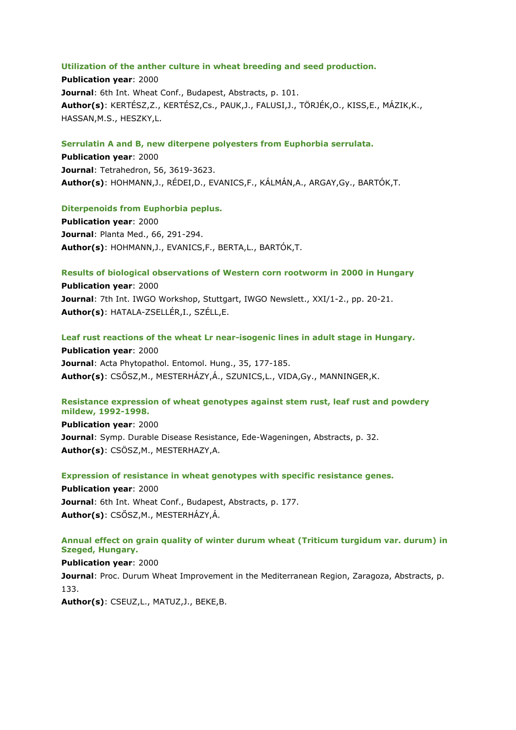### **Utilization of the anther culture in wheat breeding and seed production.**

**Publication year**: 2000 **Journal**: 6th Int. Wheat Conf., Budapest, Abstracts, p. 101. **Author(s)**: KERTÉSZ,Z., KERTÉSZ,Cs., PAUK,J., FALUSI,J., TÖRJÉK,O., KISS,E., MÁZIK,K., HASSAN,M.S., HESZKY,L.

### **Serrulatin A and B, new diterpene polyesters from Euphorbia serrulata.**

**Publication year**: 2000 **Journal**: Tetrahedron, 56, 3619-3623. **Author(s)**: HOHMANN,J., RÉDEI,D., EVANICS,F., KÁLMÁN,A., ARGAY,Gy., BARTÓK,T.

#### **Diterpenoids from Euphorbia peplus.**

**Publication year**: 2000 **Journal**: Planta Med., 66, 291-294. **Author(s)**: HOHMANN,J., EVANICS,F., BERTA,L., BARTÓK,T.

# **Results of biological observations of Western corn rootworm in 2000 in Hungary**

**Publication year**: 2000 **Journal**: 7th Int. IWGO Workshop, Stuttgart, IWGO Newslett., XXI/1-2., pp. 20-21. **Author(s)**: HATALA-ZSELLÉR,I., SZÉLL,E.

### **Leaf rust reactions of the wheat Lr near-isogenic lines in adult stage in Hungary.**

**Publication year**: 2000 **Journal**: Acta Phytopathol. Entomol. Hung., 35, 177-185. **Author(s)**: CSŐSZ,M., MESTERHÁZY,Á., SZUNICS,L., VIDA,Gy., MANNINGER,K.

# **Resistance expression of wheat genotypes against stem rust, leaf rust and powdery mildew, 1992-1998.**

**Publication year**: 2000 **Journal**: Symp. Durable Disease Resistance, Ede-Wageningen, Abstracts, p. 32. **Author(s)**: CSÖSZ,M., MESTERHAZY,A.

#### **Expression of resistance in wheat genotypes with specific resistance genes.**

**Publication year**: 2000 **Journal**: 6th Int. Wheat Conf., Budapest, Abstracts, p. 177. **Author(s)**: CSŐSZ,M., MESTERHÁZY,Á.

# **Annual effect on grain quality of winter durum wheat (Triticum turgidum var. durum) in Szeged, Hungary.**

#### **Publication year**: 2000

**Journal:** Proc. Durum Wheat Improvement in the Mediterranean Region, Zaragoza, Abstracts, p. 133.

**Author(s)**: CSEUZ,L., MATUZ,J., BEKE,B.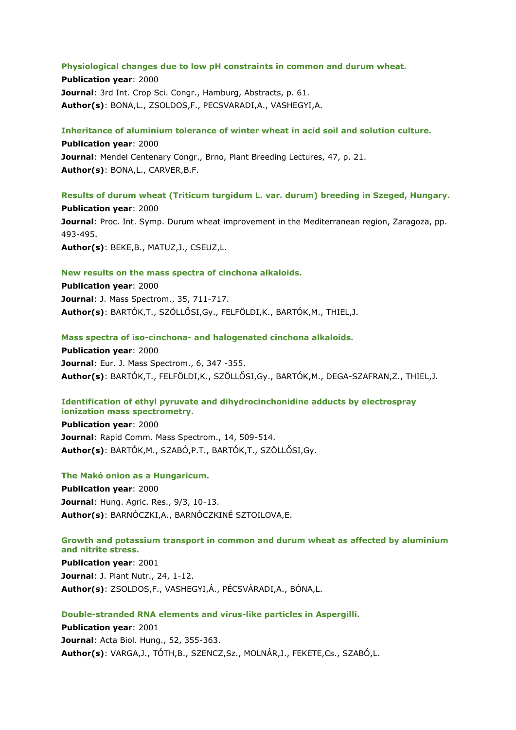### **Physiological changes due to low pH constraints in common and durum wheat.**

**Publication year**: 2000 **Journal**: 3rd Int. Crop Sci. Congr., Hamburg, Abstracts, p. 61. **Author(s)**: BONA,L., ZSOLDOS,F., PECSVARADI,A., VASHEGYI,A.

### **Inheritance of aluminium tolerance of winter wheat in acid soil and solution culture.**

**Publication year**: 2000 **Journal**: Mendel Centenary Congr., Brno, Plant Breeding Lectures, 47, p. 21. **Author(s)**: BONA,L., CARVER,B.F.

**Results of durum wheat (Triticum turgidum L. var. durum) breeding in Szeged, Hungary. Publication year**: 2000 **Journal**: Proc. Int. Symp. Durum wheat improvement in the Mediterranean region, Zaragoza, pp. 493-495. **Author(s)**: BEKE,B., MATUZ,J., CSEUZ,L.

### **New results on the mass spectra of cinchona alkaloids.**

**Publication year**: 2000 **Journal**: J. Mass Spectrom., 35, 711-717. **Author(s)**: BARTÓK,T., SZÖLLŐSI,Gy., FELFÖLDI,K., BARTÓK,M., THIEL,J.

### **Mass spectra of iso-cinchona- and halogenated cinchona alkaloids.**

**Publication year**: 2000 **Journal**: Eur. J. Mass Spectrom., 6, 347 -355. **Author(s)**: BARTÓK,T., FELFÖLDI,K., SZÖLLŐSI,Gy., BARTÓK,M., DEGA-SZAFRAN,Z., THIEL,J.

# **Identification of ethyl pyruvate and dihydrocinchonidine adducts by electrospray ionization mass spectrometry.**

**Publication year**: 2000 **Journal**: Rapid Comm. Mass Spectrom., 14, 509-514. **Author(s)**: BARTÓK,M., SZABÓ,P.T., BARTÓK,T., SZÖLLŐSI,Gy.

#### **The Makó onion as a Hungaricum.**

**Publication year**: 2000 **Journal**: Hung. Agric. Res., 9/3, 10-13. **Author(s)**: BARNÓCZKI,A., BARNÓCZKINÉ SZTOILOVA,E.

# **Growth and potassium transport in common and durum wheat as affected by aluminium and nitrite stress.**

**Publication year**: 2001 **Journal**: J. Plant Nutr., 24, 1-12. **Author(s)**: ZSOLDOS,F., VASHEGYI,Á., PÉCSVÁRADI,A., BÓNA,L.

#### **Double-stranded RNA elements and virus-like particles in Aspergilli.**

**Publication year**: 2001 **Journal**: Acta Biol. Hung., 52, 355-363. **Author(s)**: VARGA,J., TÓTH,B., SZENCZ,Sz., MOLNÁR,J., FEKETE,Cs., SZABÓ,L.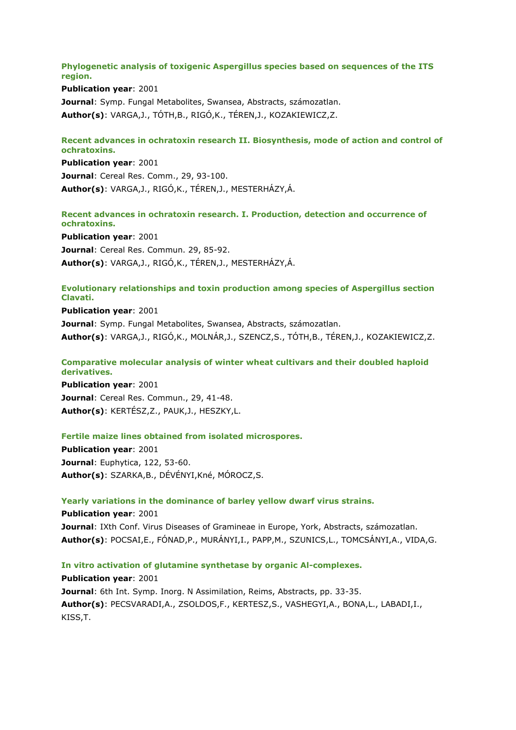**Phylogenetic analysis of toxigenic Aspergillus species based on sequences of the ITS region.**

**Publication year**: 2001 **Journal**: Symp. Fungal Metabolites, Swansea, Abstracts, számozatlan. **Author(s)**: VARGA,J., TÓTH,B., RIGÓ,K., TÉREN,J., KOZAKIEWICZ,Z.

# **Recent advances in ochratoxin research II. Biosynthesis, mode of action and control of ochratoxins.**

**Publication year**: 2001 **Journal**: Cereal Res. Comm., 29, 93-100. **Author(s)**: VARGA,J., RIGÓ,K., TÉREN,J., MESTERHÁZY,Á.

# **Recent advances in ochratoxin research. I. Production, detection and occurrence of ochratoxins.**

**Publication year**: 2001 **Journal**: Cereal Res. Commun. 29, 85-92. **Author(s)**: VARGA,J., RIGÓ,K., TÉREN,J., MESTERHÁZY,Á.

# **Evolutionary relationships and toxin production among species of Aspergillus section Clavati.**

**Publication year**: 2001 **Journal**: Symp. Fungal Metabolites, Swansea, Abstracts, számozatlan. **Author(s)**: VARGA,J., RIGÓ,K., MOLNÁR,J., SZENCZ,S., TÓTH,B., TÉREN,J., KOZAKIEWICZ,Z.

# **Comparative molecular analysis of winter wheat cultivars and their doubled haploid derivatives.**

**Publication year**: 2001 **Journal**: Cereal Res. Commun., 29, 41-48. **Author(s)**: KERTÉSZ,Z., PAUK,J., HESZKY,L.

# **Fertile maize lines obtained from isolated microspores.**

**Publication year**: 2001 **Journal**: Euphytica, 122, 53-60. **Author(s)**: SZARKA,B., DÉVÉNYI,Kné, MÓROCZ,S.

# **Yearly variations in the dominance of barley yellow dwarf virus strains.**

**Publication year**: 2001 **Journal**: IXth Conf. Virus Diseases of Gramineae in Europe, York, Abstracts, számozatlan. **Author(s)**: POCSAI,E., FÓNAD,P., MURÁNYI,I., PAPP,M., SZUNICS,L., TOMCSÁNYI,A., VIDA,G.

# **In vitro activation of glutamine synthetase by organic Al-complexes.**

**Publication year**: 2001 **Journal**: 6th Int. Symp. Inorg. N Assimilation, Reims, Abstracts, pp. 33-35. **Author(s)**: PECSVARADI,A., ZSOLDOS,F., KERTESZ,S., VASHEGYI,A., BONA,L., LABADI,I., KISS,T.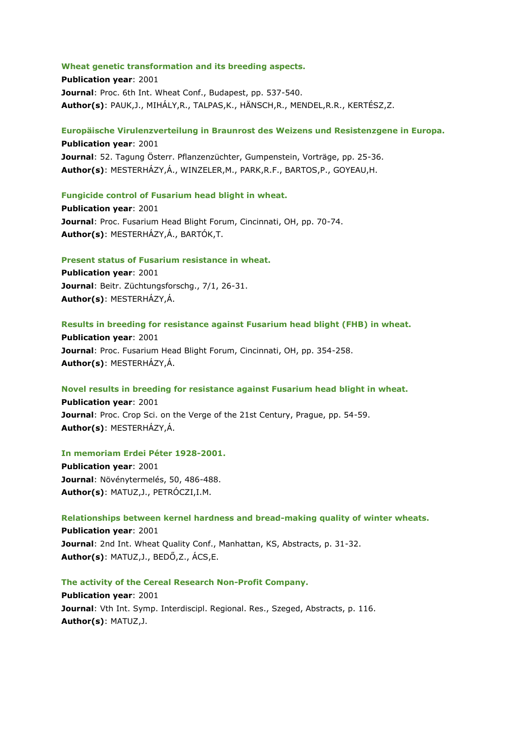#### **Wheat genetic transformation and its breeding aspects.**

**Publication year**: 2001 **Journal**: Proc. 6th Int. Wheat Conf., Budapest, pp. 537-540. **Author(s)**: PAUK,J., MIHÁLY,R., TALPAS,K., HÄNSCH,R., MENDEL,R.R., KERTÉSZ,Z.

**Europäische Virulenzverteilung in Braunrost des Weizens und Resistenzgene in Europa. Publication year**: 2001 **Journal**: 52. Tagung Österr. Pflanzenzüchter, Gumpenstein, Vorträge, pp. 25-36. **Author(s)**: MESTERHÁZY,Á., WINZELER,M., PARK,R.F., BARTOS,P., GOYEAU,H.

**Fungicide control of Fusarium head blight in wheat. Publication year**: 2001

**Journal**: Proc. Fusarium Head Blight Forum, Cincinnati, OH, pp. 70-74. **Author(s)**: MESTERHÁZY,Á., BARTÓK,T.

# **Present status of Fusarium resistance in wheat.**

**Publication year**: 2001 **Journal**: Beitr. Züchtungsforschg., 7/1, 26-31. **Author(s)**: MESTERHÁZY,Á.

# **Results in breeding for resistance against Fusarium head blight (FHB) in wheat.**

**Publication year**: 2001 **Journal**: Proc. Fusarium Head Blight Forum, Cincinnati, OH, pp. 354-258. **Author(s)**: MESTERHÁZY,Á.

# **Novel results in breeding for resistance against Fusarium head blight in wheat.**

**Publication year**: 2001 **Journal**: Proc. Crop Sci. on the Verge of the 21st Century, Prague, pp. 54-59. **Author(s)**: MESTERHÁZY,Á.

#### **In memoriam Erdei Péter 1928-2001.**

**Publication year**: 2001 **Journal**: Növénytermelés, 50, 486-488. **Author(s)**: MATUZ,J., PETRÓCZI,I.M.

# **Relationships between kernel hardness and bread-making quality of winter wheats.**

**Publication year**: 2001 **Journal**: 2nd Int. Wheat Quality Conf., Manhattan, KS, Abstracts, p. 31-32. **Author(s)**: MATUZ,J., BEDŐ,Z., ÁCS,E.

**The activity of the Cereal Research Non-Profit Company.**

**Publication year**: 2001 **Journal**: Vth Int. Symp. Interdiscipl. Regional. Res., Szeged, Abstracts, p. 116. **Author(s)**: MATUZ,J.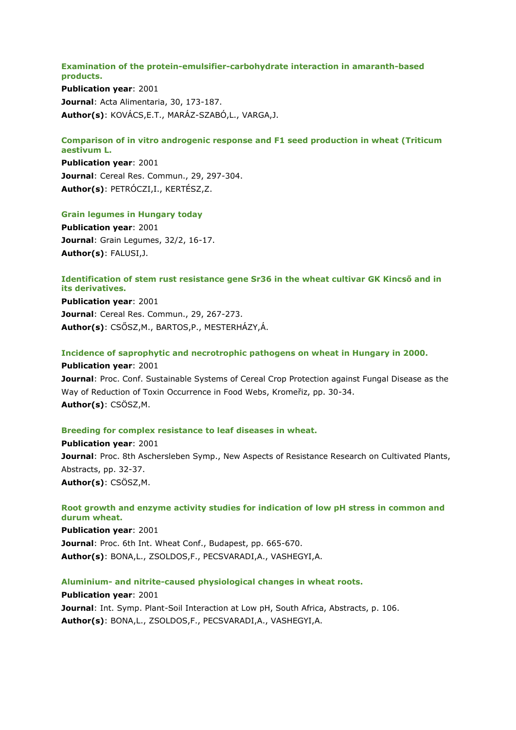### **Examination of the protein-emulsifier-carbohydrate interaction in amaranth-based products.**

**Publication year**: 2001 **Journal**: Acta Alimentaria, 30, 173-187. **Author(s)**: KOVÁCS,E.T., MARÁZ-SZABÓ,L., VARGA,J.

# **Comparison of in vitro androgenic response and F1 seed production in wheat (Triticum aestivum L.**

**Publication year**: 2001 **Journal**: Cereal Res. Commun., 29, 297-304. **Author(s)**: PETRÓCZI,I., KERTÉSZ,Z.

# **Grain legumes in Hungary today**

**Publication year**: 2001 **Journal**: Grain Legumes, 32/2, 16-17. **Author(s)**: FALUSI,J.

# **Identification of stem rust resistance gene Sr36 in the wheat cultivar GK Kincső and in its derivatives.**

**Publication year**: 2001 **Journal**: Cereal Res. Commun., 29, 267-273. **Author(s)**: CSŐSZ,M., BARTOS,P., MESTERHÁZY,Á.

# **Incidence of saprophytic and necrotrophic pathogens on wheat in Hungary in 2000.**

**Publication year**: 2001 **Journal**: Proc. Conf. Sustainable Systems of Cereal Crop Protection against Fungal Disease as the Way of Reduction of Toxin Occurrence in Food Webs, Kromeřiz, pp. 30-34. **Author(s)**: CSÖSZ,M.

# **Breeding for complex resistance to leaf diseases in wheat.**

**Publication year**: 2001 **Journal**: Proc. 8th Aschersleben Symp., New Aspects of Resistance Research on Cultivated Plants, Abstracts, pp. 32-37. **Author(s)**: CSÖSZ,M.

# **Root growth and enzyme activity studies for indication of low pH stress in common and durum wheat.**

**Publication year**: 2001 **Journal**: Proc. 6th Int. Wheat Conf., Budapest, pp. 665-670. **Author(s)**: BONA,L., ZSOLDOS,F., PECSVARADI,A., VASHEGYI,A.

# **Aluminium- and nitrite-caused physiological changes in wheat roots.**

**Publication year**: 2001 **Journal**: Int. Symp. Plant-Soil Interaction at Low pH, South Africa, Abstracts, p. 106. **Author(s)**: BONA,L., ZSOLDOS,F., PECSVARADI,A., VASHEGYI,A.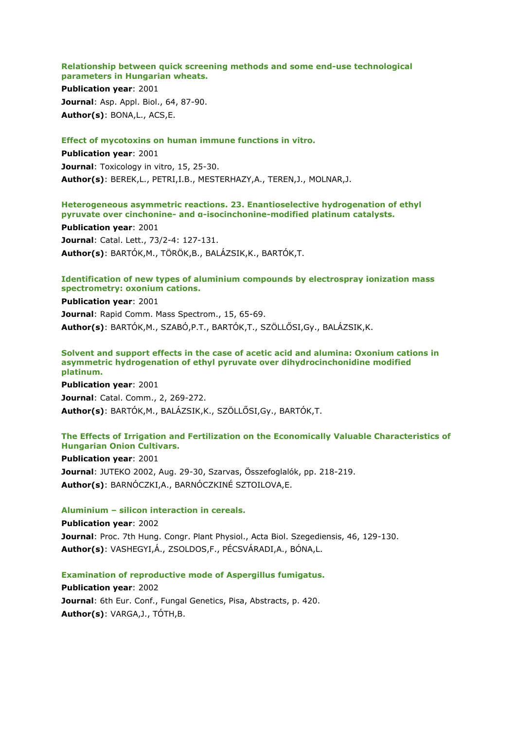**Relationship between quick screening methods and some end-use technological parameters in Hungarian wheats.**

**Publication year**: 2001 **Journal**: Asp. Appl. Biol., 64, 87-90. **Author(s)**: BONA,L., ACS,E.

### **Effect of mycotoxins on human immune functions in vitro.**

**Publication year**: 2001 **Journal**: Toxicology in vitro, 15, 25-30. **Author(s)**: BEREK,L., PETRI,I.B., MESTERHAZY,A., TEREN,J., MOLNAR,J.

# **Heterogeneous asymmetric reactions. 23. Enantioselective hydrogenation of ethyl pyruvate over cinchonine- and α-isocinchonine-modified platinum catalysts.**

**Publication year**: 2001 **Journal**: Catal. Lett., 73/2-4: 127-131. **Author(s)**: BARTÓK,M., TÖRÖK,B., BALÁZSIK,K., BARTÓK,T.

# **Identification of new types of aluminium compounds by electrospray ionization mass spectrometry: oxonium cations.**

**Publication year**: 2001

**Journal**: Rapid Comm. Mass Spectrom., 15, 65-69. **Author(s)**: BARTÓK,M., SZABÓ,P.T., BARTÓK,T., SZÖLLŐSI,Gy., BALÁZSIK,K.

### **Solvent and support effects in the case of acetic acid and alumina: Oxonium cations in asymmetric hydrogenation of ethyl pyruvate over dihydrocinchonidine modified platinum.**

**Publication year**: 2001 **Journal**: Catal. Comm., 2, 269-272. **Author(s)**: BARTÓK,M., BALÁZSIK,K., SZÖLLŐSI,Gy., BARTÓK,T.

# **The Effects of Irrigation and Fertilization on the Economically Valuable Characteristics of Hungarian Onion Cultivars.**

**Publication year**: 2001 **Journal**: JUTEKO 2002, Aug. 29-30, Szarvas, Összefoglalók, pp. 218-219. **Author(s)**: BARNÓCZKI,A., BARNÓCZKINÉ SZTOILOVA,E.

#### **Aluminium – silicon interaction in cereals.**

**Publication year**: 2002 **Journal**: Proc. 7th Hung. Congr. Plant Physiol., Acta Biol. Szegediensis, 46, 129-130. **Author(s)**: VASHEGYI,Á., ZSOLDOS,F., PÉCSVÁRADI,A., BÓNA,L.

**Examination of reproductive mode of Aspergillus fumigatus.**

**Publication year**: 2002 **Journal**: 6th Eur. Conf., Fungal Genetics, Pisa, Abstracts, p. 420. **Author(s)**: VARGA,J., TÓTH,B.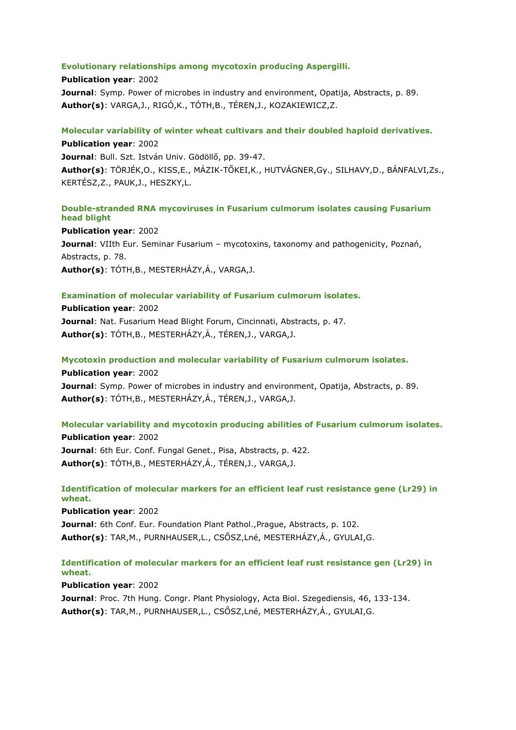## **Evolutionary relationships among mycotoxin producing Aspergilli.**

**Publication year**: 2002 **Journal**: Symp. Power of microbes in industry and environment, Opatija, Abstracts, p. 89. **Author(s)**: VARGA,J., RIGÓ,K., TÓTH,B., TÉREN,J., KOZAKIEWICZ,Z.

# **Molecular variability of winter wheat cultivars and their doubled haploid derivatives. Publication year**: 2002

**Journal**: Bull. Szt. István Univ. Gödöllő, pp. 39-47. **Author(s)**: TÖRJÉK,O., KISS,E., MÁZIK-TŐKEI,K., HUTVÁGNER,Gy., SILHAVY,D., BÁNFALVI,Zs., KERTÉSZ,Z., PAUK,J., HESZKY,L.

# **Double-stranded RNA mycoviruses in Fusarium culmorum isolates causing Fusarium head blight**

**Publication year**: 2002 **Journal**: VIIth Eur. Seminar Fusarium – mycotoxins, taxonomy and pathogenicity, Poznań, Abstracts, p. 78. **Author(s)**: TÓTH,B., MESTERHÁZY,Á., VARGA,J.

# **Examination of molecular variability of Fusarium culmorum isolates.**

**Publication year**: 2002 **Journal**: Nat. Fusarium Head Blight Forum, Cincinnati, Abstracts, p. 47. **Author(s)**: TÓTH,B., MESTERHÁZY,Á., TÉREN,J., VARGA,J.

**Mycotoxin production and molecular variability of Fusarium culmorum isolates.**

**Publication year**: 2002 **Journal**: Symp. Power of microbes in industry and environment, Opatija, Abstracts, p. 89. **Author(s)**: TÓTH,B., MESTERHÁZY,Á., TÉREN,J., VARGA,J.

# **Molecular variability and mycotoxin producing abilities of Fusarium culmorum isolates.**

**Publication year**: 2002 **Journal**: 6th Eur. Conf. Fungal Genet., Pisa, Abstracts, p. 422. **Author(s)**: TÓTH,B., MESTERHÁZY,Á., TÉREN,J., VARGA,J.

# **Identification of molecular markers for an efficient leaf rust resistance gene (Lr29) in wheat.**

**Publication year**: 2002 **Journal**: 6th Conf. Eur. Foundation Plant Pathol.,Prague, Abstracts, p. 102. **Author(s)**: TAR,M., PURNHAUSER,L., CSŐSZ,Lné, MESTERHÁZY,Á., GYULAI,G.

# **Identification of molecular markers for an efficient leaf rust resistance gen (Lr29) in wheat.**

**Publication year**: 2002

**Journal**: Proc. 7th Hung. Congr. Plant Physiology, Acta Biol. Szegediensis, 46, 133-134. **Author(s)**: TAR,M., PURNHAUSER,L., CSŐSZ,Lné, MESTERHÁZY,Á., GYULAI,G.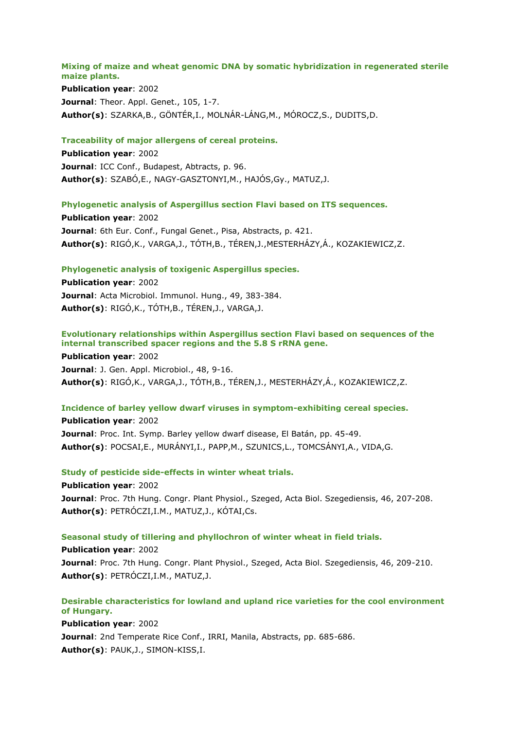#### **Mixing of maize and wheat genomic DNA by somatic hybridization in regenerated sterile maize plants.**

**Publication year**: 2002 **Journal: Theor. Appl. Genet., 105, 1-7. Author(s)**: SZARKA,B., GÖNTÉR,I., MOLNÁR-LÁNG,M., MÓROCZ,S., DUDITS,D.

#### **Traceability of major allergens of cereal proteins.**

**Publication year**: 2002 **Journal**: ICC Conf., Budapest, Abtracts, p. 96. **Author(s)**: SZABÓ,E., NAGY-GASZTONYI,M., HAJÓS,Gy., MATUZ,J.

## **Phylogenetic analysis of Aspergillus section Flavi based on ITS sequences.**

**Publication year**: 2002 **Journal**: 6th Eur. Conf., Fungal Genet., Pisa, Abstracts, p. 421. **Author(s)**: RIGÓ,K., VARGA,J., TÓTH,B., TÉREN,J.,MESTERHÁZY,Á., KOZAKIEWICZ,Z.

#### **Phylogenetic analysis of toxigenic Aspergillus species.**

**Publication year**: 2002 **Journal**: Acta Microbiol. Immunol. Hung., 49, 383-384. **Author(s)**: RIGÓ,K., TÓTH,B., TÉREN,J., VARGA,J.

# **Evolutionary relationships within Aspergillus section Flavi based on sequences of the internal transcribed spacer regions and the 5.8 S rRNA gene.**

**Publication year**: 2002 **Journal**: J. Gen. Appl. Microbiol., 48, 9-16. **Author(s)**: RIGÓ,K., VARGA,J., TÓTH,B., TÉREN,J., MESTERHÁZY,Á., KOZAKIEWICZ,Z.

## **Incidence of barley yellow dwarf viruses in symptom-exhibiting cereal species.**

**Publication year**: 2002 **Journal**: Proc. Int. Symp. Barley yellow dwarf disease, El Batán, pp. 45-49. **Author(s)**: POCSAI,E., MURÁNYI,I., PAPP,M., SZUNICS,L., TOMCSÁNYI,A., VIDA,G.

## **Study of pesticide side-effects in winter wheat trials.**

**Publication year**: 2002 **Journal**: Proc. 7th Hung. Congr. Plant Physiol., Szeged, Acta Biol. Szegediensis, 46, 207-208. **Author(s)**: PETRÓCZI,I.M., MATUZ,J., KÓTAI,Cs.

#### **Seasonal study of tillering and phyllochron of winter wheat in field trials.**

**Publication year**: 2002 **Journal**: Proc. 7th Hung. Congr. Plant Physiol., Szeged, Acta Biol. Szegediensis, 46, 209-210. **Author(s)**: PETRÓCZI,I.M., MATUZ,J.

# **Desirable characteristics for lowland and upland rice varieties for the cool environment of Hungary.**

**Publication year**: 2002 **Journal**: 2nd Temperate Rice Conf., IRRI, Manila, Abstracts, pp. 685-686. **Author(s)**: PAUK,J., SIMON-KISS,I.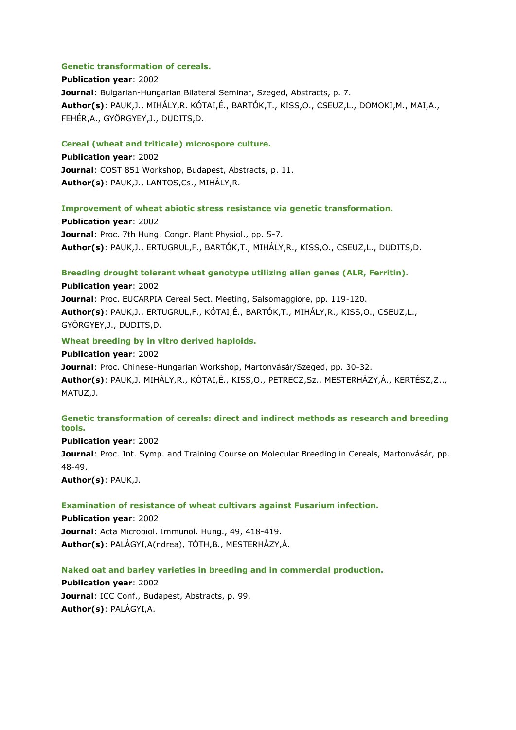## **Genetic transformation of cereals.**

**Publication year**: 2002 **Journal**: Bulgarian-Hungarian Bilateral Seminar, Szeged, Abstracts, p. 7. **Author(s)**: PAUK,J., MIHÁLY,R. KÓTAI,É., BARTÓK,T., KISS,O., CSEUZ,L., DOMOKI,M., MAI,A., FEHÉR,A., GYÖRGYEY,J., DUDITS,D.

#### **Cereal (wheat and triticale) microspore culture.**

**Publication year**: 2002 **Journal**: COST 851 Workshop, Budapest, Abstracts, p. 11. **Author(s)**: PAUK,J., LANTOS,Cs., MIHÁLY,R.

#### **Improvement of wheat abiotic stress resistance via genetic transformation.**

**Publication year**: 2002 **Journal**: Proc. 7th Hung. Congr. Plant Physiol., pp. 5-7. **Author(s)**: PAUK,J., ERTUGRUL,F., BARTÓK,T., MIHÁLY,R., KISS,O., CSEUZ,L., DUDITS,D.

# **Breeding drought tolerant wheat genotype utilizing alien genes (ALR, Ferritin).**

**Publication year**: 2002 **Journal**: Proc. EUCARPIA Cereal Sect. Meeting, Salsomaggiore, pp. 119-120. **Author(s)**: PAUK,J., ERTUGRUL,F., KÓTAI,É., BARTÓK,T., MIHÁLY,R., KISS,O., CSEUZ,L., GYÖRGYEY,J., DUDITS,D.

## **Wheat breeding by in vitro derived haploids.**

**Publication year**: 2002 **Journal**: Proc. Chinese-Hungarian Workshop, Martonvásár/Szeged, pp. 30-32. **Author(s)**: PAUK,J. MIHÁLY,R., KÓTAI,É., KISS,O., PETRECZ,Sz., MESTERHÁZY,Á., KERTÉSZ,Z.., MATUZ,J.

# **Genetic transformation of cereals: direct and indirect methods as research and breeding tools.**

**Publication year**: 2002 **Journal**: Proc. Int. Symp. and Training Course on Molecular Breeding in Cereals, Martonvásár, pp. 48-49. **Author(s)**: PAUK,J.

#### **Examination of resistance of wheat cultivars against Fusarium infection.**

**Publication year**: 2002 **Journal**: Acta Microbiol. Immunol. Hung., 49, 418-419. **Author(s)**: PALÁGYI,A(ndrea), TÓTH,B., MESTERHÁZY,Á.

#### **Naked oat and barley varieties in breeding and in commercial production.**

**Publication year**: 2002 **Journal**: ICC Conf., Budapest, Abstracts, p. 99. **Author(s)**: PALÁGYI,A.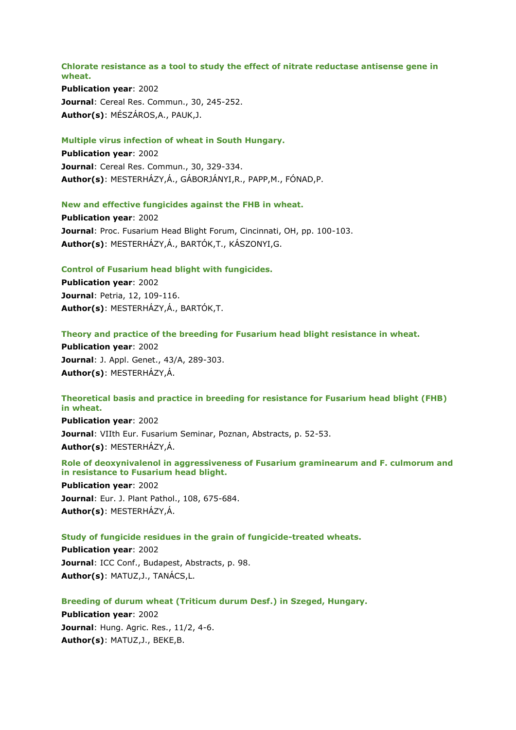#### **Chlorate resistance as a tool to study the effect of nitrate reductase antisense gene in wheat.**

**Publication year**: 2002 **Journal**: Cereal Res. Commun., 30, 245-252. **Author(s)**: MÉSZÁROS,A., PAUK,J.

#### **Multiple virus infection of wheat in South Hungary.**

**Publication year**: 2002 **Journal**: Cereal Res. Commun., 30, 329-334. **Author(s)**: MESTERHÁZY,Á., GÁBORJÁNYI,R., PAPP,M., FÓNAD,P.

## **New and effective fungicides against the FHB in wheat.**

**Publication year**: 2002 **Journal**: Proc. Fusarium Head Blight Forum, Cincinnati, OH, pp. 100-103. **Author(s)**: MESTERHÁZY,Á., BARTÓK,T., KÁSZONYI,G.

#### **Control of Fusarium head blight with fungicides.**

**Publication year**: 2002 **Journal**: Petria, 12, 109-116. **Author(s)**: MESTERHÁZY,Á., BARTÓK,T.

#### **Theory and practice of the breeding for Fusarium head blight resistance in wheat.**

**Publication year**: 2002 **Journal**: J. Appl. Genet., 43/A, 289-303. **Author(s)**: MESTERHÁZY,Á.

# **Theoretical basis and practice in breeding for resistance for Fusarium head blight (FHB) in wheat.**

**Publication year**: 2002 **Journal**: VIIth Eur. Fusarium Seminar, Poznan, Abstracts, p. 52-53. **Author(s)**: MESTERHÁZY,Á.

# **Role of deoxynivalenol in aggressiveness of Fusarium graminearum and F. culmorum and in resistance to Fusarium head blight.**

**Publication year**: 2002 **Journal**: Eur. J. Plant Pathol., 108, 675-684. **Author(s)**: MESTERHÁZY,Á.

#### **Study of fungicide residues in the grain of fungicide-treated wheats.**

**Publication year**: 2002 **Journal**: ICC Conf., Budapest, Abstracts, p. 98. **Author(s)**: MATUZ,J., TANÁCS,L.

**Breeding of durum wheat (Triticum durum Desf.) in Szeged, Hungary.**

**Publication year**: 2002 **Journal**: Hung. Agric. Res., 11/2, 4-6. **Author(s)**: MATUZ,J., BEKE,B.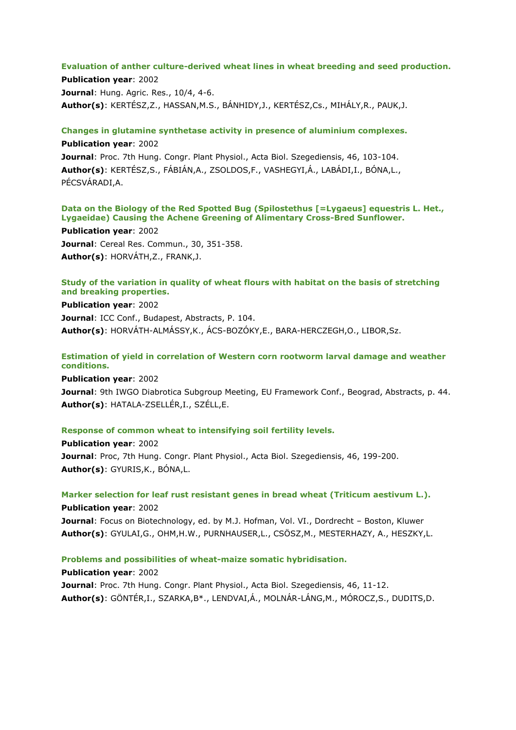# **Evaluation of anther culture-derived wheat lines in wheat breeding and seed production.**

**Publication year**: 2002 **Journal**: Hung. Agric. Res., 10/4, 4-6. **Author(s)**: KERTÉSZ,Z., HASSAN,M.S., BÁNHIDY,J., KERTÉSZ,Cs., MIHÁLY,R., PAUK,J.

**Changes in glutamine synthetase activity in presence of aluminium complexes.**

**Publication year**: 2002 **Journal**: Proc. 7th Hung. Congr. Plant Physiol., Acta Biol. Szegediensis, 46, 103-104. **Author(s)**: KERTÉSZ,S., FÁBIÁN,A., ZSOLDOS,F., VASHEGYI,Á., LABÁDI,I., BÓNA,L., PÉCSVÁRADI,A.

# **Data on the Biology of the Red Spotted Bug (Spilostethus [=Lygaeus] equestris L. Het., Lygaeidae) Causing the Achene Greening of Alimentary Cross-Bred Sunflower.**

**Publication year**: 2002 **Journal**: Cereal Res. Commun., 30, 351-358. **Author(s)**: HORVÁTH,Z., FRANK,J.

# **Study of the variation in quality of wheat flours with habitat on the basis of stretching and breaking properties.**

**Publication year**: 2002 **Journal**: ICC Conf., Budapest, Abstracts, P. 104. **Author(s)**: HORVÁTH-ALMÁSSY,K., ÁCS-BOZÓKY,E., BARA-HERCZEGH,O., LIBOR,Sz.

# **Estimation of yield in correlation of Western corn rootworm larval damage and weather conditions.**

**Publication year**: 2002 **Journal:** 9th IWGO Diabrotica Subgroup Meeting, EU Framework Conf., Beograd, Abstracts, p. 44. **Author(s)**: HATALA-ZSELLÉR,I., SZÉLL,E.

## **Response of common wheat to intensifying soil fertility levels.**

**Publication year**: 2002 **Journal**: Proc, 7th Hung. Congr. Plant Physiol., Acta Biol. Szegediensis, 46, 199-200. **Author(s)**: GYURIS,K., BÓNA,L.

**Marker selection for leaf rust resistant genes in bread wheat (Triticum aestivum L.). Publication year**: 2002 **Journal**: Focus on Biotechnology, ed. by M.J. Hofman, Vol. VI., Dordrecht – Boston, Kluwer **Author(s)**: GYULAI,G., OHM,H.W., PURNHAUSER,L., CSÖSZ,M., MESTERHAZY, A., HESZKY,L.

**Problems and possibilities of wheat-maize somatic hybridisation.**

**Publication year**: 2002 **Journal**: Proc. 7th Hung. Congr. Plant Physiol., Acta Biol. Szegediensis, 46, 11-12. **Author(s)**: GÖNTÉR,I., SZARKA,B\*., LENDVAI,Á., MOLNÁR-LÁNG,M., MÓROCZ,S., DUDITS,D.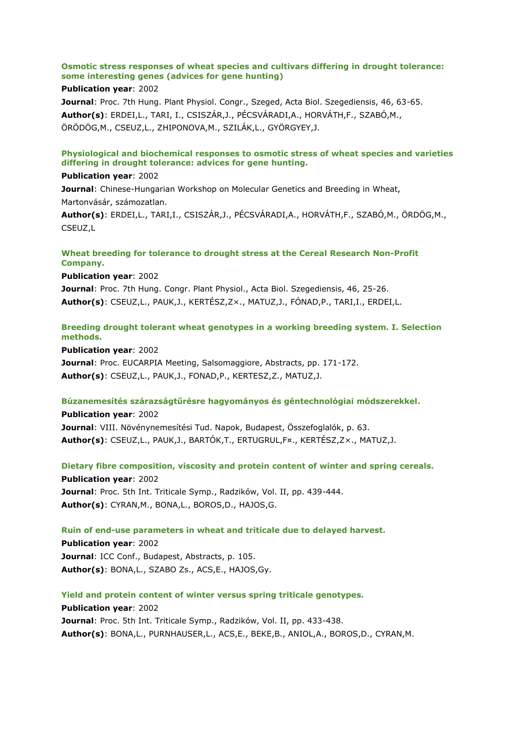# **Osmotic stress responses of wheat species and cultivars differing in drought tolerance: some interesting genes (advices for gene hunting)**

#### **Publication year**: 2002

**Journal**: Proc. 7th Hung. Plant Physiol. Congr., Szeged, Acta Biol. Szegediensis, 46, 63-65. **Author(s)**: ERDEI,L., TARI, I., CSISZÁR,J., PÉCSVÁRADI,A., HORVÁTH,F., SZABÓ,M., ÖRÖDÖG,M., CSEUZ,L., ZHIPONOVA,M., SZILÁK,L., GYÖRGYEY,J.

# **Physiological and biochemical responses to osmotic stress of wheat species and varieties differing in drought tolerance: advices for gene hunting.**

#### **Publication year**: 2002

**Journal**: Chinese-Hungarian Workshop on Molecular Genetics and Breeding in Wheat, Martonvásár, számozatlan.

**Author(s)**: ERDEI,L., TARI,I., CSISZÁR,J., PÉCSVÁRADI,A., HORVÁTH,F., SZABÓ,M., ÖRDÖG,M., CSEUZ,L

# **Wheat breeding for tolerance to drought stress at the Cereal Research Non-Profit Company.**

**Publication year**: 2002

**Journal**: Proc. 7th Hung. Congr. Plant Physiol., Acta Biol. Szegediensis, 46, 25-26. **Author(s)**: CSEUZ,L., PAUK,J., KERTÉSZ,Z×., MATUZ,J., FÓNAD,P., TARI,I., ERDEI,L.

# **Breeding drought tolerant wheat genotypes in a working breeding system. I. Selection methods.**

**Publication year**: 2002 **Journal**: Proc. EUCARPIA Meeting, Salsomaggiore, Abstracts, pp. 171-172. **Author(s)**: CSEUZ,L., PAUK,J., FONAD,P., KERTESZ,Z., MATUZ,J.

## **Búzanemesítés szárazságtűrésre hagyományos és géntechnológiai módszerekkel.**

**Publication year**: 2002 **Journal**: VIII. Növénynemesítési Tud. Napok, Budapest, Összefoglalók, p. 63. **Author(s)**: CSEUZ,L., PAUK,J., BARTÓK,T., ERTUGRUL,F¤., KERTÉSZ,Z×., MATUZ,J.

**Dietary fibre composition, viscosity and protein content of winter and spring cereals.**

**Publication year**: 2002 **Journal**: Proc. 5th Int. Triticale Symp., Radzików, Vol. II, pp. 439-444. **Author(s)**: CYRAN,M., BONA,L., BOROS,D., HAJOS,G.

# **Ruin of end-use parameters in wheat and triticale due to delayed harvest.**

**Publication year**: 2002 **Journal**: ICC Conf., Budapest, Abstracts, p. 105. **Author(s)**: BONA,L., SZABO Zs., ACS,E., HAJOS,Gy.

**Yield and protein content of winter versus spring triticale genotypes.**

# **Publication year**: 2002 **Journal**: Proc. 5th Int. Triticale Symp., Radzików, Vol. II, pp. 433-438. **Author(s)**: BONA,L., PURNHAUSER,L., ACS,E., BEKE,B., ANIOL,A., BOROS,D., CYRAN,M.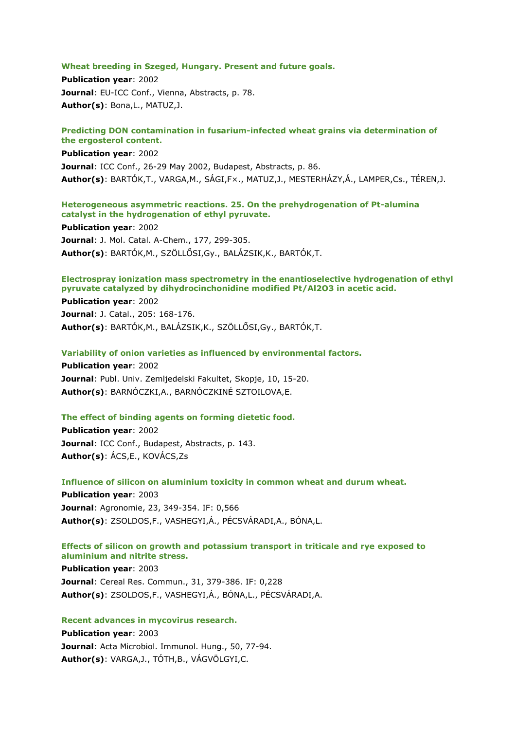#### **Wheat breeding in Szeged, Hungary. Present and future goals.**

**Publication year**: 2002 **Journal**: EU-ICC Conf., Vienna, Abstracts, p. 78. **Author(s)**: Bona,L., MATUZ,J.

#### **Predicting DON contamination in fusarium-infected wheat grains via determination of the ergosterol content.**

**Publication year**: 2002 **Journal**: ICC Conf., 26-29 May 2002, Budapest, Abstracts, p. 86. **Author(s)**: BARTÓK,T., VARGA,M., SÁGI,F×., MATUZ,J., MESTERHÁZY,Á., LAMPER,Cs., TÉREN,J.

## **Heterogeneous asymmetric reactions. 25. On the prehydrogenation of Pt-alumina catalyst in the hydrogenation of ethyl pyruvate.**

**Publication year**: 2002 **Journal**: J. Mol. Catal. A-Chem., 177, 299-305. **Author(s)**: BARTÓK,M., SZÖLLŐSI,Gy., BALÁZSIK,K., BARTÓK,T.

## **Electrospray ionization mass spectrometry in the enantioselective hydrogenation of ethyl pyruvate catalyzed by dihydrocinchonidine modified Pt/Al2O3 in acetic acid.**

**Publication year**: 2002 **Journal**: J. Catal., 205: 168-176. **Author(s)**: BARTÓK,M., BALÁZSIK,K., SZÖLLŐSI,Gy., BARTÓK,T.

#### **Variability of onion varieties as influenced by environmental factors.**

**Publication year**: 2002 **Journal**: Publ. Univ. Zemljedelski Fakultet, Skopje, 10, 15-20. **Author(s)**: BARNÓCZKI,A., BARNÓCZKINÉ SZTOILOVA,E.

## **The effect of binding agents on forming dietetic food.**

**Publication year**: 2002 **Journal**: ICC Conf., Budapest, Abstracts, p. 143. **Author(s)**: ÁCS,E., KOVÁCS,Zs

**Influence of silicon on aluminium toxicity in common wheat and durum wheat.**

**Publication year**: 2003 **Journal**: Agronomie, 23, 349-354. IF: 0,566 **Author(s)**: ZSOLDOS,F., VASHEGYI,Á., PÉCSVÁRADI,A., BÓNA,L.

## **Effects of silicon on growth and potassium transport in triticale and rye exposed to aluminium and nitrite stress.**

**Publication year**: 2003 **Journal**: Cereal Res. Commun., 31, 379-386. IF: 0,228 **Author(s)**: ZSOLDOS,F., VASHEGYI,Á., BÓNA,L., PÉCSVÁRADI,A.

## **Recent advances in mycovirus research.**

**Publication year**: 2003 **Journal**: Acta Microbiol. Immunol. Hung., 50, 77-94. **Author(s)**: VARGA,J., TÓTH,B., VÁGVÖLGYI,C.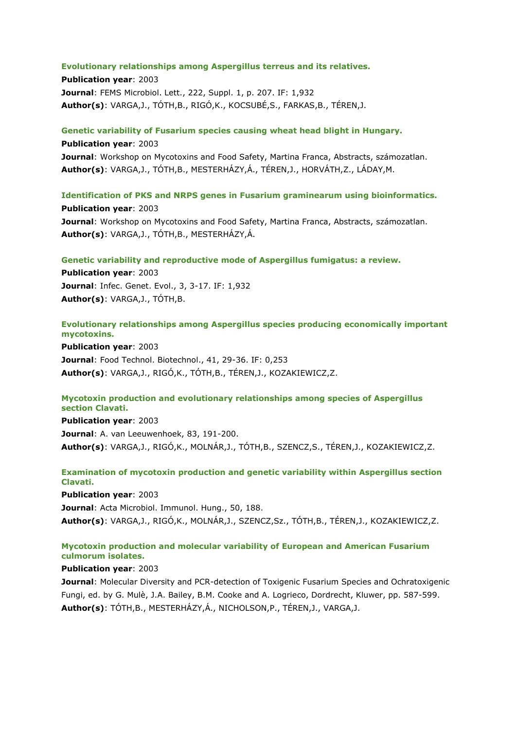#### **Evolutionary relationships among Aspergillus terreus and its relatives.**

**Publication year**: 2003 **Journal**: FEMS Microbiol. Lett., 222, Suppl. 1, p. 207. IF: 1,932 **Author(s)**: VARGA,J., TÓTH,B., RIGÓ,K., KOCSUBÉ,S., FARKAS,B., TÉREN,J.

**Genetic variability of Fusarium species causing wheat head blight in Hungary.**

**Publication year**: 2003 **Journal**: Workshop on Mycotoxins and Food Safety, Martina Franca, Abstracts, számozatlan. **Author(s)**: VARGA,J., TÓTH,B., MESTERHÁZY,Á., TÉREN,J., HORVÁTH,Z., LÁDAY,M.

**Identification of PKS and NRPS genes in Fusarium graminearum using bioinformatics. Publication year**: 2003 **Journal**: Workshop on Mycotoxins and Food Safety, Martina Franca, Abstracts, számozatlan. **Author(s)**: VARGA,J., TÓTH,B., MESTERHÁZY,Á.

**Genetic variability and reproductive mode of Aspergillus fumigatus: a review.**

**Publication year**: 2003 **Journal**: Infec. Genet. Evol., 3, 3-17. IF: 1,932 **Author(s)**: VARGA,J., TÓTH,B.

**Evolutionary relationships among Aspergillus species producing economically important mycotoxins.**

**Publication year**: 2003 **Journal**: Food Technol. Biotechnol., 41, 29-36. IF: 0,253 **Author(s)**: VARGA,J., RIGÓ,K., TÓTH,B., TÉREN,J., KOZAKIEWICZ,Z.

#### **Mycotoxin production and evolutionary relationships among species of Aspergillus section Clavati.**

**Publication year**: 2003 **Journal**: A. van Leeuwenhoek, 83, 191-200. **Author(s)**: VARGA,J., RIGÓ,K., MOLNÁR,J., TÓTH,B., SZENCZ,S., TÉREN,J., KOZAKIEWICZ,Z.

# **Examination of mycotoxin production and genetic variability within Aspergillus section Clavati.**

**Publication year**: 2003

**Journal**: Acta Microbiol. Immunol. Hung., 50, 188. **Author(s)**: VARGA,J., RIGÓ,K., MOLNÁR,J., SZENCZ,Sz., TÓTH,B., TÉREN,J., KOZAKIEWICZ,Z.

# **Mycotoxin production and molecular variability of European and American Fusarium culmorum isolates.**

## **Publication year**: 2003

**Journal**: Molecular Diversity and PCR-detection of Toxigenic Fusarium Species and Ochratoxigenic Fungi, ed. by G. Mulè, J.A. Bailey, B.M. Cooke and A. Logrieco, Dordrecht, Kluwer, pp. 587-599. **Author(s)**: TÓTH,B., MESTERHÁZY,Á., NICHOLSON,P., TÉREN,J., VARGA,J.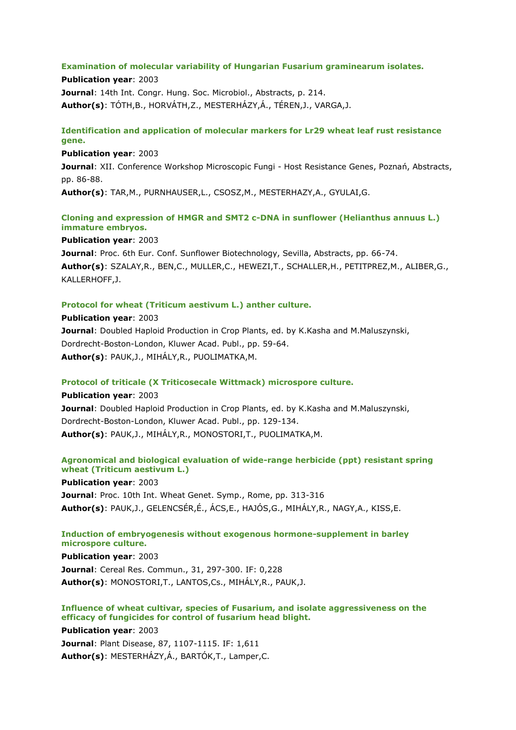#### **Examination of molecular variability of Hungarian Fusarium graminearum isolates.**

**Publication year**: 2003 **Journal**: 14th Int. Congr. Hung. Soc. Microbiol., Abstracts, p. 214. **Author(s)**: TÓTH,B., HORVÁTH,Z., MESTERHÁZY,Á., TÉREN,J., VARGA,J.

# **Identification and application of molecular markers for Lr29 wheat leaf rust resistance gene.**

**Publication year**: 2003 **Journal**: XII. Conference Workshop Microscopic Fungi - Host Resistance Genes, Poznań, Abstracts, pp. 86-88.

**Author(s)**: TAR,M., PURNHAUSER,L., CSOSZ,M., MESTERHAZY,A., GYULAI,G.

# **Cloning and expression of HMGR and SMT2 c-DNA in sunflower (Helianthus annuus L.) immature embryos.**

#### **Publication year**: 2003

**Journal**: Proc. 6th Eur. Conf. Sunflower Biotechnology, Sevilla, Abstracts, pp. 66-74. **Author(s)**: SZALAY,R., BEN,C., MULLER,C., HEWEZI,T., SCHALLER,H., PETITPREZ,M., ALIBER,G., KALLERHOFF,J.

# **Protocol for wheat (Triticum aestivum L.) anther culture.**

**Publication year**: 2003 **Journal**: Doubled Haploid Production in Crop Plants, ed. by K.Kasha and M.Maluszynski, Dordrecht-Boston-London, Kluwer Acad. Publ., pp. 59-64. **Author(s)**: PAUK,J., MIHÁLY,R., PUOLIMATKA,M.

## **Protocol of triticale (X Triticosecale Wittmack) microspore culture.**

**Publication year**: 2003 **Journal**: Doubled Haploid Production in Crop Plants, ed. by K.Kasha and M.Maluszynski, Dordrecht-Boston-London, Kluwer Acad. Publ., pp. 129-134. **Author(s)**: PAUK,J., MIHÁLY,R., MONOSTORI,T., PUOLIMATKA,M.

# **Agronomical and biological evaluation of wide-range herbicide (ppt) resistant spring wheat (Triticum aestivum L.)**

**Publication year**: 2003 **Journal**: Proc. 10th Int. Wheat Genet. Symp., Rome, pp. 313-316 **Author(s)**: PAUK,J., GELENCSÉR,É., ÁCS,E., HAJÓS,G., MIHÁLY,R., NAGY,A., KISS,E.

#### **Induction of embryogenesis without exogenous hormone-supplement in barley microspore culture.**

**Publication year**: 2003 **Journal**: Cereal Res. Commun., 31, 297-300. IF: 0,228 **Author(s)**: MONOSTORI,T., LANTOS,Cs., MIHÁLY,R., PAUK,J.

# **Influence of wheat cultivar, species of Fusarium, and isolate aggressiveness on the efficacy of fungicides for control of fusarium head blight.**

**Publication year**: 2003 **Journal**: Plant Disease, 87, 1107-1115. IF: 1,611 **Author(s)**: MESTERHÁZY,Á., BARTÓK,T., Lamper,C.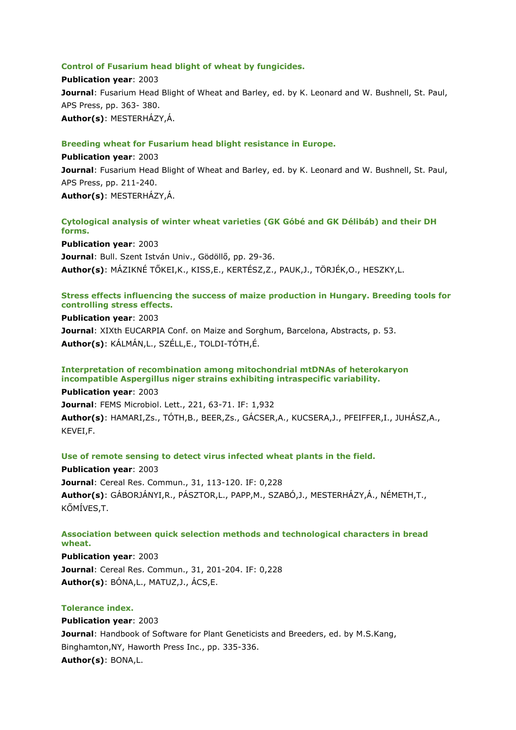#### **Control of Fusarium head blight of wheat by fungicides.**

**Publication year**: 2003 **Journal**: Fusarium Head Blight of Wheat and Barley, ed. by K. Leonard and W. Bushnell, St. Paul, APS Press, pp. 363- 380. **Author(s)**: MESTERHÁZY,Á.

# **Breeding wheat for Fusarium head blight resistance in Europe.**

**Publication year**: 2003 **Journal**: Fusarium Head Blight of Wheat and Barley, ed. by K. Leonard and W. Bushnell, St. Paul, APS Press, pp. 211-240. **Author(s)**: MESTERHÁZY,Á.

# **Cytological analysis of winter wheat varieties (GK Góbé and GK Délibáb) and their DH forms.**

**Publication year**: 2003 **Journal**: Bull. Szent István Univ., Gödöllő, pp. 29-36. **Author(s)**: MÁZIKNÉ TŐKEI,K., KISS,E., KERTÉSZ,Z., PAUK,J., TÖRJÉK,O., HESZKY,L.

## **Stress effects influencing the success of maize production in Hungary. Breeding tools for controlling stress effects.**

#### **Publication year**: 2003

**Journal**: XIXth EUCARPIA Conf. on Maize and Sorghum, Barcelona, Abstracts, p. 53. **Author(s)**: KÁLMÁN,L., SZÉLL,E., TOLDI-TÓTH,É.

# **Interpretation of recombination among mitochondrial mtDNAs of heterokaryon incompatible Aspergillus niger strains exhibiting intraspecific variability.**

**Publication year**: 2003

**Journal**: FEMS Microbiol. Lett., 221, 63-71. IF: 1,932 **Author(s)**: HAMARI,Zs., TÓTH,B., BEER,Zs., GÁCSER,A., KUCSERA,J., PFEIFFER,I., JUHÁSZ,A., KEVEI,F.

#### **Use of remote sensing to detect virus infected wheat plants in the field.**

**Publication year**: 2003 **Journal**: Cereal Res. Commun., 31, 113-120. IF: 0,228 **Author(s)**: GÁBORJÁNYI,R., PÁSZTOR,L., PAPP,M., SZABÓ,J., MESTERHÁZY,Á., NÉMETH,T., KŐMÍVES,T.

#### **Association between quick selection methods and technological characters in bread wheat.**

**Publication year**: 2003 **Journal**: Cereal Res. Commun., 31, 201-204. IF: 0,228 **Author(s)**: BÓNA,L., MATUZ,J., ÁCS,E.

## **Tolerance index.**

**Publication year**: 2003 **Journal**: Handbook of Software for Plant Geneticists and Breeders, ed. by M.S.Kang, Binghamton,NY, Haworth Press Inc., pp. 335-336. **Author(s)**: BONA,L.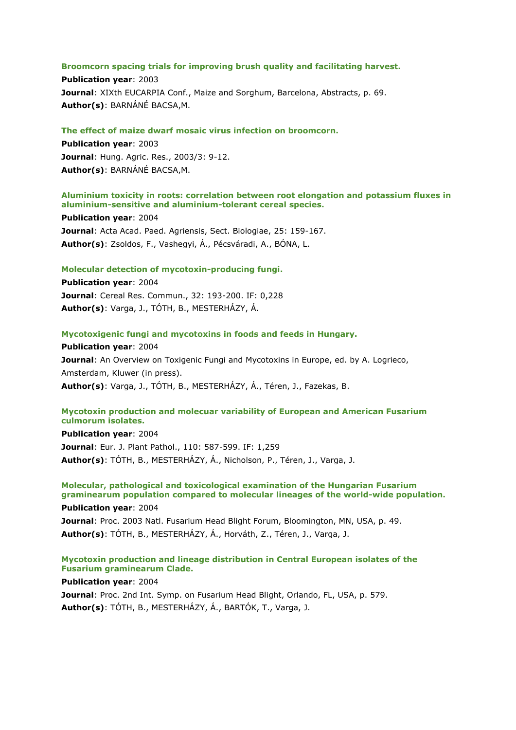#### **Broomcorn spacing trials for improving brush quality and facilitating harvest.**

**Publication year**: 2003 **Journal**: XIXth EUCARPIA Conf., Maize and Sorghum, Barcelona, Abstracts, p. 69. **Author(s)**: BARNÁNÉ BACSA,M.

#### **The effect of maize dwarf mosaic virus infection on broomcorn.**

**Publication year**: 2003 **Journal**: Hung. Agric. Res., 2003/3: 9-12. **Author(s)**: BARNÁNÉ BACSA,M.

# **Aluminium toxicity in roots: correlation between root elongation and potassium fluxes in aluminium-sensitive and aluminium-tolerant cereal species.**

**Publication year**: 2004 **Journal**: Acta Acad. Paed. Agriensis, Sect. Biologiae, 25: 159-167. **Author(s)**: Zsoldos, F., Vashegyi, Á., Pécsváradi, A., BÓNA, L.

#### **Molecular detection of mycotoxin-producing fungi.**

**Publication year**: 2004 **Journal**: Cereal Res. Commun., 32: 193-200. IF: 0,228 **Author(s)**: Varga, J., TÓTH, B., MESTERHÁZY, Á.

#### **Mycotoxigenic fungi and mycotoxins in foods and feeds in Hungary.**

**Publication year**: 2004 **Journal**: An Overview on Toxigenic Fungi and Mycotoxins in Europe, ed. by A. Logrieco, Amsterdam, Kluwer (in press). **Author(s)**: Varga, J., TÓTH, B., MESTERHÁZY, Á., Téren, J., Fazekas, B.

## **Mycotoxin production and molecuar variability of European and American Fusarium culmorum isolates.**

**Publication year**: 2004 **Journal**: Eur. J. Plant Pathol., 110: 587-599. IF: 1,259 **Author(s)**: TÓTH, B., MESTERHÁZY, Á., Nicholson, P., Téren, J., Varga, J.

# **Molecular, pathological and toxicological examination of the Hungarian Fusarium graminearum population compared to molecular lineages of the world-wide population.**

**Publication year**: 2004 **Journal**: Proc. 2003 Natl. Fusarium Head Blight Forum, Bloomington, MN, USA, p. 49. **Author(s)**: TÓTH, B., MESTERHÁZY, Á., Horváth, Z., Téren, J., Varga, J.

## **Mycotoxin production and lineage distribution in Central European isolates of the Fusarium graminearum Clade.**

**Publication year**: 2004

**Journal**: Proc. 2nd Int. Symp. on Fusarium Head Blight, Orlando, FL, USA, p. 579. **Author(s)**: TÓTH, B., MESTERHÁZY, Á., BARTÓK, T., Varga, J.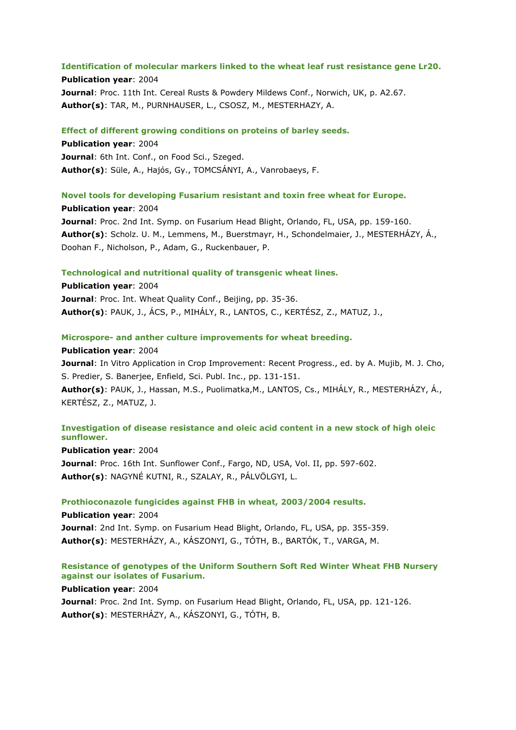#### **Identification of molecular markers linked to the wheat leaf rust resistance gene Lr20.**

**Publication year**: 2004 **Journal**: Proc. 11th Int. Cereal Rusts & Powdery Mildews Conf., Norwich, UK, p. A2.67. **Author(s)**: TAR, M., PURNHAUSER, L., CSOSZ, M., MESTERHAZY, A.

#### **Effect of different growing conditions on proteins of barley seeds.**

**Publication year**: 2004 **Journal**: 6th Int. Conf., on Food Sci., Szeged. **Author(s)**: Süle, A., Hajós, Gy., TOMCSÁNYI, A., Vanrobaeys, F.

## **Novel tools for developing Fusarium resistant and toxin free wheat for Europe.**

**Publication year**: 2004 **Journal**: Proc. 2nd Int. Symp. on Fusarium Head Blight, Orlando, FL, USA, pp. 159-160. **Author(s)**: Scholz. U. M., Lemmens, M., Buerstmayr, H., Schondelmaier, J., MESTERHÁZY, Á., Doohan F., Nicholson, P., Adam, G., Ruckenbauer, P.

#### **Technological and nutritional quality of transgenic wheat lines.**

**Publication year**: 2004 **Journal**: Proc. Int. Wheat Quality Conf., Beijing, pp. 35-36. **Author(s)**: PAUK, J., ÁCS, P., MIHÁLY, R., LANTOS, C., KERTÉSZ, Z., MATUZ, J.,

#### **Microspore- and anther culture improvements for wheat breeding.**

**Publication year**: 2004

**Journal**: In Vitro Application in Crop Improvement: Recent Progress., ed. by A. Mujib, M. J. Cho, S. Predier, S. Banerjee, Enfield, Sci. Publ. Inc., pp. 131-151.

**Author(s)**: PAUK, J., Hassan, M.S., Puolimatka,M., LANTOS, Cs., MIHÁLY, R., MESTERHÁZY, Á., KERTÉSZ, Z., MATUZ, J.

# **Investigation of disease resistance and oleic acid content in a new stock of high oleic sunflower.**

**Publication year**: 2004 **Journal**: Proc. 16th Int. Sunflower Conf., Fargo, ND, USA, Vol. II, pp. 597-602. **Author(s)**: NAGYNÉ KUTNI, R., SZALAY, R., PÁLVÖLGYI, L.

#### **Prothioconazole fungicides against FHB in wheat, 2003/2004 results.**

**Publication year**: 2004 **Journal**: 2nd Int. Symp. on Fusarium Head Blight, Orlando, FL, USA, pp. 355-359. **Author(s)**: MESTERHÁZY, A., KÁSZONYI, G., TÓTH, B., BARTÓK, T., VARGA, M.

# **Resistance of genotypes of the Uniform Southern Soft Red Winter Wheat FHB Nursery against our isolates of Fusarium.**

**Publication year**: 2004

**Journal**: Proc. 2nd Int. Symp. on Fusarium Head Blight, Orlando, FL, USA, pp. 121-126. **Author(s)**: MESTERHÁZY, A., KÁSZONYI, G., TÓTH, B.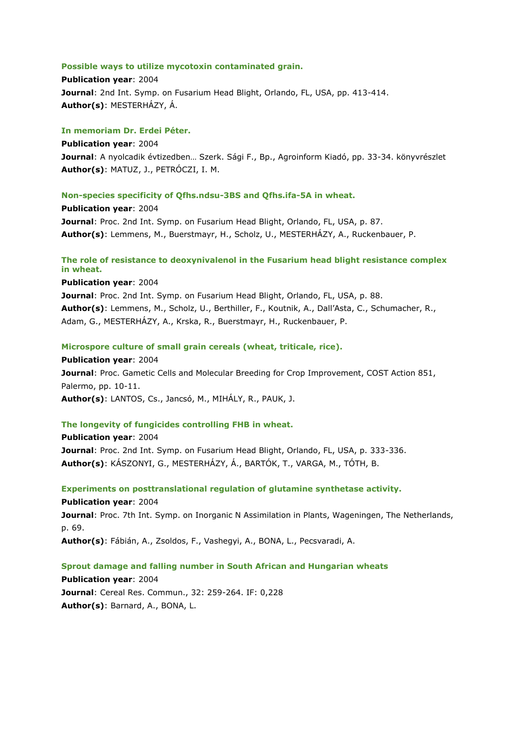#### **Possible ways to utilize mycotoxin contaminated grain.**

**Publication year**: 2004 **Journal**: 2nd Int. Symp. on Fusarium Head Blight, Orlando, FL, USA, pp. 413-414. **Author(s)**: MESTERHÁZY, Á.

#### **In memoriam Dr. Erdei Péter.**

**Publication year**: 2004 **Journal**: A nyolcadik évtizedben… Szerk. Sági F., Bp., Agroinform Kiadó, pp. 33-34. könyvrészlet **Author(s)**: MATUZ, J., PETRÓCZI, I. M.

## **Non-species specificity of Qfhs.ndsu-3BS and Qfhs.ifa-5A in wheat.**

**Publication year**: 2004 **Journal**: Proc. 2nd Int. Symp. on Fusarium Head Blight, Orlando, FL, USA, p. 87. **Author(s)**: Lemmens, M., Buerstmayr, H., Scholz, U., MESTERHÁZY, A., Ruckenbauer, P.

# **The role of resistance to deoxynivalenol in the Fusarium head blight resistance complex in wheat.**

**Publication year**: 2004

**Journal**: Proc. 2nd Int. Symp. on Fusarium Head Blight, Orlando, FL, USA, p. 88. **Author(s)**: Lemmens, M., Scholz, U., Berthiller, F., Koutnik, A., Dall'Asta, C., Schumacher, R., Adam, G., MESTERHÁZY, A., Krska, R., Buerstmayr, H., Ruckenbauer, P.

#### **Microspore culture of small grain cereals (wheat, triticale, rice).**

**Publication year**: 2004 **Journal**: Proc. Gametic Cells and Molecular Breeding for Crop Improvement, COST Action 851, Palermo, pp. 10-11. **Author(s)**: LANTOS, Cs., Jancsó, M., MIHÁLY, R., PAUK, J.

# **The longevity of fungicides controlling FHB in wheat.**

**Publication year**: 2004 **Journal**: Proc. 2nd Int. Symp. on Fusarium Head Blight, Orlando, FL, USA, p. 333-336. **Author(s)**: KÁSZONYI, G., MESTERHÁZY, Á., BARTÓK, T., VARGA, M., TÓTH, B.

**Experiments on posttranslational regulation of glutamine synthetase activity. Publication year**: 2004 **Journal**: Proc. 7th Int. Symp. on Inorganic N Assimilation in Plants, Wageningen, The Netherlands,

p. 69.

**Author(s)**: Fábián, A., Zsoldos, F., Vashegyi, A., BONA, L., Pecsvaradi, A.

## **Sprout damage and falling number in South African and Hungarian wheats**

**Publication year**: 2004 **Journal**: Cereal Res. Commun., 32: 259-264. IF: 0,228 **Author(s)**: Barnard, A., BONA, L.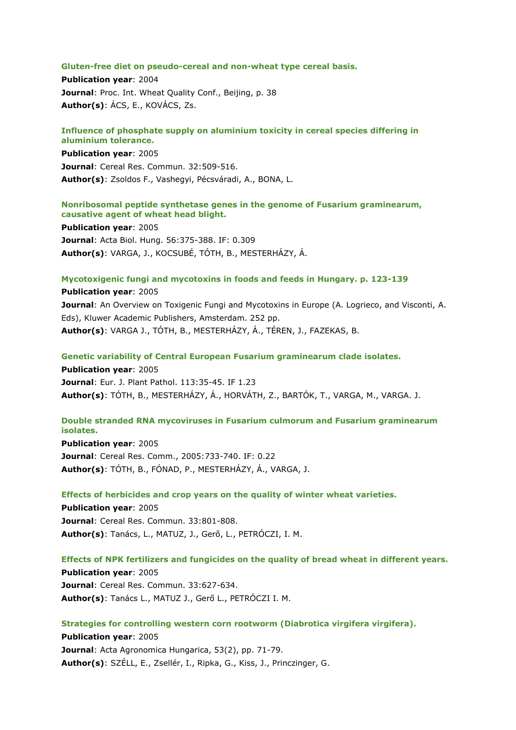#### **Gluten-free diet on pseudo-cereal and non-wheat type cereal basis.**

**Publication year**: 2004 **Journal**: Proc. Int. Wheat Quality Conf., Beijing, p. 38 **Author(s)**: ÁCS, E., KOVÁCS, Zs.

#### **Influence of phosphate supply on aluminium toxicity in cereal species differing in aluminium tolerance.**

**Publication year**: 2005 **Journal**: Cereal Res. Commun. 32:509-516. **Author(s)**: Zsoldos F., Vashegyi, Pécsváradi, A., BONA, L.

# **Nonribosomal peptide synthetase genes in the genome of Fusarium graminearum, causative agent of wheat head blight.**

**Publication year**: 2005 **Journal**: Acta Biol. Hung. 56:375-388. IF: 0.309 **Author(s)**: VARGA, J., KOCSUBÉ, TÓTH, B., MESTERHÁZY, Á.

#### **Mycotoxigenic fungi and mycotoxins in foods and feeds in Hungary. p. 123-139**

**Publication year**: 2005 **Journal:** An Overview on Toxigenic Fungi and Mycotoxins in Europe (A. Logrieco, and Visconti, A. Eds), Kluwer Academic Publishers, Amsterdam. 252 pp. **Author(s)**: VARGA J., TÓTH, B., MESTERHÁZY, Á., TÉREN, J., FAZEKAS, B.

**Genetic variability of Central European Fusarium graminearum clade isolates. Publication year**: 2005

**Journal**: Eur. J. Plant Pathol. 113:35-45. IF 1.23 **Author(s)**: TÓTH, B., MESTERHÁZY, Á., HORVÁTH, Z., BARTÓK, T., VARGA, M., VARGA. J.

# **Double stranded RNA mycoviruses in Fusarium culmorum and Fusarium graminearum isolates.**

**Publication year**: 2005 **Journal**: Cereal Res. Comm., 2005:733-740. IF: 0.22 **Author(s)**: TÓTH, B., FÓNAD, P., MESTERHÁZY, Á., VARGA, J.

**Effects of herbicides and crop years on the quality of winter wheat varieties.**

**Publication year**: 2005 **Journal**: Cereal Res. Commun. 33:801-808. **Author(s)**: Tanács, L., MATUZ, J., Gerő, L., PETRÓCZI, I. M.

#### **Effects of NPK fertilizers and fungicides on the quality of bread wheat in different years.**

**Publication year**: 2005 **Journal**: Cereal Res. Commun. 33:627-634. **Author(s)**: Tanács L., MATUZ J., Gerő L., PETRÓCZI I. M.

**Strategies for controlling western corn rootworm (Diabrotica virgifera virgifera).**

**Publication year**: 2005 **Journal**: Acta Agronomica Hungarica, 53(2), pp. 71-79. **Author(s)**: SZÉLL, E., Zsellér, I., Ripka, G., Kiss, J., Princzinger, G.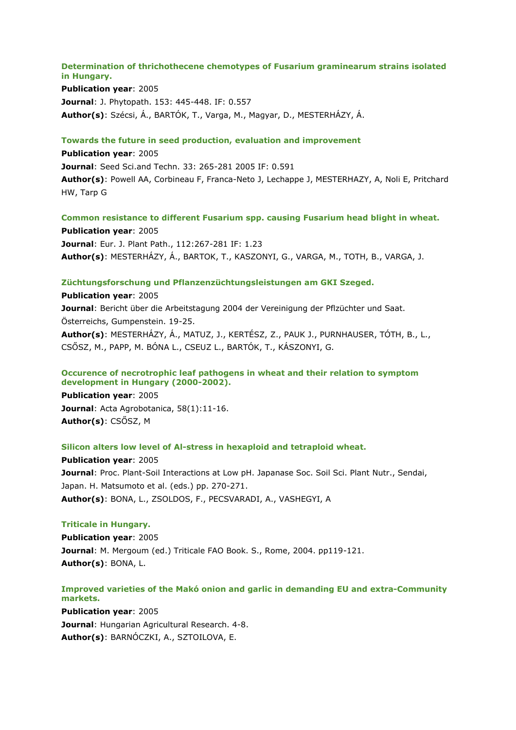# **Determination of thrichothecene chemotypes of Fusarium graminearum strains isolated in Hungary.**

**Publication year**: 2005 **Journal**: J. Phytopath. 153: 445-448. IF: 0.557 **Author(s)**: Szécsi, Á., BARTÓK, T., Varga, M., Magyar, D., MESTERHÁZY, Á.

# **Towards the future in seed production, evaluation and improvement**

**Publication year**: 2005 **Journal**: Seed Sci.and Techn. 33: 265-281 2005 IF: 0.591 **Author(s)**: Powell AA, Corbineau F, Franca-Neto J, Lechappe J, MESTERHAZY, A, Noli E, Pritchard HW, Tarp G

**Common resistance to different Fusarium spp. causing Fusarium head blight in wheat. Publication year**: 2005 **Journal**: Eur. J. Plant Path., 112:267-281 IF: 1.23 **Author(s)**: MESTERHÁZY, Á., BARTOK, T., KASZONYI, G., VARGA, M., TOTH, B., VARGA, J.

# **Züchtungsforschung und Pflanzenzüchtungsleistungen am GKI Szeged.**

**Publication year**: 2005 **Journal**: Bericht über die Arbeitstagung 2004 der Vereinigung der Pflzüchter und Saat. Österreichs, Gumpenstein. 19-25. **Author(s)**: MESTERHÁZY, Á., MATUZ, J., KERTÉSZ, Z., PAUK J., PURNHAUSER, TÓTH, B., L., CSŐSZ, M., PAPP, M. BÓNA L., CSEUZ L., BARTÓK, T., KÁSZONYI, G.

# **Occurence of necrotrophic leaf pathogens in wheat and their relation to symptom development in Hungary (2000-2002).**

**Publication year**: 2005 **Journal**: Acta Agrobotanica, 58(1):11-16. **Author(s)**: CSŐSZ, M

## **Silicon alters low level of Al-stress in hexaploid and tetraploid wheat.**

**Publication year**: 2005 **Journal**: Proc. Plant-Soil Interactions at Low pH. Japanase Soc. Soil Sci. Plant Nutr., Sendai, Japan. H. Matsumoto et al. (eds.) pp. 270-271. **Author(s)**: BONA, L., ZSOLDOS, F., PECSVARADI, A., VASHEGYI, A

# **Triticale in Hungary.**

**Publication year**: 2005 **Journal**: M. Mergoum (ed.) Triticale FAO Book. S., Rome, 2004. pp119-121. **Author(s)**: BONA, L.

# **Improved varieties of the Makó onion and garlic in demanding EU and extra-Community markets.**

**Publication year**: 2005 **Journal**: Hungarian Agricultural Research. 4-8. **Author(s)**: BARNÓCZKI, A., SZTOILOVA, E.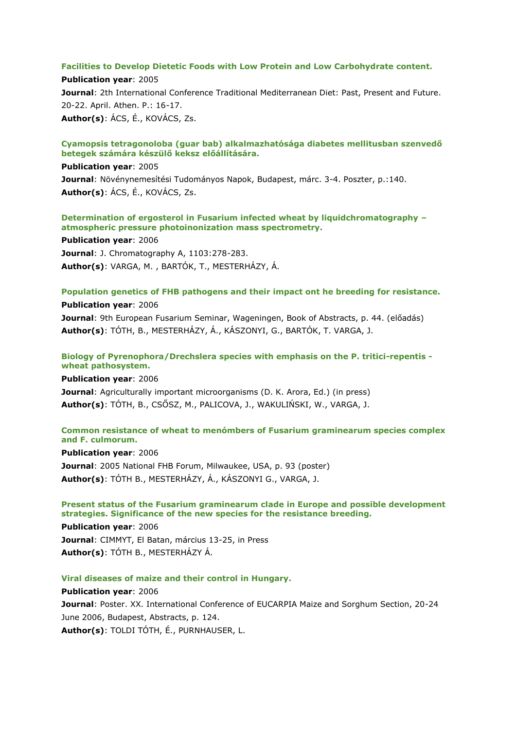## **Facilities to Develop Dietetic Foods with Low Protein and Low Carbohydrate content.**

**Publication year**: 2005 **Journal:** 2th International Conference Traditional Mediterranean Diet: Past, Present and Future. 20-22. April. Athen. P.: 16-17. **Author(s)**: ÁCS, É., KOVÁCS, Zs.

#### **Cyamopsis tetragonoloba (guar bab) alkalmazhatósága diabetes mellitusban szenvedő betegek számára készülő keksz előállítására.**

# **Publication year**: 2005

**Journal**: Növénynemesítési Tudományos Napok, Budapest, márc. 3-4. Poszter, p.:140. **Author(s)**: ÁCS, É., KOVÁCS, Zs.

# **Determination of ergosterol in Fusarium infected wheat by liquidchromatography – atmospheric pressure photoinonization mass spectrometry.**

**Publication year**: 2006 **Journal**: J. Chromatography A, 1103:278-283. **Author(s)**: VARGA, M. , BARTÓK, T., MESTERHÁZY, Á.

## **Population genetics of FHB pathogens and their impact ont he breeding for resistance.**

#### **Publication year**: 2006

**Journal**: 9th European Fusarium Seminar, Wageningen, Book of Abstracts, p. 44. (előadás) **Author(s)**: TÓTH, B., MESTERHÁZY, Á., KÁSZONYI, G., BARTÓK, T. VARGA, J.

# **Biology of Pyrenophora/Drechslera species with emphasis on the P. tritici-repentis wheat pathosystem.**

**Publication year**: 2006 **Journal**: Agriculturally important microorganisms (D. K. Arora, Ed.) (in press) **Author(s)**: TÓTH, B., CSŐSZ, M., PALICOVA, J., WAKULIŃSKI, W., VARGA, J.

# **Common resistance of wheat to menómbers of Fusarium graminearum species complex and F. culmorum.**

**Publication year**: 2006 **Journal**: 2005 National FHB Forum, Milwaukee, USA, p. 93 (poster) **Author(s)**: TÓTH B., MESTERHÁZY, Á., KÁSZONYI G., VARGA, J.

# **Present status of the Fusarium graminearum clade in Europe and possible development strategies. Significance of the new species for the resistance breeding.**

**Publication year**: 2006 **Journal**: CIMMYT, El Batan, március 13-25, in Press **Author(s)**: TÓTH B., MESTERHÁZY Á.

## **Viral diseases of maize and their control in Hungary.**

# **Publication year**: 2006 **Journal**: Poster. XX. International Conference of EUCARPIA Maize and Sorghum Section, 20-24 June 2006, Budapest, Abstracts, p. 124. **Author(s)**: TOLDI TÓTH, É., PURNHAUSER, L.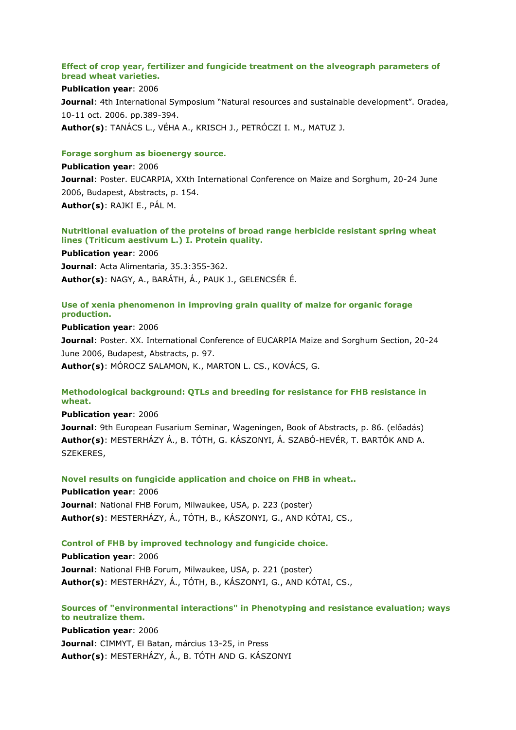#### **Effect of crop year, fertilizer and fungicide treatment on the alveograph parameters of bread wheat varieties.**

**Publication year**: 2006 **Journal:** 4th International Symposium "Natural resources and sustainable development". Oradea, 10-11 oct. 2006. pp.389-394. **Author(s)**: TANÁCS L., VÉHA A., KRISCH J., PETRÓCZI I. M., MATUZ J.

#### **Forage sorghum as bioenergy source.**

# **Publication year**: 2006 **Journal**: Poster. EUCARPIA, XXth International Conference on Maize and Sorghum, 20-24 June 2006, Budapest, Abstracts, p. 154. **Author(s)**: RAJKI E., PÁL M.

## **Nutritional evaluation of the proteins of broad range herbicide resistant spring wheat lines (Triticum aestivum L.) I. Protein quality.**

**Publication year**: 2006 **Journal**: Acta Alimentaria, 35.3:355-362. **Author(s)**: NAGY, A., BARÁTH, Á., PAUK J., GELENCSÉR É.

## **Use of xenia phenomenon in improving grain quality of maize for organic forage production.**

**Publication year**: 2006 **Journal**: Poster. XX. International Conference of EUCARPIA Maize and Sorghum Section, 20-24 June 2006, Budapest, Abstracts, p. 97. **Author(s)**: MÓROCZ SALAMON, K., MARTON L. CS., KOVÁCS, G.

# **Methodological background: QTLs and breeding for resistance for FHB resistance in wheat.**

**Publication year**: 2006

**Journal**: 9th European Fusarium Seminar, Wageningen, Book of Abstracts, p. 86. (előadás) **Author(s)**: MESTERHÁZY Á., B. TÓTH, G. KÁSZONYI, Á. SZABÓ-HEVÉR, T. BARTÓK AND A. SZEKERES,

**Novel results on fungicide application and choice on FHB in wheat..**

**Publication year**: 2006 **Journal**: National FHB Forum, Milwaukee, USA, p. 223 (poster) **Author(s)**: MESTERHÁZY, Á., TÓTH, B., KÁSZONYI, G., AND KÓTAI, CS.,

## **Control of FHB by improved technology and fungicide choice.**

**Publication year**: 2006 **Journal**: National FHB Forum, Milwaukee, USA, p. 221 (poster) **Author(s)**: MESTERHÁZY, Á., TÓTH, B., KÁSZONYI, G., AND KÓTAI, CS.,

# **Sources of "environmental interactions" in Phenotyping and resistance evaluation; ways to neutralize them.**

**Publication year**: 2006 **Journal**: CIMMYT, El Batan, március 13-25, in Press **Author(s)**: MESTERHÁZY, Á., B. TÓTH AND G. KÁSZONYI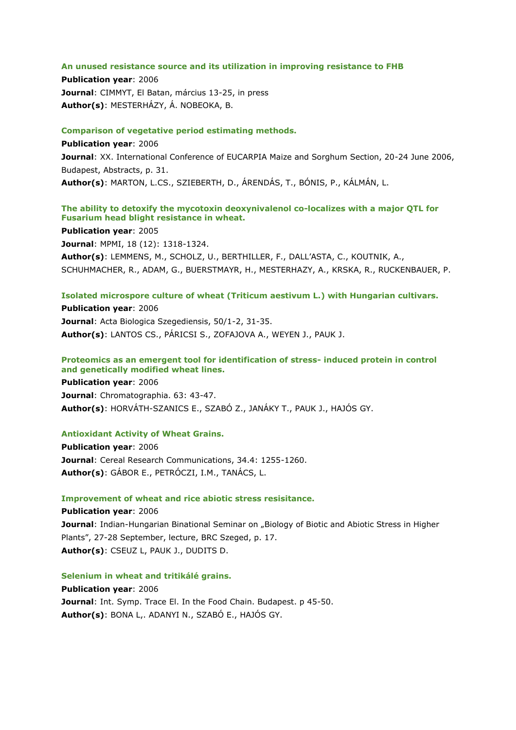#### **An unused resistance source and its utilization in improving resistance to FHB**

**Publication year**: 2006 **Journal**: CIMMYT, El Batan, március 13-25, in press **Author(s)**: MESTERHÁZY, Á. NOBEOKA, B.

## **Comparison of vegetative period estimating methods.**

**Publication year**: 2006 **Journal**: XX. International Conference of EUCARPIA Maize and Sorghum Section, 20-24 June 2006, Budapest, Abstracts, p. 31. **Author(s)**: MARTON, L.CS., SZIEBERTH, D., ÁRENDÁS, T., BÓNIS, P., KÁLMÁN, L.

# **The ability to detoxify the mycotoxin deoxynivalenol co-localizes with a major QTL for Fusarium head blight resistance in wheat.**

**Publication year**: 2005 **Journal**: MPMI, 18 (12): 1318-1324. **Author(s)**: LEMMENS, M., SCHOLZ, U., BERTHILLER, F., DALL'ASTA, C., KOUTNIK, A., SCHUHMACHER, R., ADAM, G., BUERSTMAYR, H., MESTERHAZY, A., KRSKA, R., RUCKENBAUER, P.

## **Isolated microspore culture of wheat (Triticum aestivum L.) with Hungarian cultivars.**

**Publication year**: 2006 **Journal**: Acta Biologica Szegediensis, 50/1-2, 31-35. **Author(s)**: LANTOS CS., PÁRICSI S., ZOFAJOVA A., WEYEN J., PAUK J.

# **Proteomics as an emergent tool for identification of stress- induced protein in control and genetically modified wheat lines.**

**Publication year**: 2006 **Journal**: Chromatographia. 63: 43-47. **Author(s)**: HORVÁTH-SZANICS E., SZABÓ Z., JANÁKY T., PAUK J., HAJÓS GY.

## **Antioxidant Activity of Wheat Grains.**

**Publication year**: 2006 **Journal**: Cereal Research Communications, 34.4: 1255-1260. **Author(s)**: GÁBOR E., PETRÓCZI, I.M., TANÁCS, L.

## **Improvement of wheat and rice abiotic stress resisitance.**

**Publication year**: 2006 **Journal:** Indian-Hungarian Binational Seminar on "Biology of Biotic and Abiotic Stress in Higher Plants", 27-28 September, lecture, BRC Szeged, p. 17. **Author(s)**: CSEUZ L, PAUK J., DUDITS D.

## **Selenium in wheat and tritikálé grains.**

**Publication year**: 2006 **Journal**: Int. Symp. Trace El. In the Food Chain. Budapest. p 45-50. **Author(s)**: BONA L,. ADANYI N., SZABÓ E., HAJÓS GY.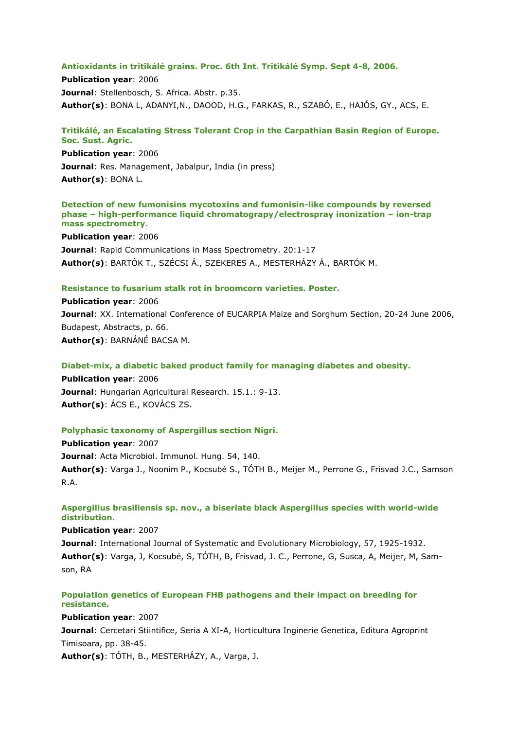#### **Antioxidants in tritikálé grains. Proc. 6th Int. Tritikálé Symp. Sept 4-8, 2006.**

**Publication year**: 2006 **Journal**: Stellenbosch, S. Africa. Abstr. p.35. **Author(s)**: BONA L, ADANYI,N., DAOOD, H.G., FARKAS, R., SZABÓ, E., HAJÓS, GY., ACS, E.

## **Tritikálé, an Escalating Stress Tolerant Crop in the Carpathian Basin Region of Europe. Soc. Sust. Agric.**

**Publication year**: 2006 **Journal**: Res. Management, Jabalpur, India (in press) **Author(s)**: BONA L.

#### **Detection of new fumonisins mycotoxins and fumonisin-like compounds by reversed phase – high-performance liquid chromatograpy/electrospray inonization – ion-trap mass spectrometry.**

**Publication year**: 2006 **Journal**: Rapid Communications in Mass Spectrometry. 20:1-17 **Author(s)**: BARTÓK T., SZÉCSI Á., SZEKERES A., MESTERHÁZY Á., BARTÓK M.

## **Resistance to fusarium stalk rot in broomcorn varieties. Poster.**

**Publication year**: 2006 **Journal**: XX. International Conference of EUCARPIA Maize and Sorghum Section, 20-24 June 2006, Budapest, Abstracts, p. 66. **Author(s)**: BARNÁNÉ BACSA M.

# **Diabet-mix, a diabetic baked product family for managing diabetes and obesity.**

**Publication year**: 2006 **Journal**: Hungarian Agricultural Research. 15.1.: 9-13. **Author(s)**: ÁCS E., KOVÁCS ZS.

## **Polyphasic taxonomy of Aspergillus section Nigri.**

**Publication year**: 2007 **Journal**: Acta Microbiol. Immunol. Hung. 54, 140. **Author(s)**: Varga J., Noonim P., Kocsubé S., TÓTH B., Meijer M., Perrone G., Frisvad J.C., Samson R.A.

# **Aspergillus brasiliensis sp. nov., a biseriate black Aspergillus species with world-wide distribution.**

**Publication year**: 2007 **Journal**: International Journal of Systematic and Evolutionary Microbiology, 57, 1925-1932. **Author(s)**: Varga, J, Kocsubé, S, TÓTH, B, Frisvad, J. C., Perrone, G, Susca, A, Meijer, M, Samson, RA

# **Population genetics of European FHB pathogens and their impact on breeding for resistance.**

**Publication year**: 2007

**Journal**: Cercetari Stiintifice, Seria A XI-A, Horticultura Inginerie Genetica, Editura Agroprint Timisoara, pp. 38-45.

**Author(s)**: TÓTH, B., MESTERHÁZY, A., Varga, J.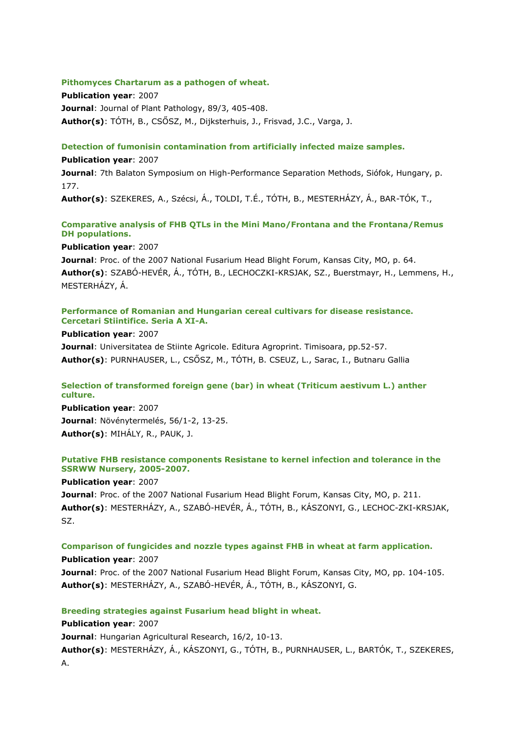#### **Pithomyces Chartarum as a pathogen of wheat.**

**Publication year**: 2007 **Journal**: Journal of Plant Pathology, 89/3, 405-408. **Author(s)**: TÓTH, B., CSŐSZ, M., Dijksterhuis, J., Frisvad, J.C., Varga, J.

#### **Detection of fumonisin contamination from artificially infected maize samples.**

**Publication year**: 2007

**Journal**: 7th Balaton Symposium on High-Performance Separation Methods, Siófok, Hungary, p. 177.

**Author(s)**: SZEKERES, A., Szécsi, Á., TOLDI, T.É., TÓTH, B., MESTERHÁZY, Á., BAR-TÓK, T.,

# **Comparative analysis of FHB QTLs in the Mini Mano/Frontana and the Frontana/Remus DH populations.**

#### **Publication year**: 2007

**Journal**: Proc. of the 2007 National Fusarium Head Blight Forum, Kansas City, MO, p. 64. **Author(s)**: SZABÓ-HEVÉR, Á., TÓTH, B., LECHOCZKI-KRSJAK, SZ., Buerstmayr, H., Lemmens, H., MESTERHÁZY, Á.

# **Performance of Romanian and Hungarian cereal cultivars for disease resistance. Cercetari Stiintifice. Seria A XI-A.**

#### **Publication year**: 2007

**Journal**: Universitatea de Stiinte Agricole. Editura Agroprint. Timisoara, pp.52-57. **Author(s)**: PURNHAUSER, L., CSŐSZ, M., TÓTH, B. CSEUZ, L., Sarac, I., Butnaru Gallia

# **Selection of transformed foreign gene (bar) in wheat (Triticum aestivum L.) anther culture.**

**Publication year**: 2007 **Journal**: Növénytermelés, 56/1-2, 13-25. **Author(s)**: MIHÁLY, R., PAUK, J.

# **Putative FHB resistance components Resistane to kernel infection and tolerance in the SSRWW Nursery, 2005-2007.**

**Publication year**: 2007

**Journal**: Proc. of the 2007 National Fusarium Head Blight Forum, Kansas City, MO, p. 211. **Author(s)**: MESTERHÁZY, A., SZABÓ-HEVÉR, Á., TÓTH, B., KÁSZONYI, G., LECHOC-ZKI-KRSJAK, SZ.

# **Comparison of fungicides and nozzle types against FHB in wheat at farm application.**

**Publication year**: 2007 **Journal**: Proc. of the 2007 National Fusarium Head Blight Forum, Kansas City, MO, pp. 104-105. **Author(s)**: MESTERHÁZY, A., SZABÓ-HEVÉR, Á., TÓTH, B., KÁSZONYI, G.

## **Breeding strategies against Fusarium head blight in wheat.**

## **Publication year**: 2007

**Journal**: Hungarian Agricultural Research, 16/2, 10-13.

**Author(s)**: MESTERHÁZY, Á., KÁSZONYI, G., TÓTH, B., PURNHAUSER, L., BARTÓK, T., SZEKERES, A.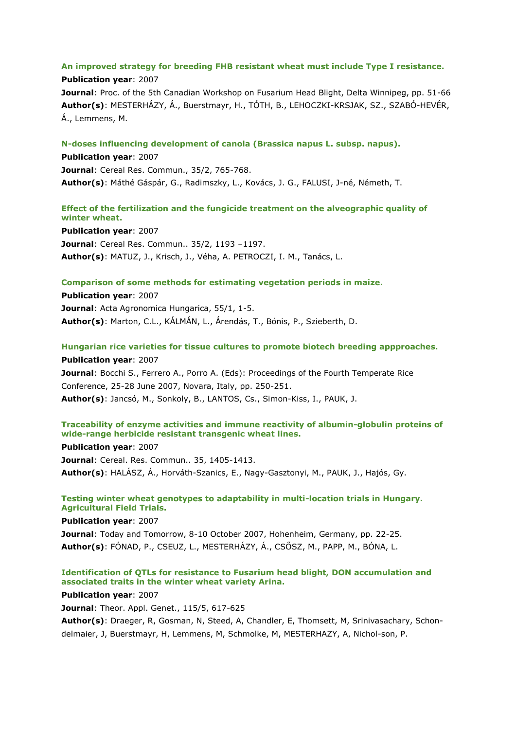# **An improved strategy for breeding FHB resistant wheat must include Type I resistance.**

**Publication year**: 2007 **Journal**: Proc. of the 5th Canadian Workshop on Fusarium Head Blight, Delta Winnipeg, pp. 51-66 **Author(s)**: MESTERHÁZY, Á., Buerstmayr, H., TÓTH, B., LEHOCZKI-KRSJAK, SZ., SZABÓ-HEVÉR, Á., Lemmens, M.

**N-doses influencing development of canola (Brassica napus L. subsp. napus).**

**Publication year**: 2007 **Journal**: Cereal Res. Commun., 35/2, 765-768. **Author(s)**: Máthé Gáspár, G., Radimszky, L., Kovács, J. G., FALUSI, J-né, Németh, T.

# **Effect of the fertilization and the fungicide treatment on the alveographic quality of winter wheat.**

**Publication year**: 2007 **Journal**: Cereal Res. Commun.. 35/2, 1193 –1197. **Author(s)**: MATUZ, J., Krisch, J., Véha, A. PETROCZI, I. M., Tanács, L.

## **Comparison of some methods for estimating vegetation periods in maize.**

**Publication year**: 2007 **Journal**: Acta Agronomica Hungarica, 55/1, 1-5. **Author(s)**: Marton, C.L., KÁLMÁN, L., Árendás, T., Bónis, P., Szieberth, D.

**Hungarian rice varieties for tissue cultures to promote biotech breeding appproaches.**

**Publication year**: 2007 **Journal**: Bocchi S., Ferrero A., Porro A. (Eds): Proceedings of the Fourth Temperate Rice Conference, 25-28 June 2007, Novara, Italy, pp. 250-251. **Author(s)**: Jancsó, M., Sonkoly, B., LANTOS, Cs., Simon-Kiss, I., PAUK, J.

# **Traceability of enzyme activities and immune reactivity of albumin-globulin proteins of wide-range herbicide resistant transgenic wheat lines.**

**Publication year**: 2007 **Journal**: Cereal. Res. Commun.. 35, 1405-1413. **Author(s)**: HALÁSZ, Á., Horváth-Szanics, E., Nagy-Gasztonyi, M., PAUK, J., Hajós, Gy.

# **Testing winter wheat genotypes to adaptability in multi-location trials in Hungary. Agricultural Field Trials.**

**Publication year**: 2007

**Journal**: Today and Tomorrow, 8-10 October 2007, Hohenheim, Germany, pp. 22-25. **Author(s)**: FÓNAD, P., CSEUZ, L., MESTERHÁZY, Á., CSŐSZ, M., PAPP, M., BÓNA, L.

# **Identification of QTLs for resistance to Fusarium head blight, DON accumulation and associated traits in the winter wheat variety Arina.**

## **Publication year**: 2007

**Journal**: Theor. Appl. Genet., 115/5, 617-625

**Author(s)**: Draeger, R, Gosman, N, Steed, A, Chandler, E, Thomsett, M, Srinivasachary, Schondelmaier, J, Buerstmayr, H, Lemmens, M, Schmolke, M, MESTERHAZY, A, Nichol-son, P.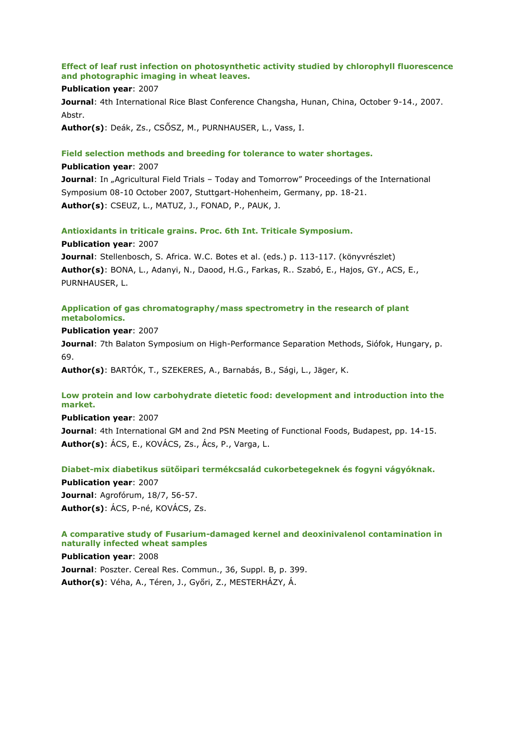# **Effect of leaf rust infection on photosynthetic activity studied by chlorophyll fluorescence and photographic imaging in wheat leaves.**

#### **Publication year**: 2007

**Journal**: 4th International Rice Blast Conference Changsha, Hunan, China, October 9-14., 2007. Abstr.

**Author(s)**: Deák, Zs., CSŐSZ, M., PURNHAUSER, L., Vass, I.

#### **Field selection methods and breeding for tolerance to water shortages.**

#### **Publication year**: 2007

**Journal:** In "Agricultural Field Trials – Today and Tomorrow" Proceedings of the International Symposium 08-10 October 2007, Stuttgart-Hohenheim, Germany, pp. 18-21. **Author(s)**: CSEUZ, L., MATUZ, J., FONAD, P., PAUK, J.

#### **Antioxidants in triticale grains. Proc. 6th Int. Triticale Symposium.**

**Publication year**: 2007

**Journal**: Stellenbosch, S. Africa. W.C. Botes et al. (eds.) p. 113-117. (könyvrészlet) **Author(s)**: BONA, L., Adanyi, N., Daood, H.G., Farkas, R.. Szabó, E., Hajos, GY., ACS, E., PURNHAUSER, L.

# **Application of gas chromatography/mass spectrometry in the research of plant metabolomics.**

**Publication year**: 2007

**Journal**: 7th Balaton Symposium on High-Performance Separation Methods, Siófok, Hungary, p. 69.

**Author(s)**: BARTÓK, T., SZEKERES, A., Barnabás, B., Sági, L., Jäger, K.

# **Low protein and low carbohydrate dietetic food: development and introduction into the market.**

**Publication year**: 2007

**Journal**: 4th International GM and 2nd PSN Meeting of Functional Foods, Budapest, pp. 14-15. **Author(s)**: ÁCS, E., KOVÁCS, Zs., Ács, P., Varga, L.

## **Diabet-mix diabetikus sütőipari termékcsalád cukorbetegeknek és fogyni vágyóknak.**

**Publication year**: 2007 **Journal**: Agrofórum, 18/7, 56-57. **Author(s)**: ÁCS, P-né, KOVÁCS, Zs.

## **A comparative study of Fusarium-damaged kernel and deoxinivalenol contamination in naturally infected wheat samples**

**Publication year**: 2008 **Journal**: Poszter. Cereal Res. Commun., 36, Suppl. B, p. 399. **Author(s)**: Véha, A., Téren, J., Győri, Z., MESTERHÁZY, Á.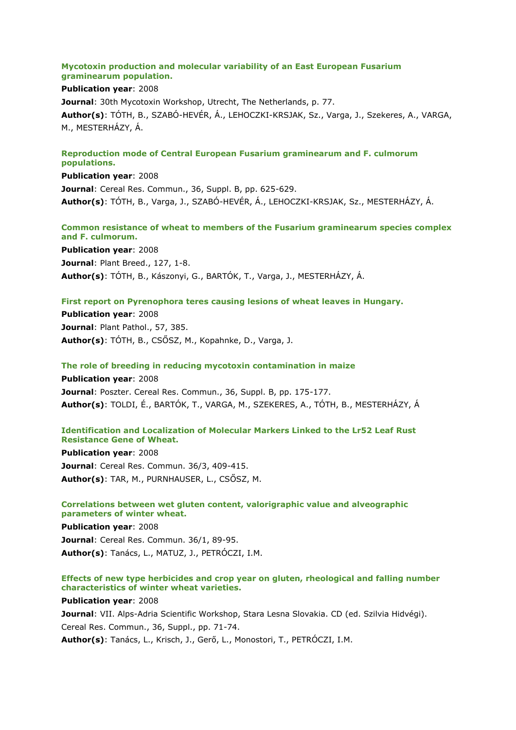## **Mycotoxin production and molecular variability of an East European Fusarium graminearum population.**

## **Publication year**: 2008

**Journal**: 30th Mycotoxin Workshop, Utrecht, The Netherlands, p. 77. **Author(s)**: TÓTH, B., SZABÓ-HEVÉR, Á., LEHOCZKI-KRSJAK, Sz., Varga, J., Szekeres, A., VARGA, M., MESTERHÁZY, Á.

## **Reproduction mode of Central European Fusarium graminearum and F. culmorum populations.**

**Publication year**: 2008 **Journal**: Cereal Res. Commun., 36, Suppl. B, pp. 625-629. **Author(s)**: TÓTH, B., Varga, J., SZABÓ-HEVÉR, Á., LEHOCZKI-KRSJAK, Sz., MESTERHÁZY, Á.

# **Common resistance of wheat to members of the Fusarium graminearum species complex and F. culmorum.**

**Publication year**: 2008 **Journal**: Plant Breed., 127, 1-8. **Author(s)**: TÓTH, B., Kászonyi, G., BARTÓK, T., Varga, J., MESTERHÁZY, Á.

# **First report on Pyrenophora teres causing lesions of wheat leaves in Hungary.**

**Publication year**: 2008 **Journal**: Plant Pathol., 57, 385. **Author(s)**: TÓTH, B., CSŐSZ, M., Kopahnke, D., Varga, J.

# **The role of breeding in reducing mycotoxin contamination in maize**

**Publication year**: 2008 **Journal**: Poszter. Cereal Res. Commun., 36, Suppl. B, pp. 175-177. **Author(s)**: TOLDI, É., BARTÓK, T., VARGA, M., SZEKERES, A., TÓTH, B., MESTERHÁZY, Á

#### **Identification and Localization of Molecular Markers Linked to the Lr52 Leaf Rust Resistance Gene of Wheat.**

**Publication year**: 2008 **Journal**: Cereal Res. Commun. 36/3, 409-415. **Author(s)**: TAR, M., PURNHAUSER, L., CSŐSZ, M.

**Correlations between wet gluten content, valorigraphic value and alveographic parameters of winter wheat.**

**Publication year**: 2008 **Journal**: Cereal Res. Commun. 36/1, 89-95. **Author(s)**: Tanács, L., MATUZ, J., PETRÓCZI, I.M.

# **Effects of new type herbicides and crop year on gluten, rheological and falling number characteristics of winter wheat varieties.**

**Publication year**: 2008 **Journal**: VII. Alps-Adria Scientific Workshop, Stara Lesna Slovakia. CD (ed. Szilvia Hidvégi). Cereal Res. Commun., 36, Suppl., pp. 71-74. **Author(s)**: Tanács, L., Krisch, J., Gerő, L., Monostori, T., PETRÓCZI, I.M.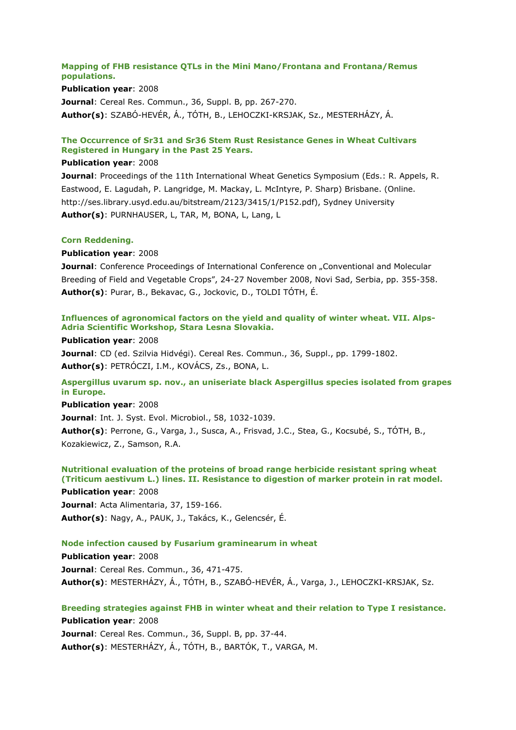## **Mapping of FHB resistance QTLs in the Mini Mano/Frontana and Frontana/Remus populations.**

#### **Publication year**: 2008

**Journal**: Cereal Res. Commun., 36, Suppl. B, pp. 267-270. **Author(s)**: SZABÓ-HEVÉR, Á., TÓTH, B., LEHOCZKI-KRSJAK, Sz., MESTERHÁZY, Á.

# **The Occurrence of Sr31 and Sr36 Stem Rust Resistance Genes in Wheat Cultivars Registered in Hungary in the Past 25 Years.**

#### **Publication year**: 2008

**Journal**: Proceedings of the 11th International Wheat Genetics Symposium (Eds.: R. Appels, R. Eastwood, E. Lagudah, P. Langridge, M. Mackay, L. McIntyre, P. Sharp) Brisbane. (Online. http://ses.library.usyd.edu.au/bitstream/2123/3415/1/P152.pdf), Sydney University **Author(s)**: PURNHAUSER, L, TAR, M, BONA, L, Lang, L

#### **Corn Reddening.**

#### **Publication year**: 2008

**Journal**: Conference Proceedings of International Conference on "Conventional and Molecular Breeding of Field and Vegetable Crops", 24-27 November 2008, Novi Sad, Serbia, pp. 355-358. **Author(s)**: Purar, B., Bekavac, G., Jockovic, D., TOLDI TÓTH, É.

## **Influences of agronomical factors on the yield and quality of winter wheat. VII. Alps-Adria Scientific Workshop, Stara Lesna Slovakia.**

#### **Publication year**: 2008

**Journal**: CD (ed. Szilvia Hidvégi). Cereal Res. Commun., 36, Suppl., pp. 1799-1802. **Author(s)**: PETRÓCZI, I.M., KOVÁCS, Zs., BONA, L.

# **Aspergillus uvarum sp. nov., an uniseriate black Aspergillus species isolated from grapes in Europe.**

#### **Publication year**: 2008

**Journal**: Int. J. Syst. Evol. Microbiol., 58, 1032-1039.

**Author(s)**: Perrone, G., Varga, J., Susca, A., Frisvad, J.C., Stea, G., Kocsubé, S., TÓTH, B., Kozakiewicz, Z., Samson, R.A.

# **Nutritional evaluation of the proteins of broad range herbicide resistant spring wheat (Triticum aestivum L.) lines. II. Resistance to digestion of marker protein in rat model.**

**Publication year**: 2008 **Journal**: Acta Alimentaria, 37, 159-166. **Author(s)**: Nagy, A., PAUK, J., Takács, K., Gelencsér, É.

## **Node infection caused by Fusarium graminearum in wheat**

**Publication year**: 2008 **Journal**: Cereal Res. Commun., 36, 471-475. **Author(s)**: MESTERHÁZY, Á., TÓTH, B., SZABÓ-HEVÉR, Á., Varga, J., LEHOCZKI-KRSJAK, Sz.

# **Breeding strategies against FHB in winter wheat and their relation to Type I resistance. Publication year**: 2008 **Journal**: Cereal Res. Commun., 36, Suppl. B, pp. 37-44.

**Author(s)**: MESTERHÁZY, Á., TÓTH, B., BARTÓK, T., VARGA, M.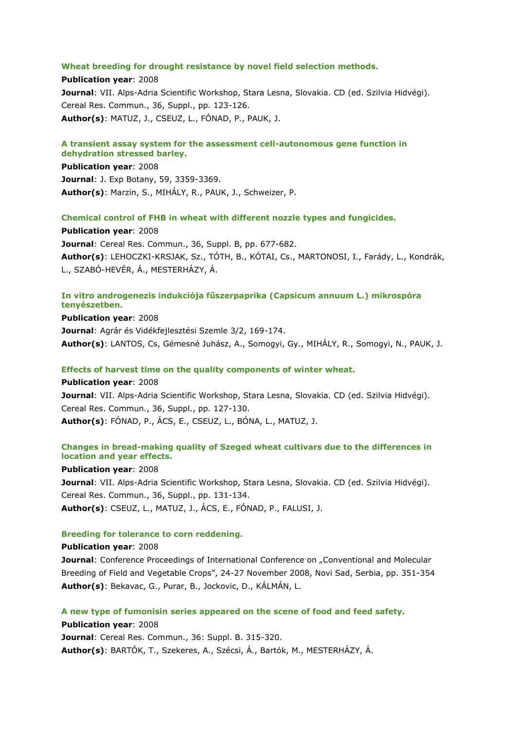#### **Wheat breeding for drought resistance by novel field selection methods.**

**Publication year**: 2008 **Journal**: VII. Alps-Adria Scientific Workshop, Stara Lesna, Slovakia. CD (ed. Szilvia Hidvégi). Cereal Res. Commun., 36, Suppl., pp. 123-126. **Author(s)**: MATUZ, J., CSEUZ, L., FÓNAD, P., PAUK, J.

# **A transient assay system for the assessment cell-autonomous gene function in dehydration stressed barley.**

**Publication year**: 2008 **Journal**: J. Exp Botany, 59, 3359-3369. **Author(s)**: Marzin, S., MIHÁLY, R., PAUK, J., Schweizer, P.

## **Chemical control of FHB in wheat with different nozzle types and fungicides.**

**Publication year**: 2008 **Journal**: Cereal Res. Commun., 36, Suppl. B, pp. 677-682. **Author(s)**: LEHOCZKI-KRSJAK, Sz., TÓTH, B., KÓTAI, Cs., MARTONOSI, I., Farády, L., Kondrák, L., SZABÓ-HEVÉR, Á., MESTERHÁZY, Á.

# **In vitro androgenezis indukciója fűszerpaprika (Capsicum annuum L.) mikrospóra tenyészetben.**

**Publication year**: 2008 **Journal**: Agrár és Vidékfejlesztési Szemle 3/2, 169-174. **Author(s)**: LANTOS, Cs, Gémesné Juhász, A., Somogyi, Gy., MIHÁLY, R., Somogyi, N., PAUK, J.

#### **Effects of harvest time on the quality components of winter wheat.**

**Publication year**: 2008 **Journal**: VII. Alps-Adria Scientific Workshop, Stara Lesna, Slovakia. CD (ed. Szilvia Hidvégi). Cereal Res. Commun., 36, Suppl., pp. 127-130. **Author(s)**: FÓNAD, P., ÁCS, E., CSEUZ, L., BÓNA, L., MATUZ, J.

# **Changes in bread-making quality of Szeged wheat cultivars due to the differences in location and year effects.**

**Publication year**: 2008

**Journal**: VII. Alps-Adria Scientific Workshop, Stara Lesna, Slovakia. CD (ed. Szilvia Hidvégi). Cereal Res. Commun., 36, Suppl., pp. 131-134. **Author(s)**: CSEUZ, L., MATUZ, J., ÁCS, E., FÓNAD, P., FALUSI, J.

#### **Breeding for tolerance to corn reddening.**

#### **Publication year**: 2008

**Journal:** Conference Proceedings of International Conference on "Conventional and Molecular Breeding of Field and Vegetable Crops", 24-27 November 2008, Novi Sad, Serbia, pp. 351-354 **Author(s)**: Bekavac, G., Purar, B., Jockovic, D., KÁLMÁN, L.

## **A new type of fumonisin series appeared on the scene of food and feed safety.**

**Publication year**: 2008 **Journal**: Cereal Res. Commun., 36: Suppl. B. 315-320. **Author(s)**: BARTÓK, T., Szekeres, A., Szécsi, Á., Bartók, M., MESTERHÁZY, Á.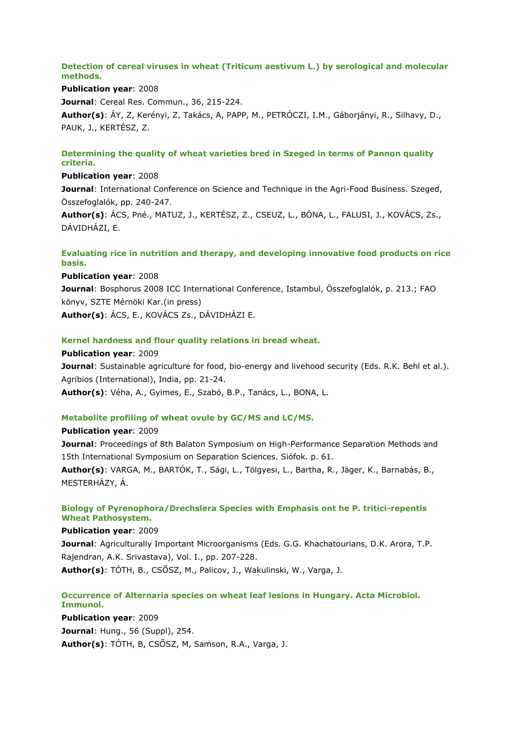# **Detection of cereal viruses in wheat (Triticum aestivum L.) by serological and molecular methods.**

**Publication year**: 2008 **Journal**: Cereal Res. Commun., 36, 215-224.

**Author(s)**: ÁY, Z, Kerényi, Z, Takács, A, PAPP, M., PETRÓCZI, I.M., Gáborjányi, R., Silhavy, D., PAUK, J., KERTÉSZ, Z.

# **Determining the quality of wheat varieties bred in Szeged in terms of Pannon quality criteria.**

# **Publication year**: 2008

**Journal**: International Conference on Science and Technique in the Agri-Food Business. Szeged, Összefoglalók, pp. 240-247.

**Author(s)**: ÁCS, Pné., MATUZ, J., KERTÉSZ, Z., CSEUZ, L., BÓNA, L., FALUSI, J., KOVÁCS, Zs., DÁVIDHÁZI, E.

# **Evaluating rice in nutrition and therapy, and developing innovative food products on rice basis.**

**Publication year**: 2008 **Journal**: Bosphorus 2008 ICC International Conference, Istambul, Összefoglalók, p. 213.; FAO könyv, SZTE Mérnöki Kar.(in press) **Author(s)**: ÁCS, E., KOVÁCS Zs., DÁVIDHÁZI E.

# **Kernel hardness and flour quality relations in bread wheat.**

**Publication year**: 2009 **Journal**: Sustainable agriculture for food, bio-energy and livehood security (Eds. R.K. Behl et al.). Agribios (International), India, pp. 21-24. **Author(s)**: Véha, A., Gyimes, E., Szabó, B.P., Tanács, L., BONA, L.

# **Metabolite profiling of wheat ovule by GC/MS and LC/MS.**

# **Publication year**: 2009

**Journal**: Proceedings of 8th Balaton Symposium on High-Performance Separation Methods and 15th International Symposium on Separation Sciences. Siófok. p. 61. **Author(s)**: VARGA, M., BARTÓK, T., Sági, L., Tölgyesi, L., Bartha, R., Jäger, K., Barnabás, B., MESTERHÁZY, Á.

# **Biology of Pyrenophora/Drechslera Species with Emphasis ont he P. tritici-repentis Wheat Pathosystem.**

## **Publication year**: 2009

**Journal**: Agriculturally Important Microorganisms (Eds. G.G. Khachatourians, D.K. Arora, T.P. Rajendran, A.K. Srivastava), Vol. I., pp. 207-228. **Author(s)**: TÓTH, B., CSŐSZ, M., Palicov, J., Wakulinski, W., Varga, J.

# **Occurrence of Alternaria species on wheat leaf lesions in Hungary. Acta Microbiol. Immunol.**

**Publication year**: 2009 **Journal**: Hung., 56 (Suppl), 254. **Author(s)**: TÓTH, B, CSŐSZ, M, Samson, R.A., Varga, J.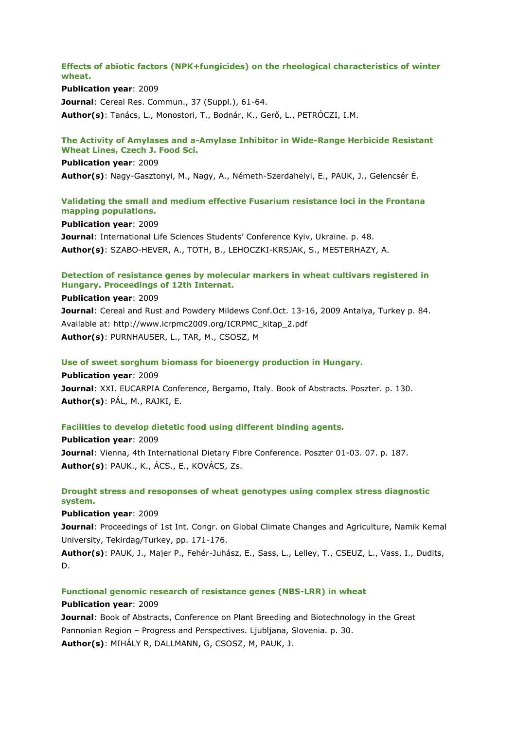**Effects of abiotic factors (NPK+fungicides) on the rheological characteristics of winter wheat.**

**Publication year**: 2009

**Journal**: Cereal Res. Commun., 37 (Suppl.), 61-64.

**Author(s)**: Tanács, L., Monostori, T., Bodnár, K., Gerő, L., PETRÓCZI, I.M.

#### **The Activity of Amylases and a-Amylase Inhibitor in Wide-Range Herbicide Resistant Wheat Lines, Czech J. Food Sci.**

**Publication year**: 2009

**Author(s)**: Nagy-Gasztonyi, M., Nagy, A., Németh-Szerdahelyi, E., PAUK, J., Gelencsér É.

## **Validating the small and medium effective Fusarium resistance loci in the Frontana mapping populations.**

**Publication year**: 2009 **Journal**: International Life Sciences Students' Conference Kyiv, Ukraine. p. 48. **Author(s)**: SZABO-HEVER, A., TOTH, B., LEHOCZKI-KRSJAK, S., MESTERHAZY, A.

## **Detection of resistance genes by molecular markers in wheat cultivars registered in Hungary. Proceedings of 12th Internat.**

**Publication year**: 2009

**Journal**: Cereal and Rust and Powdery Mildews Conf.Oct. 13-16, 2009 Antalya, Turkey p. 84. Available at: http://www.icrpmc2009.org/ICRPMC\_kitap\_2.pdf **Author(s)**: PURNHAUSER, L., TAR, M., CSOSZ, M

**Use of sweet sorghum biomass for bioenergy production in Hungary.**

**Publication year**: 2009 **Journal**: XXI. EUCARPIA Conference, Bergamo, Italy. Book of Abstracts. Poszter. p. 130. **Author(s)**: PÁL, M., RAJKI, E.

#### **Facilities to develop dietetic food using different binding agents.**

**Publication year**: 2009 **Journal**: Vienna, 4th International Dietary Fibre Conference. Poszter 01-03. 07. p. 187. **Author(s)**: PAUK., K., ÁCS., E., KOVÁCS, Zs.

# **Drought stress and resoponses of wheat genotypes using complex stress diagnostic system.**

**Publication year**: 2009

**Journal**: Proceedings of 1st Int. Congr. on Global Climate Changes and Agriculture, Namik Kemal University, Tekirdag/Turkey, pp. 171-176.

**Author(s)**: PAUK, J., Majer P., Fehér-Juhász, E., Sass, L., Lelley, T., CSEUZ, L., Vass, I., Dudits, D.

#### **Functional genomic research of resistance genes (NBS-LRR) in wheat**

#### **Publication year**: 2009

**Journal**: Book of Abstracts, Conference on Plant Breeding and Biotechnology in the Great Pannonian Region – Progress and Perspectives. Ljubljana, Slovenia. p. 30. **Author(s)**: MIHÁLY R, DALLMANN, G, CSOSZ, M, PAUK, J.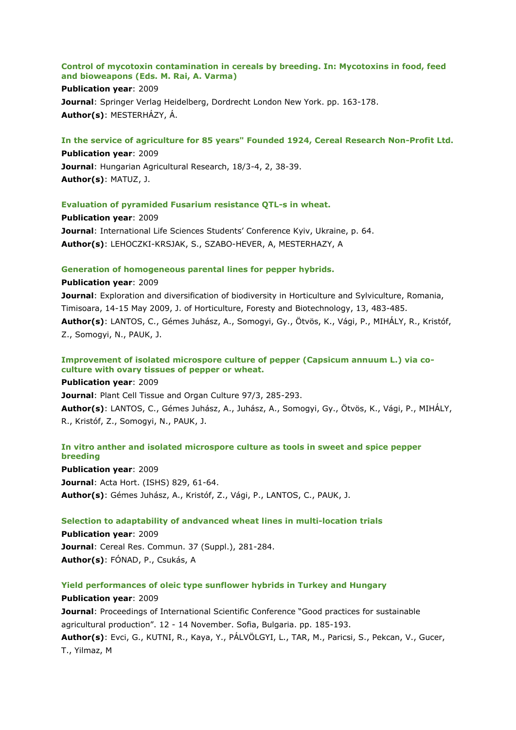#### **Control of mycotoxin contamination in cereals by breeding. In: Mycotoxins in food, feed and bioweapons (Eds. M. Rai, A. Varma)**

**Publication year**: 2009 **Journal**: Springer Verlag Heidelberg, Dordrecht London New York. pp. 163-178. **Author(s)**: MESTERHÁZY, Á.

## **In the service of agriculture for 85 years" Founded 1924, Cereal Research Non-Profit Ltd.**

**Publication year**: 2009 **Journal**: Hungarian Agricultural Research, 18/3-4, 2, 38-39. **Author(s)**: MATUZ, J.

## **Evaluation of pyramided Fusarium resistance QTL-s in wheat.**

**Publication year**: 2009 **Journal**: International Life Sciences Students' Conference Kyiv, Ukraine, p. 64. **Author(s)**: LEHOCZKI-KRSJAK, S., SZABO-HEVER, A, MESTERHAZY, A

#### **Generation of homogeneous parental lines for pepper hybrids.**

**Publication year**: 2009 **Journal**: Exploration and diversification of biodiversity in Horticulture and Sylviculture, Romania, Timisoara, 14-15 May 2009, J. of Horticulture, Foresty and Biotechnology, 13, 483-485. **Author(s)**: LANTOS, C., Gémes Juhász, A., Somogyi, Gy., Ötvös, K., Vági, P., MIHÁLY, R., Kristóf, Z., Somogyi, N., PAUK, J.

## **Improvement of isolated microspore culture of pepper (Capsicum annuum L.) via coculture with ovary tissues of pepper or wheat.**

**Publication year**: 2009 **Journal**: Plant Cell Tissue and Organ Culture 97/3, 285-293. **Author(s)**: LANTOS, C., Gémes Juhász, A., Juhász, A., Somogyi, Gy., Ötvös, K., Vági, P., MIHÁLY, R., Kristóf, Z., Somogyi, N., PAUK, J.

# **In vitro anther and isolated microspore culture as tools in sweet and spice pepper breeding**

**Publication year**: 2009 **Journal**: Acta Hort. (ISHS) 829, 61-64. **Author(s)**: Gémes Juhász, A., Kristóf, Z., Vági, P., LANTOS, C., PAUK, J.

## **Selection to adaptability of andvanced wheat lines in multi-location trials**

**Publication year**: 2009 **Journal**: Cereal Res. Commun. 37 (Suppl.), 281-284. **Author(s)**: FÓNAD, P., Csukás, A

## **Yield performances of oleic type sunflower hybrids in Turkey and Hungary**

## **Publication year**: 2009

**Journal: Proceedings of International Scientific Conference "Good practices for sustainable** agricultural production". 12 - 14 November. Sofia, Bulgaria. pp. 185-193. **Author(s)**: Evci, G., KUTNI, R., Kaya, Y., PÁLVÖLGYI, L., TAR, M., Paricsi, S., Pekcan, V., Gucer, T., Yilmaz, M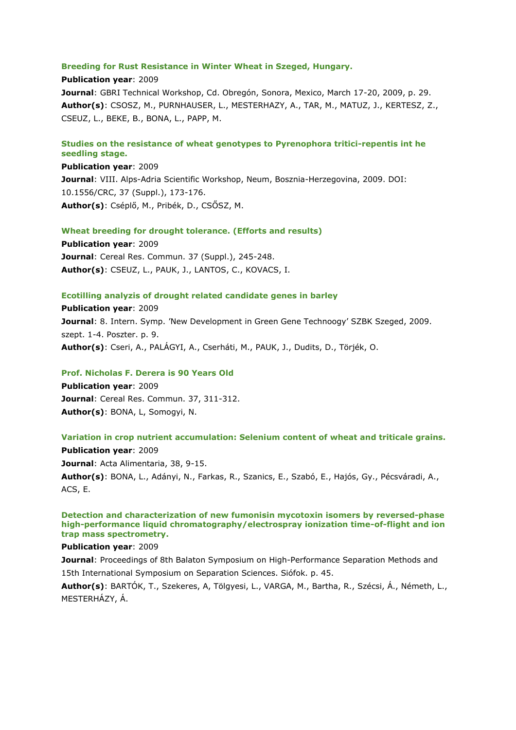#### **Breeding for Rust Resistance in Winter Wheat in Szeged, Hungary.**

**Publication year**: 2009 **Journal**: GBRI Technical Workshop, Cd. Obregón, Sonora, Mexico, March 17-20, 2009, p. 29. **Author(s)**: CSOSZ, M., PURNHAUSER, L., MESTERHAZY, A., TAR, M., MATUZ, J., KERTESZ, Z., CSEUZ, L., BEKE, B., BONA, L., PAPP, M.

## **Studies on the resistance of wheat genotypes to Pyrenophora tritici-repentis int he seedling stage.**

**Publication year**: 2009 **Journal**: VIII. Alps-Adria Scientific Workshop, Neum, Bosznia-Herzegovina, 2009. DOI: 10.1556/CRC, 37 (Suppl.), 173-176. **Author(s)**: Cséplő, M., Pribék, D., CSŐSZ, M.

#### **Wheat breeding for drought tolerance. (Efforts and results)**

**Publication year**: 2009 **Journal**: Cereal Res. Commun. 37 (Suppl.), 245-248. **Author(s)**: CSEUZ, L., PAUK, J., LANTOS, C., KOVACS, I.

#### **Ecotilling analyzis of drought related candidate genes in barley**

**Publication year**: 2009 **Journal**: 8. Intern. Symp. 'New Development in Green Gene Technoogy' SZBK Szeged, 2009. szept. 1-4. Poszter. p. 9. **Author(s)**: Cseri, A., PALÁGYI, A., Cserháti, M., PAUK, J., Dudits, D., Törjék, O.

#### **Prof. Nicholas F. Derera is 90 Years Old**

**Publication year**: 2009 **Journal**: Cereal Res. Commun. 37, 311-312. **Author(s)**: BONA, L, Somogyi, N.

#### **Variation in crop nutrient accumulation: Selenium content of wheat and triticale grains.**

**Publication year**: 2009 **Journal**: Acta Alimentaria, 38, 9-15. **Author(s)**: BONA, L., Adányi, N., Farkas, R., Szanics, E., Szabó, E., Hajós, Gy., Pécsváradi, A., ACS, E.

**Detection and characterization of new fumonisin mycotoxin isomers by reversed-phase high-performance liquid chromatography/electrospray ionization time-of-flight and ion trap mass spectrometry.**

## **Publication year**: 2009

**Journal:** Proceedings of 8th Balaton Symposium on High-Performance Separation Methods and 15th International Symposium on Separation Sciences. Siófok. p. 45.

**Author(s)**: BARTÓK, T., Szekeres, A, Tölgyesi, L., VARGA, M., Bartha, R., Szécsi, Á., Németh, L., MESTERHÁZY, Á.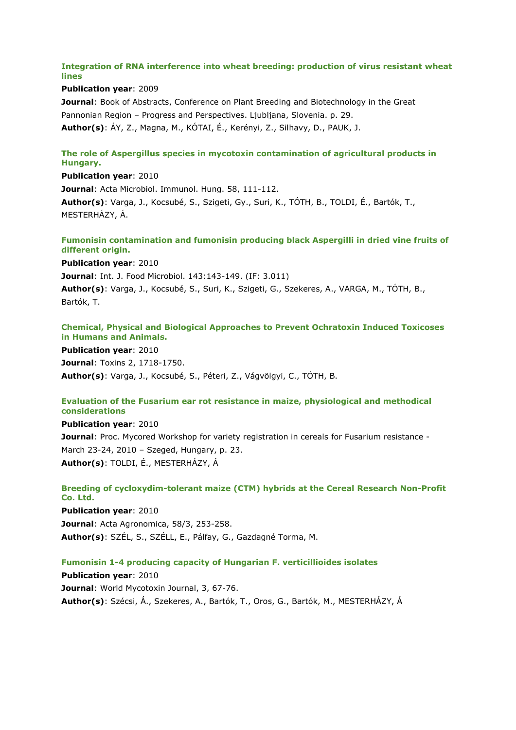# **Integration of RNA interference into wheat breeding: production of virus resistant wheat lines**

**Publication year**: 2009 **Journal**: Book of Abstracts, Conference on Plant Breeding and Biotechnology in the Great Pannonian Region – Progress and Perspectives. Ljubljana, Slovenia. p. 29. **Author(s)**: ÁY, Z., Magna, M., KÓTAI, É., Kerényi, Z., Silhavy, D., PAUK, J.

# **The role of Aspergillus species in mycotoxin contamination of agricultural products in Hungary.**

**Publication year**: 2010 **Journal**: Acta Microbiol. Immunol. Hung. 58, 111-112. **Author(s)**: Varga, J., Kocsubé, S., Szigeti, Gy., Suri, K., TÓTH, B., TOLDI, É., Bartók, T., MESTERHÁZY, Á.

# **Fumonisin contamination and fumonisin producing black Aspergilli in dried vine fruits of different origin.**

**Publication year**: 2010

**Journal**: Int. J. Food Microbiol. 143:143-149. (IF: 3.011)

**Author(s)**: Varga, J., Kocsubé, S., Suri, K., Szigeti, G., Szekeres, A., VARGA, M., TÓTH, B., Bartók, T.

# **Chemical, Physical and Biological Approaches to Prevent Ochratoxin Induced Toxicoses in Humans and Animals.**

**Publication year**: 2010 **Journal**: Toxins 2, 1718-1750. **Author(s)**: Varga, J., Kocsubé, S., Péteri, Z., Vágvölgyi, C., TÓTH, B.

# **Evaluation of the Fusarium ear rot resistance in maize, physiological and methodical considerations**

**Publication year**: 2010 **Journal**: Proc. Mycored Workshop for variety registration in cereals for Fusarium resistance - March 23-24, 2010 – Szeged, Hungary, p. 23. **Author(s)**: TOLDI, É., MESTERHÁZY, Á

# **Breeding of cycloxydim-tolerant maize (CTM) hybrids at the Cereal Research Non-Profit Co. Ltd. Publication year**: 2010

**Journal**: Acta Agronomica, 58/3, 253-258. **Author(s)**: SZÉL, S., SZÉLL, E., Pálfay, G., Gazdagné Torma, M.

# **Fumonisin 1-4 producing capacity of Hungarian F. verticillioides isolates**

**Publication year**: 2010 **Journal**: World Mycotoxin Journal, 3, 67-76. **Author(s)**: Szécsi, Á., Szekeres, A., Bartók, T., Oros, G., Bartók, M., MESTERHÁZY, Á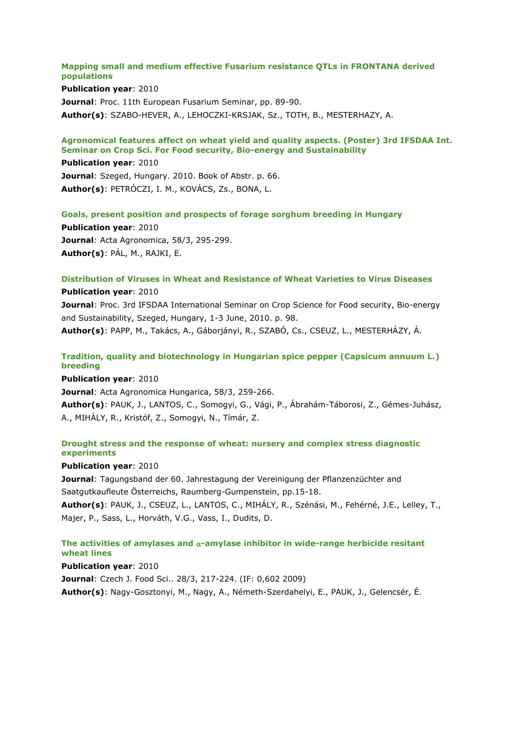#### **Mapping small and medium effective Fusarium resistance QTLs in FRONTANA derived populations**

**Publication year**: 2010 **Journal**: Proc. 11th European Fusarium Seminar, pp. 89-90. **Author(s)**: SZABO-HEVER, A., LEHOCZKI-KRSJAK, Sz., TOTH, B., MESTERHAZY, A.

# **Agronomical features affect on wheat yield and quality aspects. (Poster) 3rd IFSDAA Int. Seminar on Crop Sci. For Food security, Bio-energy and Sustainability**

**Publication year**: 2010 **Journal**: Szeged, Hungary. 2010. Book of Abstr. p. 66. **Author(s)**: PETRÓCZI, I. M., KOVÁCS, Zs., BONA, L.

## **Goals, present position and prospects of forage sorghum breeding in Hungary**

**Publication year**: 2010 **Journal**: Acta Agronomica, 58/3, 295-299. **Author(s)**: PÁL, M., RAJKI, E.

# **Distribution of Viruses in Wheat and Resistance of Wheat Varieties to Virus Diseases**

**Publication year**: 2010 **Journal**: Proc. 3rd IFSDAA International Seminar on Crop Science for Food security, Bio-energy and Sustainability, Szeged, Hungary, 1-3 June, 2010. p. 98. **Author(s)**: PAPP, M., Takács, A., Gáborjányi, R., SZABÓ, Cs., CSEUZ, L., MESTERHÁZY, Á.

# **Tradition, quality and biotechnology in Hungarian spice pepper (Capsicum annuum L.) breeding**

**Publication year**: 2010 **Journal**: Acta Agronomica Hungarica, 58/3, 259-266. **Author(s)**: PAUK, J., LANTOS, C., Somogyi, G., Vági, P., Ábrahám-Táborosi, Z., Gémes-Juhász, A., MIHÁLY, R., Kristóf, Z., Somogyi, N., Tímár, Z.

# **Drought stress and the response of wheat: nursery and complex stress diagnostic experiments**

## **Publication year**: 2010

**Journal**: Tagungsband der 60. Jahrestagung der Vereinigung der Pflanzenzüchter and Saatgutkaufleute Österreichs, Raumberg-Gumpenstein, pp.15-18.

**Author(s)**: PAUK, J., CSEUZ, L., LANTOS, C., MIHÁLY, R., Szénási, M., Fehérné, J.E., Lelley, T., Majer, P., Sass, L., Horváth, V.G., Vass, I., Dudits, D.

# The activities of amylases and  $\alpha$ -amylase inhibitor in wide-range herbicide resitant **wheat lines**

**Publication year**: 2010

**Journal**: Czech J. Food Sci.. 28/3, 217-224. (IF: 0,602 2009)

**Author(s)**: Nagy-Gosztonyi, M., Nagy, A., Németh-Szerdahelyi, E., PAUK, J., Gelencsér, É.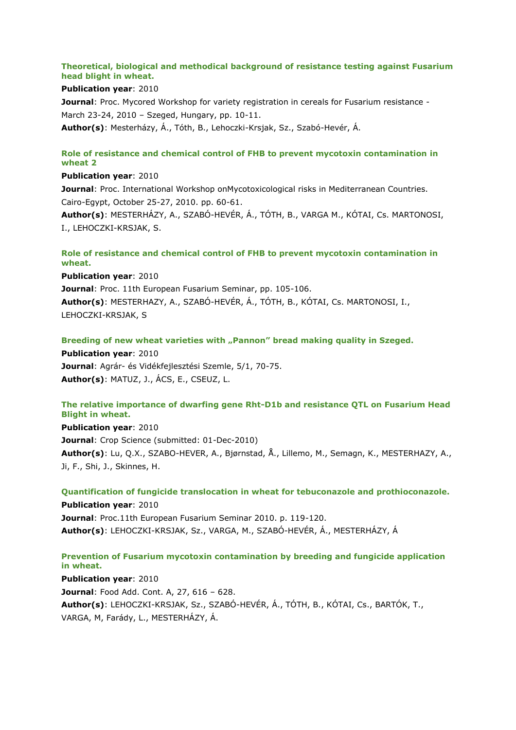# **Theoretical, biological and methodical background of resistance testing against Fusarium head blight in wheat.**

#### **Publication year**: 2010

**Journal:** Proc. Mycored Workshop for variety registration in cereals for Fusarium resistance -March 23-24, 2010 – Szeged, Hungary, pp. 10-11. **Author(s)**: Mesterházy, Á., Tóth, B., Lehoczki-Krsjak, Sz., Szabó-Hevér, Á.

# **Role of resistance and chemical control of FHB to prevent mycotoxin contamination in wheat 2**

## **Publication year**: 2010

**Journal**: Proc. International Workshop onMycotoxicological risks in Mediterranean Countries. Cairo-Egypt, October 25-27, 2010. pp. 60-61.

**Author(s)**: MESTERHÁZY, A., SZABÓ-HEVÉR, Á., TÓTH, B., VARGA M., KÓTAI, Cs. MARTONOSI, I., LEHOCZKI-KRSJAK, S.

# **Role of resistance and chemical control of FHB to prevent mycotoxin contamination in wheat.**

**Publication year**: 2010 **Journal**: Proc. 11th European Fusarium Seminar, pp. 105-106. **Author(s)**: MESTERHAZY, A., SZABÓ-HEVÉR, Á., TÓTH, B., KÓTAI, Cs. MARTONOSI, I., LEHOCZKI-KRSJAK, S

**Breeding of new wheat varieties with "Pannon" bread making quality in Szeged.**

**Publication year**: 2010 **Journal**: Agrár- és Vidékfejlesztési Szemle, 5/1, 70-75. **Author(s)**: MATUZ, J., ÁCS, E., CSEUZ, L.

# **The relative importance of dwarfing gene Rht-D1b and resistance QTL on Fusarium Head Blight in wheat.**

**Publication year**: 2010 **Journal**: Crop Science (submitted: 01-Dec-2010) **Author(s)**: Lu, Q.X., SZABO-HEVER, A., Bjørnstad, Å., Lillemo, M., Semagn, K., MESTERHAZY, A., Ji, F., Shi, J., Skinnes, H.

**Quantification of fungicide translocation in wheat for tebuconazole and prothioconazole. Publication year**: 2010 **Journal**: Proc.11th European Fusarium Seminar 2010. p. 119-120. **Author(s)**: LEHOCZKI-KRSJAK, Sz., VARGA, M., SZABÓ-HEVÉR, Á., MESTERHÁZY, Á

# **Prevention of Fusarium mycotoxin contamination by breeding and fungicide application in wheat.**

**Publication year**: 2010 **Journal**: Food Add. Cont. A, 27, 616 – 628. **Author(s)**: LEHOCZKI-KRSJAK, Sz., SZABÓ-HEVÉR, Á., TÓTH, B., KÓTAI, Cs., BARTÓK, T., VARGA, M, Farády, L., MESTERHÁZY, Á.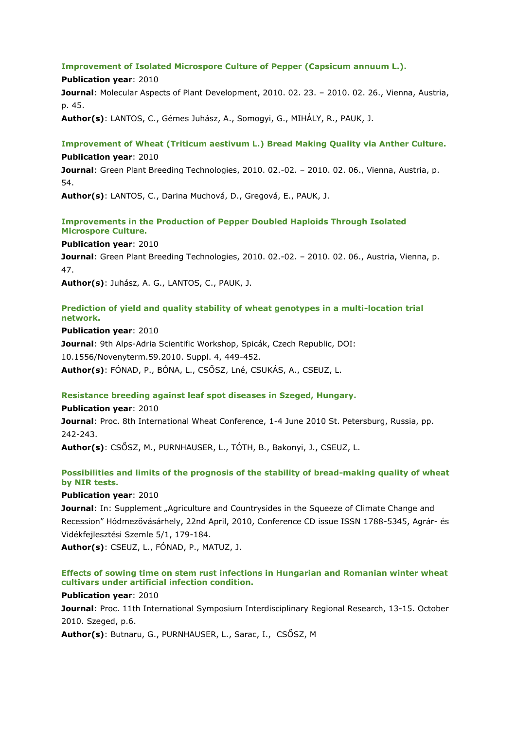#### **Improvement of Isolated Microspore Culture of Pepper (Capsicum annuum L.).**

**Publication year**: 2010 **Journal**: Molecular Aspects of Plant Development, 2010. 02. 23. – 2010. 02. 26., Vienna, Austria, p. 45.

**Author(s)**: LANTOS, C., Gémes Juhász, A., Somogyi, G., MIHÁLY, R., PAUK, J.

# **Improvement of Wheat (Triticum aestivum L.) Bread Making Quality via Anther Culture. Publication year**: 2010

**Journal**: Green Plant Breeding Technologies, 2010. 02.-02. – 2010. 02. 06., Vienna, Austria, p. 54.

**Author(s)**: LANTOS, C., Darina Muchová, D., Gregová, E., PAUK, J.

# **Improvements in the Production of Pepper Doubled Haploids Through Isolated Microspore Culture.**

#### **Publication year**: 2010

**Journal**: Green Plant Breeding Technologies, 2010. 02.-02. – 2010. 02. 06., Austria, Vienna, p. 47.

**Author(s)**: Juhász, A. G., LANTOS, C., PAUK, J.

# **Prediction of yield and quality stability of wheat genotypes in a multi-location trial network.**

**Publication year**: 2010 **Journal**: 9th Alps-Adria Scientific Workshop, Spicák, Czech Republic, DOI: 10.1556/Novenyterm.59.2010. Suppl. 4, 449-452. **Author(s)**: FÓNAD, P., BÓNA, L., CSŐSZ, Lné, CSUKÁS, A., CSEUZ, L.

## **Resistance breeding against leaf spot diseases in Szeged, Hungary.**

# **Publication year**: 2010

**Journal**: Proc. 8th International Wheat Conference, 1-4 June 2010 St. Petersburg, Russia, pp. 242-243.

**Author(s)**: CSŐSZ, M., PURNHAUSER, L., TÓTH, B., Bakonyi, J., CSEUZ, L.

# **Possibilities and limits of the prognosis of the stability of bread-making quality of wheat by NIR tests.**

## **Publication year**: 2010

**Journal**: In: Supplement "Agriculture and Countrysides in the Squeeze of Climate Change and Recession" Hódmezővásárhely, 22nd April, 2010, Conference CD issue ISSN 1788-5345, Agrár- és Vidékfejlesztési Szemle 5/1, 179-184.

**Author(s)**: CSEUZ, L., FÓNAD, P., MATUZ, J.

# **Effects of sowing time on stem rust infections in Hungarian and Romanian winter wheat cultivars under artificial infection condition.**

## **Publication year**: 2010

**Journal**: Proc. 11th International Symposium Interdisciplinary Regional Research, 13-15. October 2010. Szeged, p.6.

**Author(s)**: Butnaru, G., PURNHAUSER, L., Sarac, I., CSŐSZ, M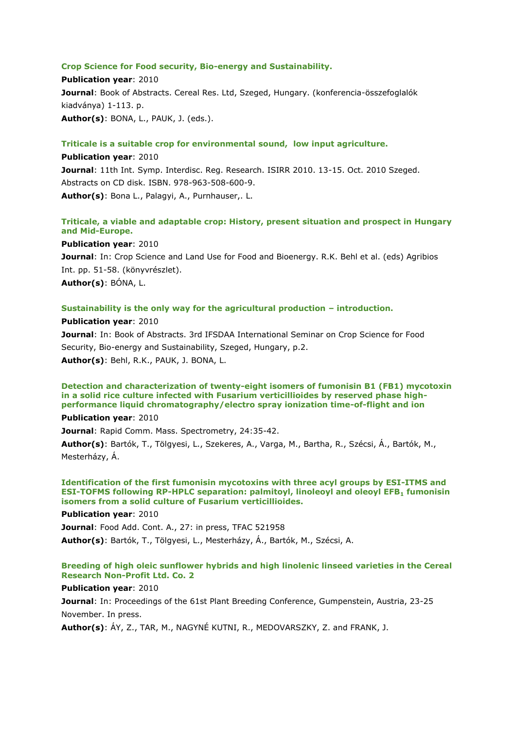#### **Crop Science for Food security, Bio-energy and Sustainability.**

**Publication year**: 2010 **Journal**: Book of Abstracts. Cereal Res. Ltd, Szeged, Hungary. (konferencia-összefoglalók kiadványa) 1-113. p. **Author(s)**: BONA, L., PAUK, J. (eds.).

#### **Triticale is a suitable crop for environmental sound, low input agriculture.**

**Publication year**: 2010 **Journal**: 11th Int. Symp. Interdisc. Reg. Research. ISIRR 2010. 13-15. Oct. 2010 Szeged. Abstracts on CD disk. ISBN. 978-963-508-600-9. **Author(s)**: Bona L., Palagyi, A., Purnhauser,. L.

# **Triticale, a viable and adaptable crop: History, present situation and prospect in Hungary and Mid-Europe.**

**Publication year**: 2010

**Journal**: In: Crop Science and Land Use for Food and Bioenergy. R.K. Behl et al. (eds) Agribios Int. pp. 51-58. (könyvrészlet). **Author(s)**: BÓNA, L.

#### **Sustainability is the only way for the agricultural production – introduction.**

**Publication year**: 2010

**Journal**: In: Book of Abstracts. 3rd IFSDAA International Seminar on Crop Science for Food Security, Bio-energy and Sustainability, Szeged, Hungary, p.2. **Author(s)**: Behl, R.K., PAUK, J. BONA, L.

**Detection and characterization of twenty-eight isomers of fumonisin B1 (FB1) mycotoxin in a solid rice culture infected with Fusarium verticillioides by reserved phase highperformance liquid chromatography/electro spray ionization time-of-flight and ion**

**Publication year**: 2010

**Journal**: Rapid Comm. Mass. Spectrometry, 24:35-42.

**Author(s)**: Bartók, T., Tölgyesi, L., Szekeres, A., Varga, M., Bartha, R., Szécsi, Á., Bartók, M., Mesterházy, Á.

**Identification of the first fumonisin mycotoxins with three acyl groups by ESI-ITMS and ESI-TOFMS following RP-HPLC separation: palmitoyl, linoleoyl and oleoyl EFB<sup>1</sup> fumonisin isomers from a solid culture of Fusarium verticillioides.**

**Publication year**: 2010

**Journal**: Food Add. Cont. A., 27: in press, TFAC 521958 **Author(s)**: Bartók, T., Tölgyesi, L., Mesterházy, Á., Bartók, M., Szécsi, A.

# **Breeding of high oleic sunflower hybrids and high linolenic linseed varieties in the Cereal Research Non-Profit Ltd. Co. 2**

#### **Publication year**: 2010

**Journal**: In: Proceedings of the 61st Plant Breeding Conference, Gumpenstein, Austria, 23-25 November. In press.

**Author(s)**: ÁY, Z., TAR, M., NAGYNÉ KUTNI, R., MEDOVARSZKY, Z. and FRANK, J.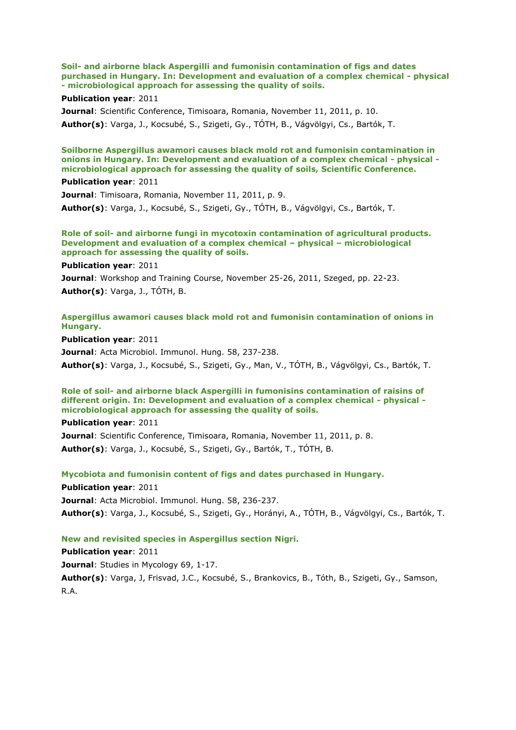**Soil- and airborne black Aspergilli and fumonisin contamination of figs and dates purchased in Hungary. In: Development and evaluation of a complex chemical - physical - microbiological approach for assessing the quality of soils.**

#### **Publication year**: 2011

**Journal**: Scientific Conference, Timisoara, Romania, November 11, 2011, p. 10. **Author(s)**: Varga, J., Kocsubé, S., Szigeti, Gy., TÓTH, B., Vágvölgyi, Cs., Bartók, T.

## **Soilborne Aspergillus awamori causes black mold rot and fumonisin contamination in onions in Hungary. In: Development and evaluation of a complex chemical - physical microbiological approach for assessing the quality of soils, Scientific Conference.**

#### **Publication year**: 2011

**Journal**: Timisoara, Romania, November 11, 2011, p. 9. **Author(s)**: Varga, J., Kocsubé, S., Szigeti, Gy., TÓTH, B., Vágvölgyi, Cs., Bartók, T.

#### **Role of soil- and airborne fungi in mycotoxin contamination of agricultural products. Development and evaluation of a complex chemical – physical – microbiological approach for assessing the quality of soils.**

#### **Publication year**: 2011

**Journal**: Workshop and Training Course, November 25-26, 2011, Szeged, pp. 22-23. **Author(s)**: Varga, J., TÓTH, B.

## **Aspergillus awamori causes black mold rot and fumonisin contamination of onions in Hungary.**

**Publication year**: 2011

**Journal**: Acta Microbiol. Immunol. Hung. 58, 237-238.

**Author(s)**: Varga, J., Kocsubé, S., Szigeti, Gy., Man, V., TÓTH, B., Vágvölgyi, Cs., Bartók, T.

#### **Role of soil- and airborne black Aspergilli in fumonisins contamination of raisins of different origin. In: Development and evaluation of a complex chemical - physical microbiological approach for assessing the quality of soils.**

**Publication year**: 2011 **Journal**: Scientific Conference, Timisoara, Romania, November 11, 2011, p. 8. **Author(s)**: Varga, J., Kocsubé, S., Szigeti, Gy., Bartók, T., TÓTH, B.

#### **Mycobiota and fumonisin content of figs and dates purchased in Hungary.**

**Publication year**: 2011 **Journal**: Acta Microbiol. Immunol. Hung. 58, 236-237. **Author(s)**: Varga, J., Kocsubé, S., Szigeti, Gy., Horányi, A., TÓTH, B., Vágvölgyi, Cs., Bartók, T.

#### **New and revisited species in Aspergillus section Nigri.**

**Publication year**: 2011 **Journal: Studies in Mycology 69, 1-17. Author(s)**: Varga, J, Frisvad, J.C., Kocsubé, S., Brankovics, B., Tóth, B., Szigeti, Gy., Samson, R.A.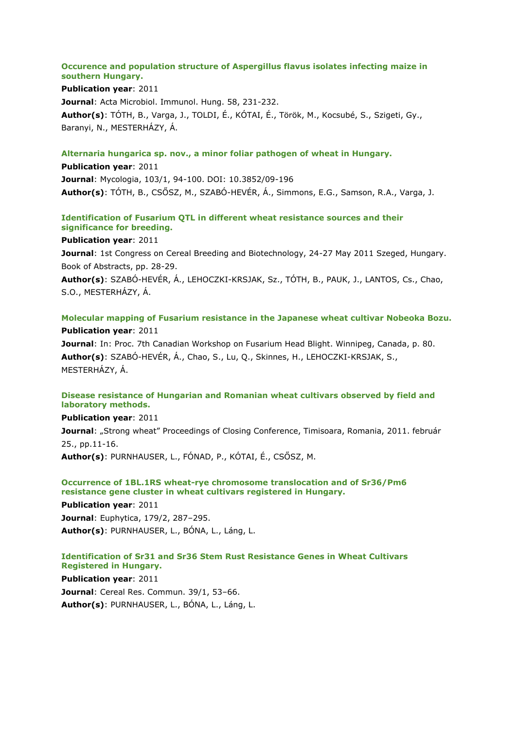## **Occurence and population structure of Aspergillus flavus isolates infecting maize in southern Hungary.**

# **Publication year**: 2011

**Journal**: Acta Microbiol. Immunol. Hung. 58, 231-232. **Author(s)**: TÓTH, B., Varga, J., TOLDI, É., KÓTAI, É., Török, M., Kocsubé, S., Szigeti, Gy., Baranyi, N., MESTERHÁZY, Á.

#### **Alternaria hungarica sp. nov., a minor foliar pathogen of wheat in Hungary.**

**Publication year**: 2011 **Journal**: Mycologia, 103/1, 94-100. DOI: 10.3852/09-196 **Author(s)**: TÓTH, B., CSŐSZ, M., SZABÓ-HEVÉR, Á., Simmons, E.G., Samson, R.A., Varga, J.

# **Identification of Fusarium QTL in different wheat resistance sources and their significance for breeding.**

#### **Publication year**: 2011

**Journal**: 1st Congress on Cereal Breeding and Biotechnology, 24-27 May 2011 Szeged, Hungary. Book of Abstracts, pp. 28-29.

**Author(s)**: SZABÓ-HEVÉR, Á., LEHOCZKI-KRSJAK, Sz., TÓTH, B., PAUK, J., LANTOS, Cs., Chao, S.O., MESTERHÁZY, Á.

# **Molecular mapping of Fusarium resistance in the Japanese wheat cultivar Nobeoka Bozu. Publication year**: 2011

**Journal**: In: Proc. 7th Canadian Workshop on Fusarium Head Blight. Winnipeg, Canada, p. 80. **Author(s)**: SZABÓ-HEVÉR, Á., Chao, S., Lu, Q., Skinnes, H., LEHOCZKI-KRSJAK, S., MESTERHÁZY, Á.

## **Disease resistance of Hungarian and Romanian wheat cultivars observed by field and laboratory methods.**

**Publication year**: 2011

Journal: "Strong wheat" Proceedings of Closing Conference, Timisoara, Romania, 2011. február 25., pp.11-16.

**Author(s)**: PURNHAUSER, L., FÓNAD, P., KÓTAI, É., CSŐSZ, M.

# **Occurrence of 1BL.1RS wheat-rye chromosome translocation and of Sr36/Pm6 resistance gene cluster in wheat cultivars registered in Hungary.**

**Publication year**: 2011 **Journal**: Euphytica, 179/2, 287–295. **Author(s)**: PURNHAUSER, L., BÓNA, L., Láng, L.

# **Identification of Sr31 and Sr36 Stem Rust Resistance Genes in Wheat Cultivars Registered in Hungary.**

**Publication year**: 2011 **Journal**: Cereal Res. Commun. 39/1, 53–66. **Author(s)**: PURNHAUSER, L., BÓNA, L., Láng, L.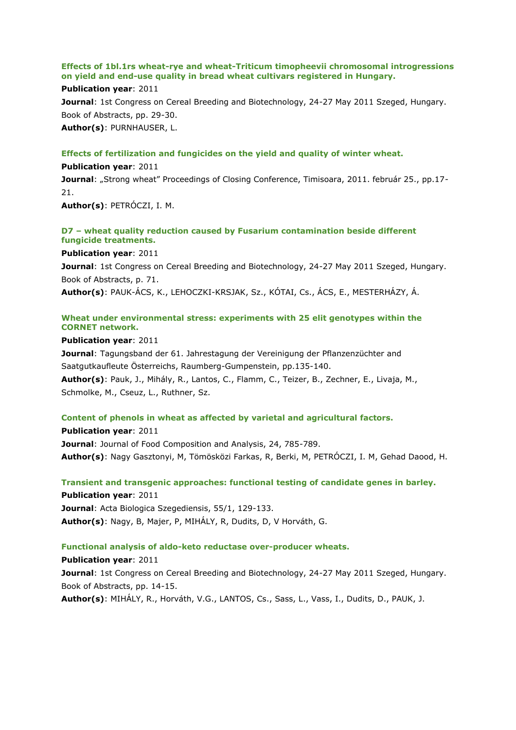# **Effects of 1bl.1rs wheat-rye and wheat-Triticum timopheevii chromosomal introgressions on yield and end-use quality in bread wheat cultivars registered in Hungary.**

#### **Publication year**: 2011

**Journal**: 1st Congress on Cereal Breeding and Biotechnology, 24-27 May 2011 Szeged, Hungary. Book of Abstracts, pp. 29-30. **Author(s)**: PURNHAUSER, L.

## **Effects of fertilization and fungicides on the yield and quality of winter wheat.**

**Publication year**: 2011 **Journal:** "Strong wheat" Proceedings of Closing Conference, Timisoara, 2011. február 25., pp.17-21.

**Author(s)**: PETRÓCZI, I. M.

# **D7 – wheat quality reduction caused by Fusarium contamination beside different fungicide treatments.**

**Publication year**: 2011

**Journal**: 1st Congress on Cereal Breeding and Biotechnology, 24-27 May 2011 Szeged, Hungary. Book of Abstracts, p. 71.

**Author(s)**: PAUK-ÁCS, K., LEHOCZKI-KRSJAK, Sz., KÓTAI, Cs., ÁCS, E., MESTERHÁZY, Á.

# **Wheat under environmental stress: experiments with 25 elit genotypes within the CORNET network.**

#### **Publication year**: 2011

**Journal**: Tagungsband der 61. Jahrestagung der Vereinigung der Pflanzenzüchter and Saatgutkaufleute Österreichs, Raumberg-Gumpenstein, pp.135-140. **Author(s)**: Pauk, J., Mihály, R., Lantos, C., Flamm, C., Teizer, B., Zechner, E., Livaja, M., Schmolke, M., Cseuz, L., Ruthner, Sz.

## **Content of phenols in wheat as affected by varietal and agricultural factors.**

**Publication year**: 2011 **Journal**: Journal of Food Composition and Analysis, 24, 785-789. **Author(s)**: Nagy Gasztonyi, M, Tömösközi Farkas, R, Berki, M, PETRÓCZI, I. M, Gehad Daood, H.

**Transient and transgenic approaches: functional testing of candidate genes in barley. Publication year**: 2011

**Journal**: Acta Biologica Szegediensis, 55/1, 129-133. **Author(s)**: Nagy, B, Majer, P, MIHÁLY, R, Dudits, D, V Horváth, G.

## **Functional analysis of aldo-keto reductase over-producer wheats.**

**Publication year**: 2011 **Journal**: 1st Congress on Cereal Breeding and Biotechnology, 24-27 May 2011 Szeged, Hungary. Book of Abstracts, pp. 14-15. **Author(s)**: MIHÁLY, R., Horváth, V.G., LANTOS, Cs., Sass, L., Vass, I., Dudits, D., PAUK, J.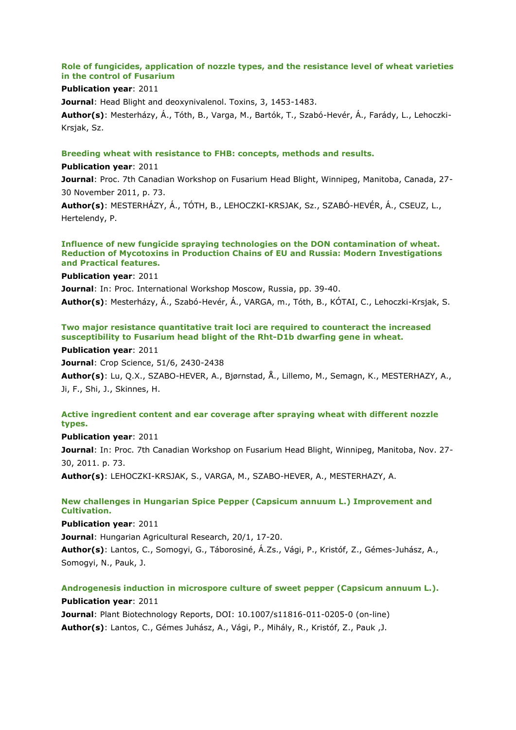# **Role of fungicides, application of nozzle types, and the resistance level of wheat varieties in the control of Fusarium**

# **Publication year**: 2011

**Journal**: Head Blight and deoxynivalenol. Toxins, 3, 1453-1483.

**Author(s)**: Mesterházy, Á., Tóth, B., Varga, M., Bartók, T., Szabó-Hevér, Á., Farády, L., Lehoczki-Krsjak, Sz.

#### **Breeding wheat with resistance to FHB: concepts, methods and results.**

#### **Publication year**: 2011

**Journal**: Proc. 7th Canadian Workshop on Fusarium Head Blight, Winnipeg, Manitoba, Canada, 27- 30 November 2011, p. 73.

**Author(s)**: MESTERHÁZY, Á., TÓTH, B., LEHOCZKI-KRSJAK, Sz., SZABÓ-HEVÉR, Á., CSEUZ, L., Hertelendy, P.

#### **Influence of new fungicide spraying technologies on the DON contamination of wheat. Reduction of Mycotoxins in Production Chains of EU and Russia: Modern Investigations and Practical features.**

**Publication year**: 2011

**Journal**: In: Proc. International Workshop Moscow, Russia, pp. 39-40.

**Author(s)**: Mesterházy, Á., Szabó-Hevér, Á., VARGA, m., Tóth, B., KÓTAI, C., Lehoczki-Krsjak, S.

# **Two major resistance quantitative trait loci are required to counteract the increased susceptibility to Fusarium head blight of the Rht-D1b dwarfing gene in wheat.**

**Publication year**: 2011

**Journal**: Crop Science, 51/6, 2430-2438

**Author(s)**: Lu, Q.X., SZABO-HEVER, A., Bjørnstad, Å., Lillemo, M., Semagn, K., MESTERHAZY, A., Ji, F., Shi, J., Skinnes, H.

## **Active ingredient content and ear coverage after spraying wheat with different nozzle types.**

**Publication year**: 2011 **Journal**: In: Proc. 7th Canadian Workshop on Fusarium Head Blight, Winnipeg, Manitoba, Nov. 27- 30, 2011. p. 73. **Author(s)**: LEHOCZKI-KRSJAK, S., VARGA, M., SZABO-HEVER, A., MESTERHAZY, A.

**New challenges in Hungarian Spice Pepper (Capsicum annuum L.) Improvement and Cultivation.**

**Publication year**: 2011

**Journal**: Hungarian Agricultural Research, 20/1, 17-20.

**Author(s)**: Lantos, C., Somogyi, G., Táborosiné, Á.Zs., Vági, P., Kristóf, Z., Gémes-Juhász, A., Somogyi, N., Pauk, J.

# **Androgenesis induction in microspore culture of sweet pepper (Capsicum annuum L.). Publication year**: 2011

**Journal**: Plant Biotechnology Reports, DOI: 10.1007/s11816-011-0205-0 (on-line) **Author(s)**: Lantos, C., Gémes Juhász, A., Vági, P., Mihály, R., Kristóf, Z., Pauk ,J.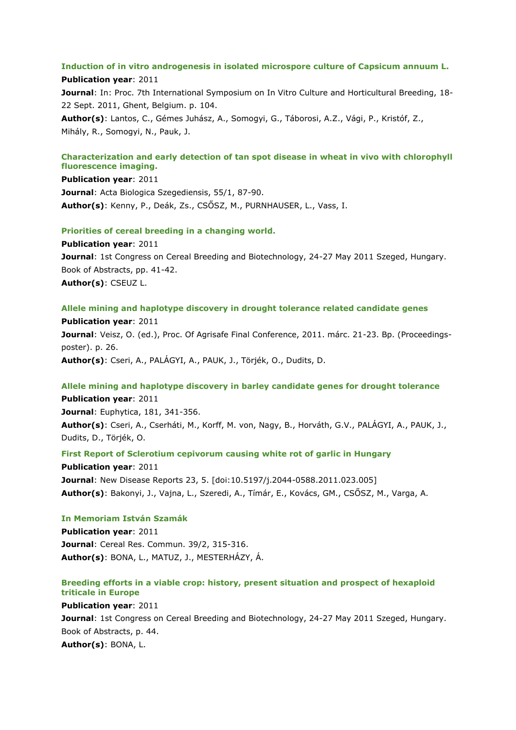#### **Induction of in vitro androgenesis in isolated microspore culture of Capsicum annuum L.**

#### **Publication year**: 2011

**Journal**: In: Proc. 7th International Symposium on In Vitro Culture and Horticultural Breeding, 18- 22 Sept. 2011, Ghent, Belgium. p. 104.

**Author(s)**: Lantos, C., Gémes Juhász, A., Somogyi, G., Táborosi, A.Z., Vági, P., Kristóf, Z., Mihály, R., Somogyi, N., Pauk, J.

# **Characterization and early detection of tan spot disease in wheat in vivo with chlorophyll fluorescence imaging.**

**Publication year**: 2011 **Journal**: Acta Biologica Szegediensis, 55/1, 87-90. **Author(s)**: Kenny, P., Deák, Zs., CSŐSZ, M., PURNHAUSER, L., Vass, I.

#### **Priorities of cereal breeding in a changing world.**

**Publication year**: 2011 **Journal**: 1st Congress on Cereal Breeding and Biotechnology, 24-27 May 2011 Szeged, Hungary. Book of Abstracts, pp. 41-42. **Author(s)**: CSEUZ L.

#### **Allele mining and haplotype discovery in drought tolerance related candidate genes**

**Publication year**: 2011 **Journal**: Veisz, O. (ed.), Proc. Of Agrisafe Final Conference, 2011. márc. 21-23. Bp. (Proceedingsposter). p. 26. **Author(s)**: Cseri, A., PALÁGYI, A., PAUK, J., Törjék, O., Dudits, D.

# **Allele mining and haplotype discovery in barley candidate genes for drought tolerance**

**Publication year**: 2011 **Journal**: Euphytica, 181, 341-356. **Author(s)**: Cseri, A., Cserháti, M., Korff, M. von, Nagy, B., Horváth, G.V., PALÁGYI, A., PAUK, J., Dudits, D., Törjék, O.

#### **First Report of Sclerotium cepivorum causing white rot of garlic in Hungary**

**Publication year**: 2011 **Journal**: New Disease Reports 23, 5. [doi:10.5197/j.2044-0588.2011.023.005] **Author(s)**: Bakonyi, J., Vajna, L., Szeredi, A., Tímár, E., Kovács, GM., CSŐSZ, M., Varga, A.

#### **In Memoriam István Szamák**

**Publication year**: 2011 **Journal**: Cereal Res. Commun. 39/2, 315-316. **Author(s)**: BONA, L., MATUZ, J., MESTERHÁZY, Á.

# **Breeding efforts in a viable crop: history, present situation and prospect of hexaploid triticale in Europe**

**Publication year**: 2011 **Journal**: 1st Congress on Cereal Breeding and Biotechnology, 24-27 May 2011 Szeged, Hungary. Book of Abstracts, p. 44. **Author(s)**: BONA, L.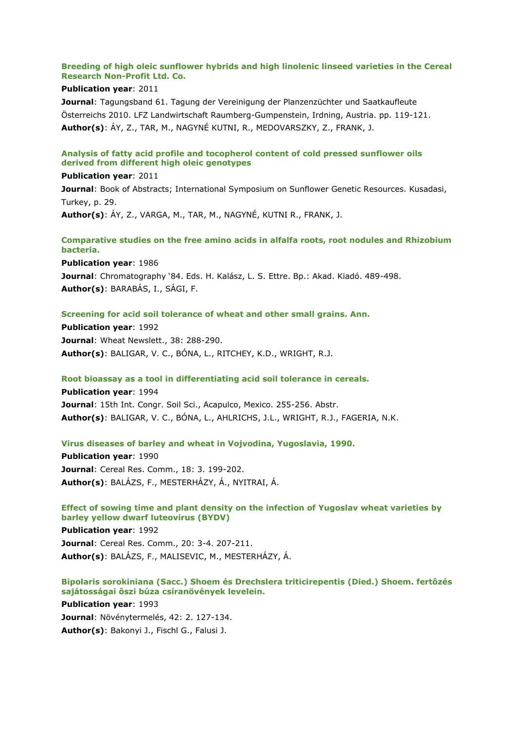# **Breeding of high oleic sunflower hybrids and high linolenic linseed varieties in the Cereal Research Non-Profit Ltd. Co.**

## **Publication year**: 2011

**Journal**: Tagungsband 61. Tagung der Vereinigung der Planzenzüchter und Saatkaufleute Österreichs 2010. LFZ Landwirtschaft Raumberg-Gumpenstein, Irdning, Austria. pp. 119-121. **Author(s)**: ÁY, Z., TAR, M., NAGYNÉ KUTNI, R., MEDOVARSZKY, Z., FRANK, J.

# **Analysis of fatty acid profile and tocopherol content of cold pressed sunflower oils derived from different high oleic genotypes**

#### **Publication year**: 2011

**Journal**: Book of Abstracts; International Symposium on Sunflower Genetic Resources. Kusadasi, Turkey, p. 29. **Author(s)**: ÁY, Z., VARGA, M., TAR, M., NAGYNÉ, KUTNI R., FRANK, J.

# **Comparative studies on the free amino acids in alfalfa roots, root nodules and Rhizobium bacteria.**

**Publication year**: 1986 **Journal**: Chromatography '84. Eds. H. Kalász, L. S. Ettre. Bp.: Akad. Kiadó. 489-498. **Author(s)**: BARABÁS, I., SÁGI, F.

# **Screening for acid soil tolerance of wheat and other small grains. Ann.**

**Publication year**: 1992 **Journal**: Wheat Newslett., 38: 288-290. **Author(s)**: BALIGAR, V. C., BÓNA, L., RITCHEY, K.D., WRIGHT, R.J.

## **Root bioassay as a tool in differentiating acid soil tolerance in cereals.**

**Publication year**: 1994 **Journal**: 15th Int. Congr. Soil Sci., Acapulco, Mexico. 255-256. Abstr. **Author(s)**: BALIGAR, V. C., BÓNA, L., AHLRICHS, J.L., WRIGHT, R.J., FAGERIA, N.K.

## **Virus diseases of barley and wheat in Vojvodina, Yugoslavia, 1990.**

**Publication year**: 1990 **Journal**: Cereal Res. Comm., 18: 3. 199-202. **Author(s)**: BALÁZS, F., MESTERHÁZY, Á., NYITRAI, Á.

**Effect of sowing time and plant density on the infection of Yugoslav wheat varieties by barley yellow dwarf luteovirus (BYDV)**

**Publication year**: 1992 **Journal**: Cereal Res. Comm., 20: 3-4. 207-211. **Author(s)**: BALÁZS, F., MALISEVIC, M., MESTERHÁZY, Á.

# **Bipolaris sorokiniana (Sacc.) Shoem és Drechslera triticirepentis (Died.) Shoem. fertôzés sajátosságai ôszi búza csíranövények levelein.**

**Publication year**: 1993 **Journal**: Növénytermelés, 42: 2. 127-134. **Author(s)**: Bakonyi J., Fischl G., Falusi J.